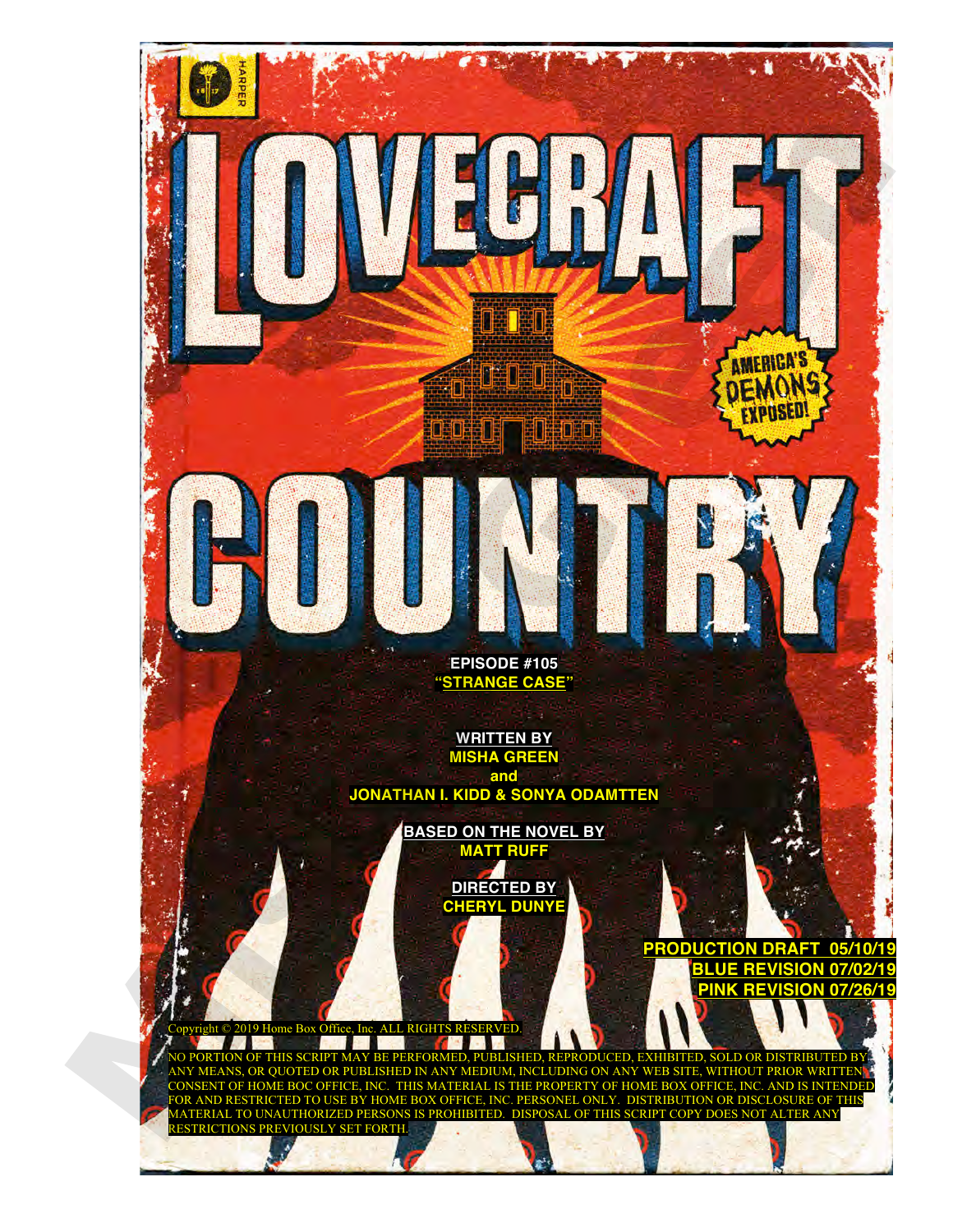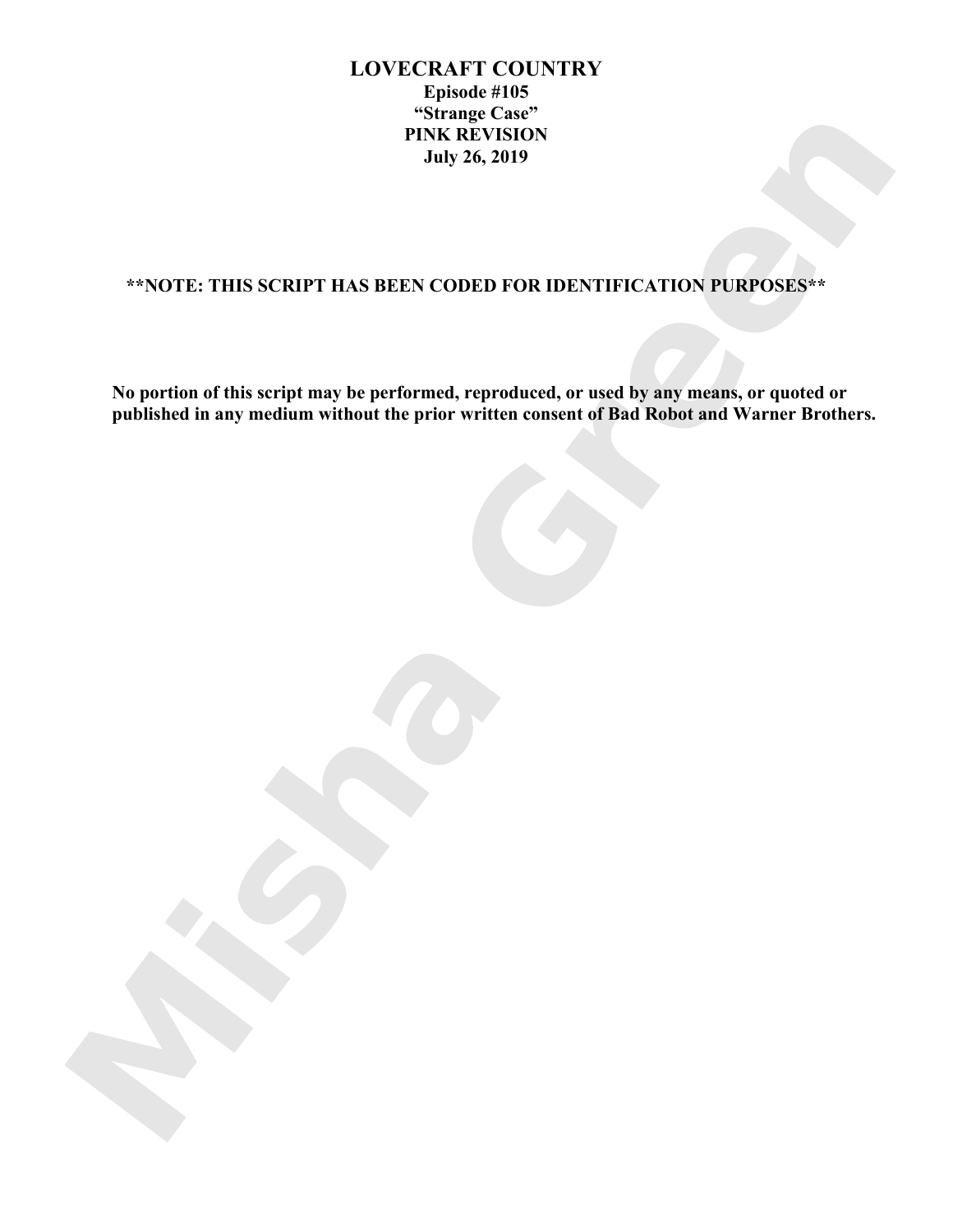# **LOVECRAFT COUNTRY Episode #105 "Strange Case" PINK REVISION July 26, 2019**

# **\*\*NOTE: THIS SCRIPT HAS BEEN CODED FOR IDENTIFICATION PURPOSES\*\***

**No portion of this script may be performed, reproduced, or used by any means, or quoted or published in any medium without the prior written consent of Bad Robot and Warner Brothers.**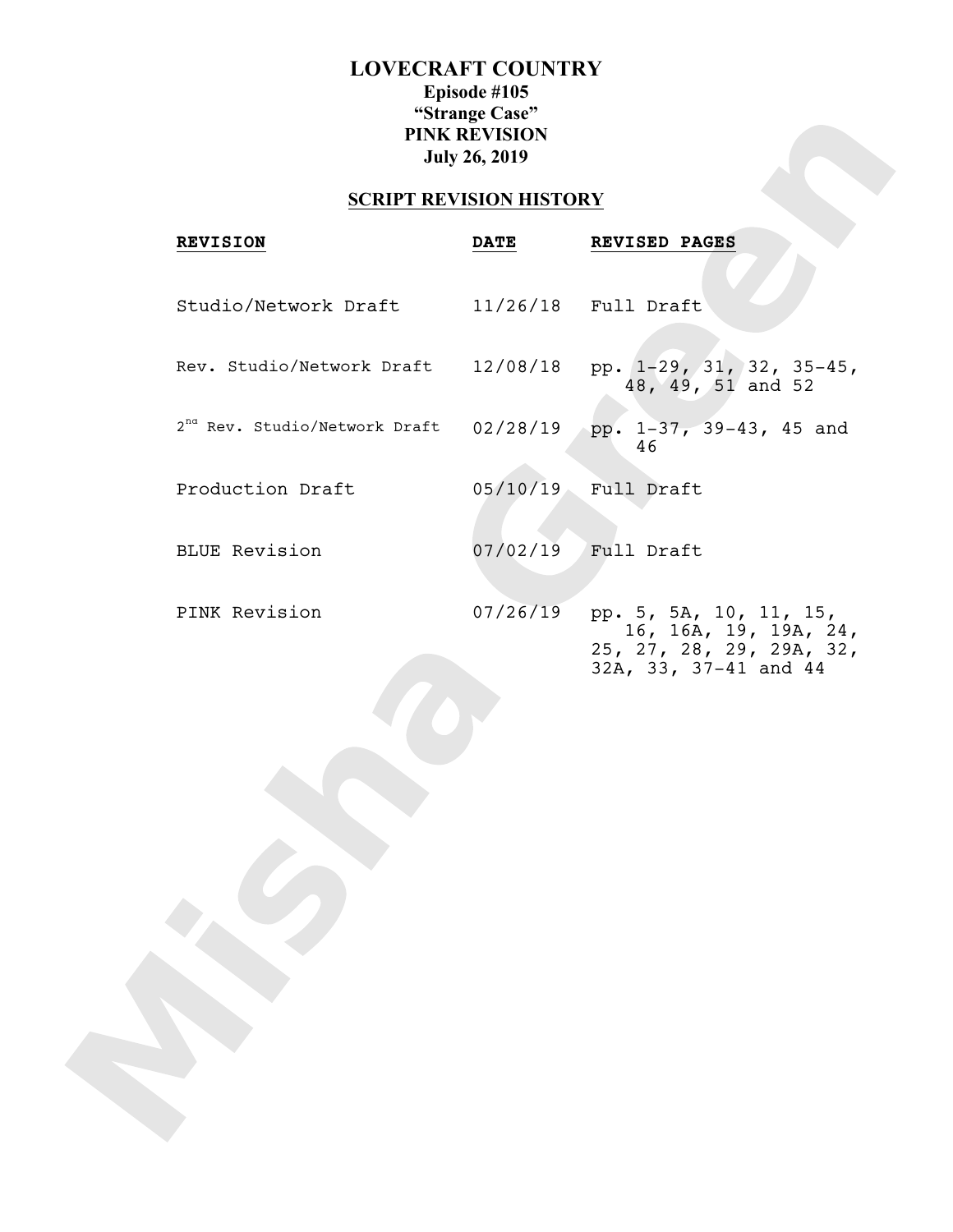# **LOVECRAFT COUNTRY Episode #105 "Strange Case" PINK REVISION July 26, 2019**

# **SCRIPT REVISION HISTORY**

| <b>REVISION</b>                           | <b>DATE</b> | REVISED PAGES                                                                                        |
|-------------------------------------------|-------------|------------------------------------------------------------------------------------------------------|
| Studio/Network Draft                      |             | $11/26/18$ Full Draft                                                                                |
| Rev. Studio/Network Draft                 |             | $12/08/18$ pp. $1-29$ , 31, 32, 35-45,<br>48, 49, 51 and 52                                          |
| 2 <sup>nd</sup> Rev. Studio/Network Draft | 02/28/19    | pp. 1-37, 39-43, 45 and<br>46                                                                        |
| Production Draft                          | 05/10/19    | Full Draft                                                                                           |
| <b>BLUE Revision</b>                      |             | $07/02/19$ Full Draft                                                                                |
| PINK Revision                             | 07/26/19    | pp. 5, 5A, 10, 11, 15,<br>16, 16A, 19, 19A, 24,<br>25, 27, 28, 29, 29A, 32,<br>32A, 33, 37-41 and 44 |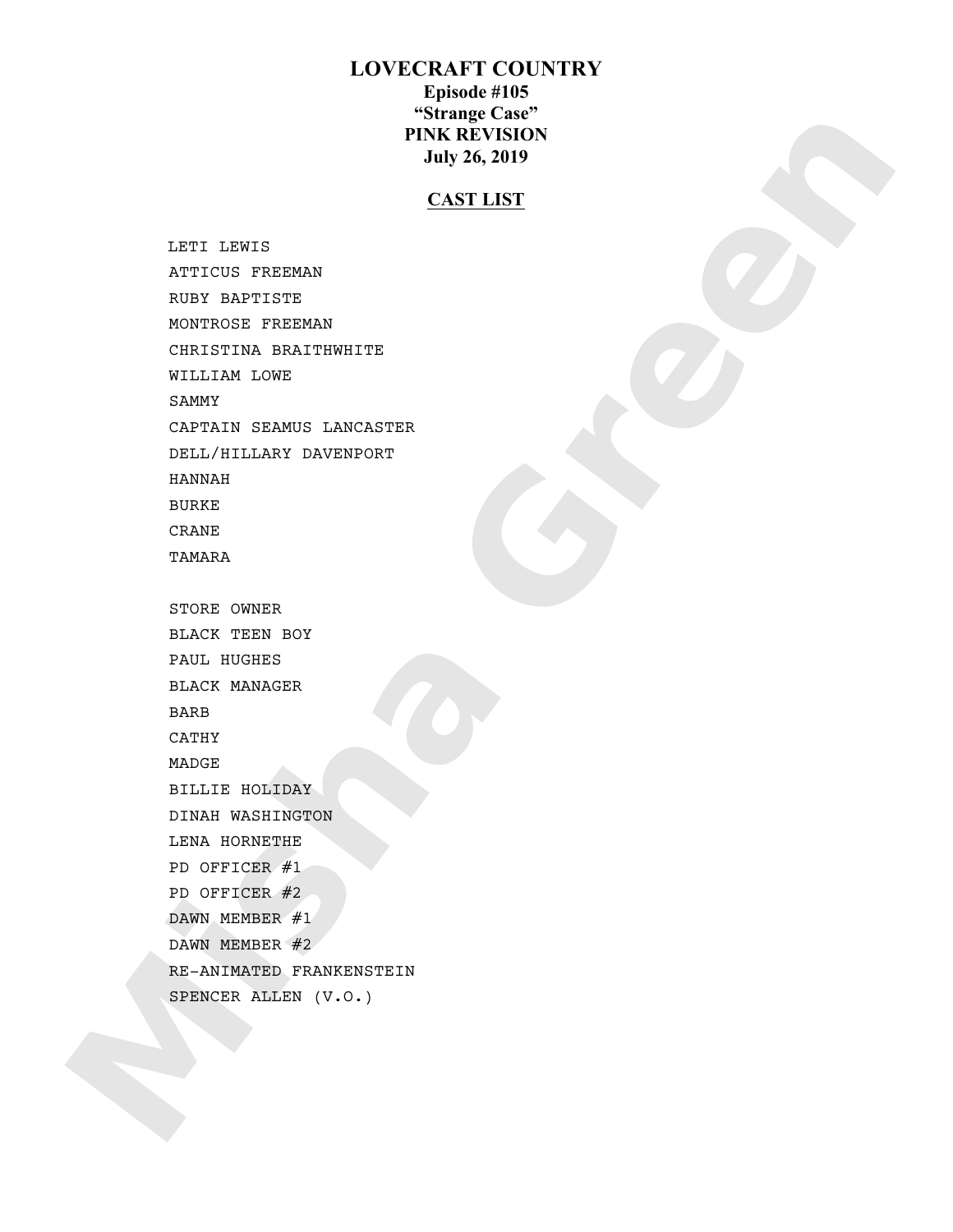# **LOVECRAFT COUNTRY Episode #105 "Strange Case" PINK REVISION July 26, 2019**

# **CAST LIST**

 LETI LEWIS ATTICUS FREEMAN RUBY BAPTISTE MONTROSE FREEMAN CHRISTINA BRAITHWHITE WILLIAM LOWE SAMMY CAPTAIN SEAMUS LANCASTER DELL/HILLARY DAVENPORT HANNAH BURKE CRANE TAMARA STORE OWNER BLACK TEEN BOY PAUL HUGHES BLACK MANAGER BARB CATHY MADGE BILLIE HOLIDAY DINAH WASHINGTON LENA HORNETHE PD OFFICER #1 PD OFFICER #2 DAWN MEMBER #1 DAWN MEMBER #2 RE-ANIMATED FRANKENSTEIN SPENCER ALLEN (V.O.)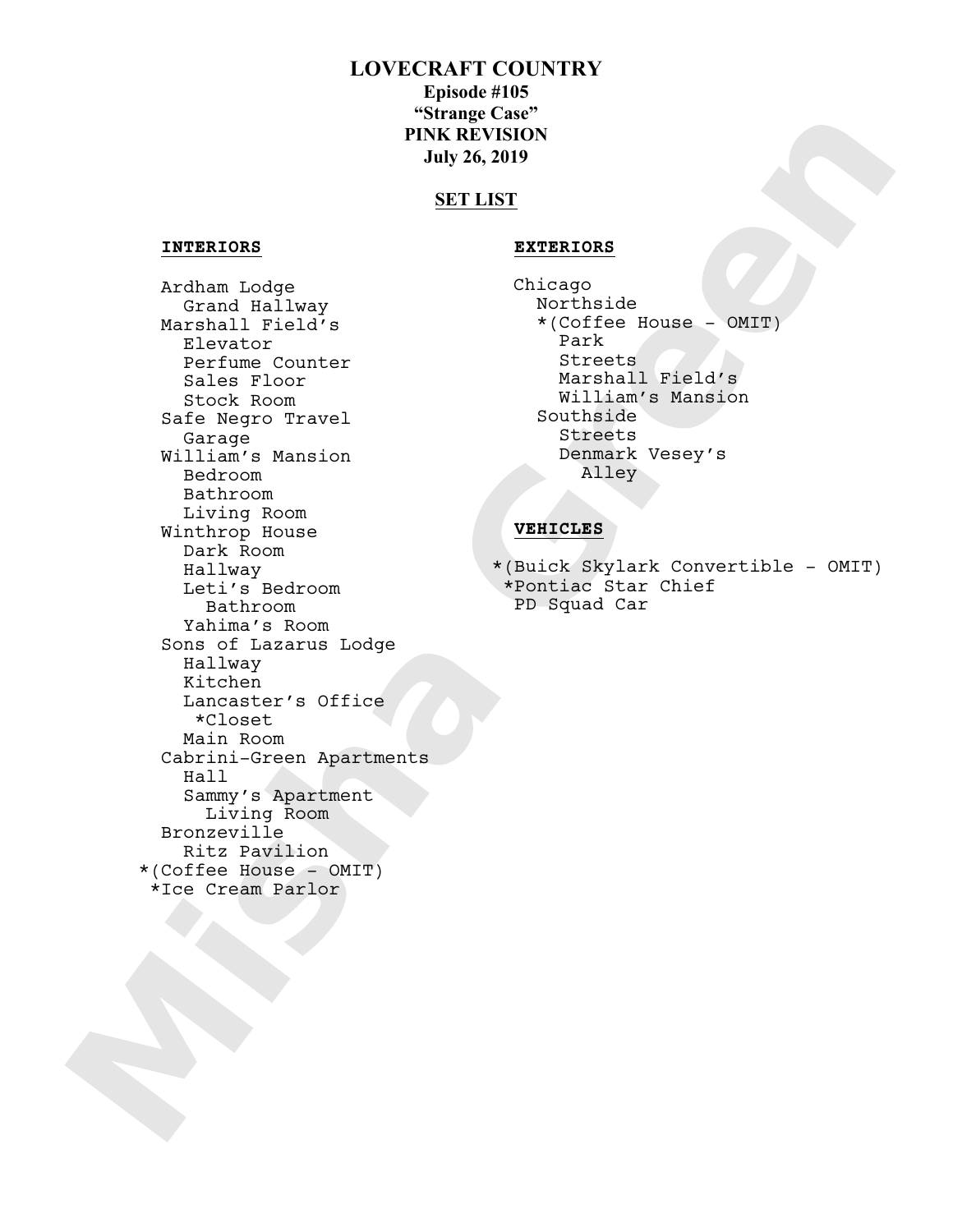# **LOVECRAFT COUNTRY**

**Episode #105 "Strange Case" PINK REVISION July 26, 2019** 

## **SET LIST**

## **INTERIORS EXTERIORS**

 Ardham Lodge Grand Hallway Marshall Field's Elevator Perfume Counter Sales Floor Stock Room Safe Negro Travel Garage William's Mansion Bedroom Bathroom Living Room Winthrop House Dark Room Hallway Leti's Bedroom Bathroom Yahima's Room Sons of Lazarus Lodge Hallway Kitchen Lancaster's Office \*Closet Main Room Cabrini-Green Apartments Hall Sammy's Apartment Living Room Bronzeville Ritz Pavilion \*(Coffee House - OMIT) \*Ice Cream Parlor

Chicago Northside \*(Coffee House - OMIT) Park<br>Streets Marshall Field's William's Mansion Southside Streets Denmark Vesey's Alley

## **VEHICLES**

\*(Buick Skylark Convertible - OMIT) \*Pontiac Star Chief PD Squad Car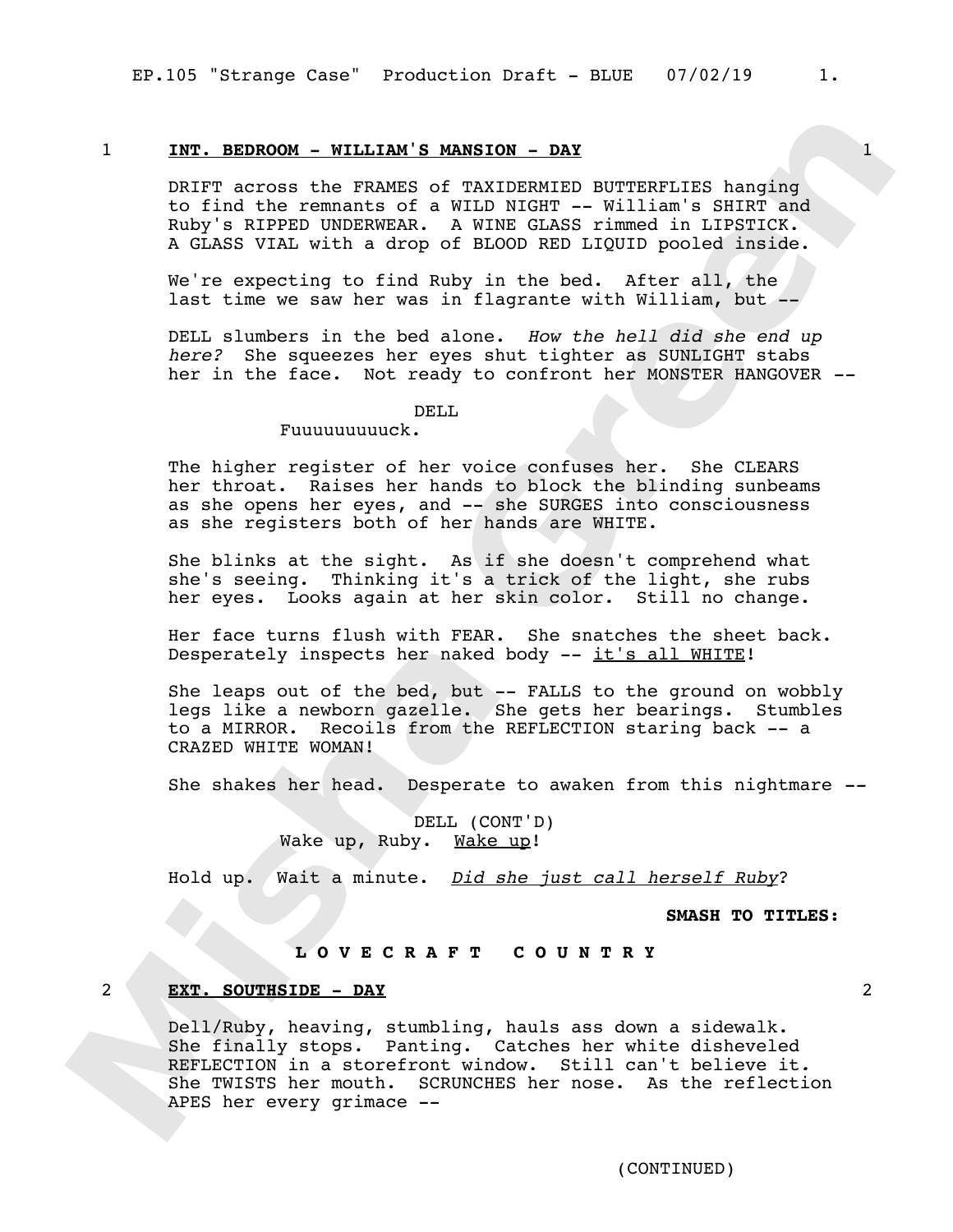## 1 **INT. BEDROOM - WILLIAM'S MANSION - DAY** 1

DRIFT across the FRAMES of TAXIDERMIED BUTTERFLIES hanging to find the remnants of a WILD NIGHT -- William's SHIRT and Ruby's RIPPED UNDERWEAR. A WINE GLASS rimmed in LIPSTICK. A GLASS VIAL with a drop of BLOOD RED LIQUID pooled inside.

We're expecting to find Ruby in the bed. After all, the last time we saw her was in flagrante with William, but --

DELL slumbers in the bed alone. *How the hell did she end up here?* She squeezes her eyes shut tighter as SUNLIGHT stabs her in the face. Not ready to confront her MONSTER HANGOVER *--*

#### DELL

## Fuuuuuuuuuck.

The higher register of her voice confuses her. She CLEARS her throat. Raises her hands to block the blinding sunbeams as she opens her eyes, and -- she SURGES into consciousness as she registers both of her hands are WHITE.

She blinks at the sight. As if she doesn't comprehend what she's seeing. Thinking it's a trick of the light, she rubs her eyes. Looks again at her skin color. Still no change.

Her face turns flush with FEAR. She snatches the sheet back. Desperately inspects her naked body -- it's all WHITE!

She leaps out of the bed, but -- FALLS to the ground on wobbly legs like a newborn gazelle. She gets her bearings. Stumbles to a MIRROR. Recoils from the REFLECTION staring back -- a CRAZED WHITE WOMAN!

She shakes her head. Desperate to awaken from this nightmare *--*

DELL (CONT'D) Wake up, Ruby. Wake up!

Hold up. Wait a minute. *Did she just call herself Ruby*?

**SMASH TO TITLES:**

## **L O V E C R A F T C O U N T R Y**

#### 2 **EXT. SOUTHSIDE - DAY** 2

Dell/Ruby, heaving, stumbling, hauls ass down a sidewalk. She finally stops. Panting. Catches her white disheveled REFLECTION in a storefront window. Still can't believe it*.*  She TWISTS her mouth. SCRUNCHES her nose. As the reflection APES her every grimace --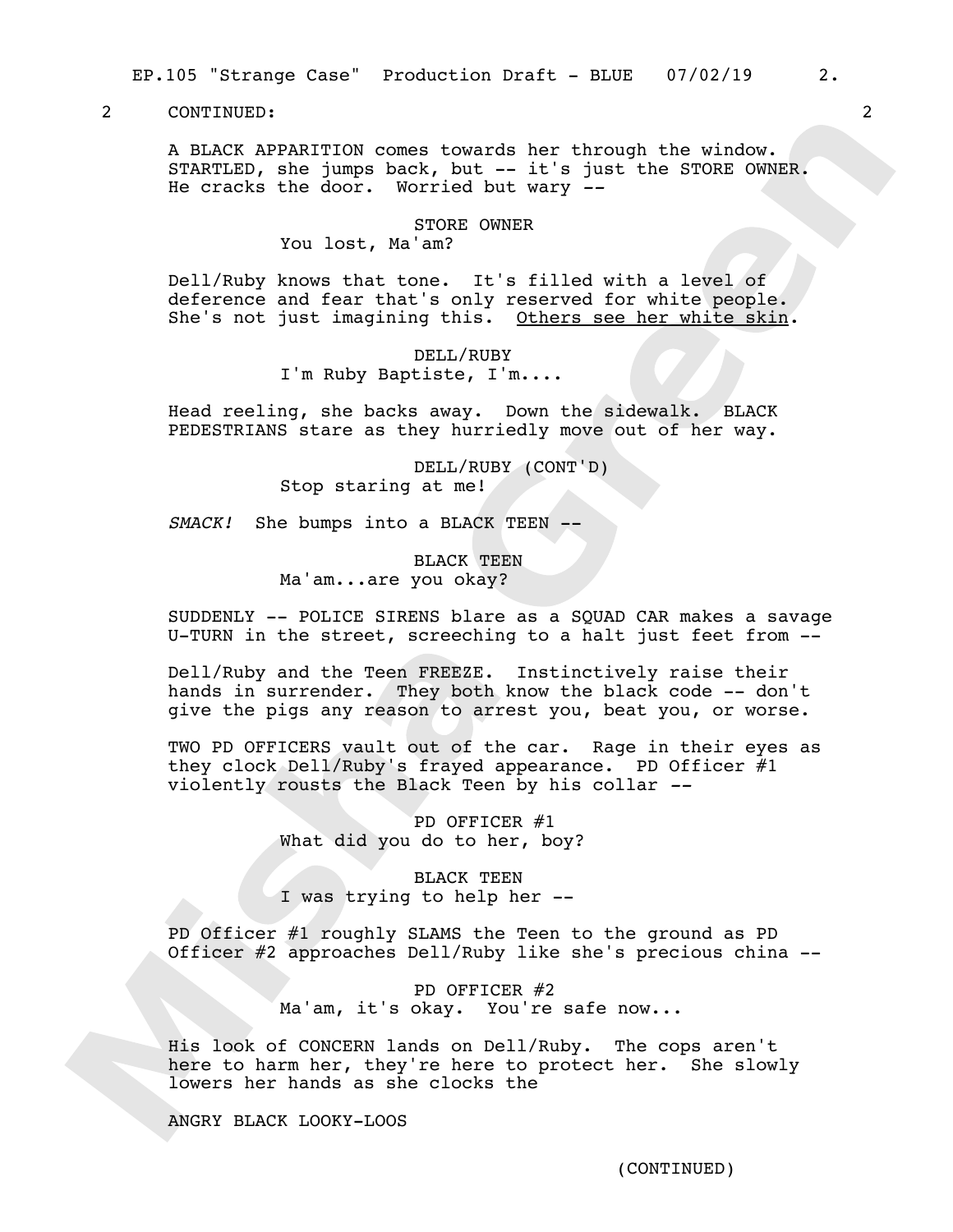A BLACK APPARITION comes towards her through the window. STARTLED, she jumps back, but -- it's just the STORE OWNER. He cracks the door. Worried but wary *--*

### STORE OWNER

You lost, Ma'am?

Dell/Ruby knows that tone. It's filled with a level of deference and fear that's only reserved for white people. She's not just imagining this. Others see her white skin.

> DELL/RUBY I'm Ruby Baptiste, I'm....

Head reeling, she backs away. Down the sidewalk. BLACK PEDESTRIANS stare as they hurriedly move out of her way.

> DELL/RUBY (CONT'D) Stop staring at me!

*SMACK!* She bumps into a BLACK TEEN --

BLACK TEEN Ma'am...are you okay?

SUDDENLY -- POLICE SIRENS blare as a SQUAD CAR makes a savage U-TURN in the street, screeching to a halt just feet from --

Dell/Ruby and the Teen FREEZE. Instinctively raise their hands in surrender. They both know the black code -- don't give the pigs any reason to arrest you, beat you, or worse.

TWO PD OFFICERS vault out of the car. Rage in their eyes as they clock Dell/Ruby's frayed appearance. PD Officer  $#1$ violently rousts the Black Teen by his collar *--*

> PD OFFICER #1 What did you do to her, boy?

> BLACK TEEN I was trying to help her --

PD Officer #1 roughly SLAMS the Teen to the ground as PD Officer #2 approaches Dell/Ruby like she's precious china --

> PD OFFICER #2 Ma'am, it's okay. You're safe now...

His look of CONCERN lands on Dell/Ruby. The cops aren't here to harm her, they're here to protect her. She slowly lowers her hands as she clocks the

ANGRY BLACK LOOKY-LOOS

(CONTINUED)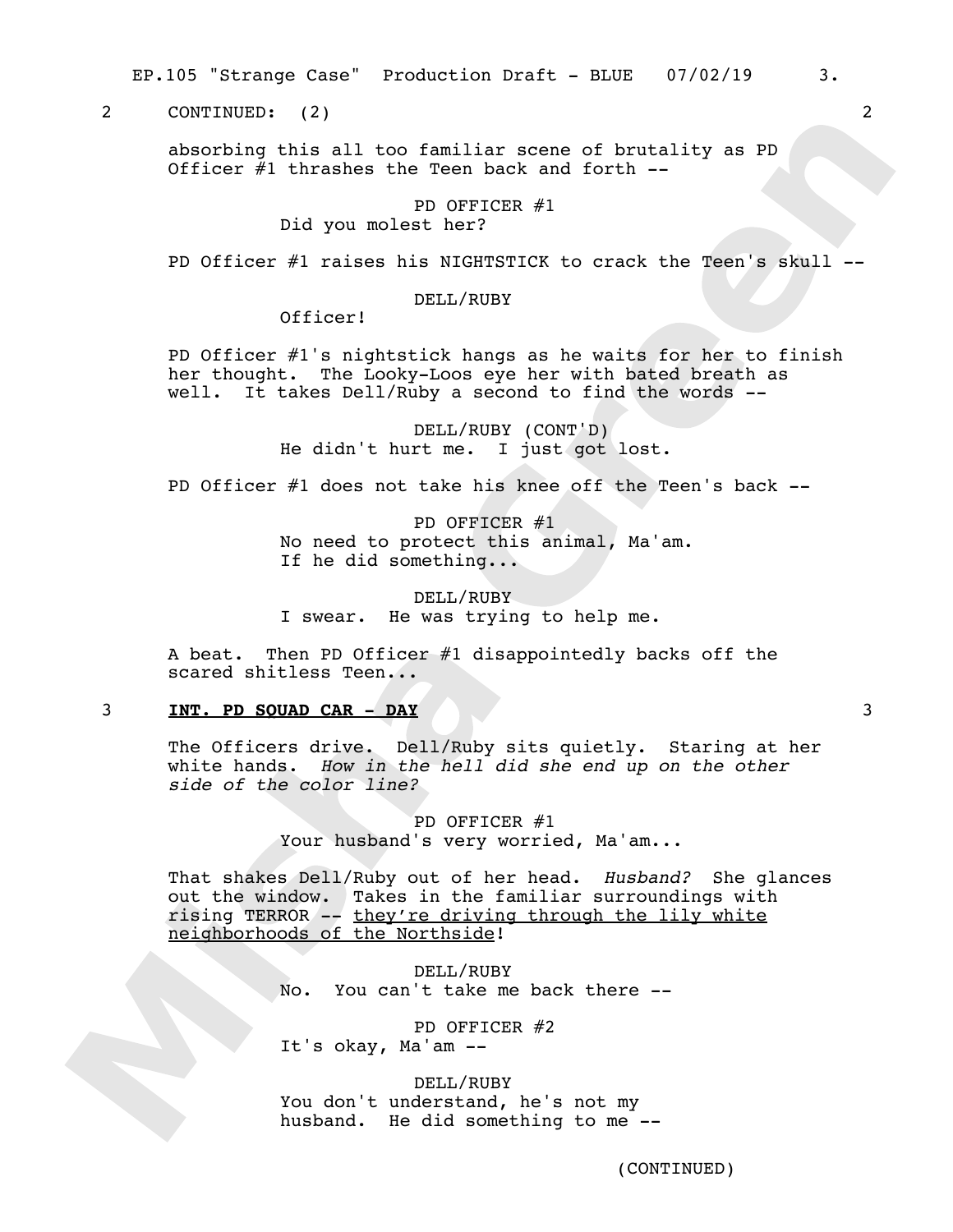EP.105 "Strange Case" Production Draft - BLUE 07/02/19 3.

2 CONTINUED: (2) 2

absorbing this all too familiar scene of brutality as PD Officer  $#1$  thrashes the Teen back and forth  $-$ 

## PD OFFICER #1 Did you molest her?

PD Officer #1 raises his NIGHTSTICK to crack the Teen's skull --

### DELL/RUBY

Officer!

PD Officer #1's nightstick hangs as he waits for her to finish her thought. The Looky-Loos eye her with bated breath as well. It takes Dell/Ruby a second to find the words --

> DELL/RUBY (CONT'D) He didn't hurt me. I just got lost.

PD Officer #1 does not take his knee off the Teen's back --

PD OFFICER #1 No need to protect this animal, Ma'am. If he did something...

DELL/RUBY I swear. He was trying to help me.

A beat. Then PD Officer #1 disappointedly backs off the scared shitless Teen...

## 3 **INT. PD SQUAD CAR - DAY** 3

The Officers drive. Dell/Ruby sits quietly. Staring at her white hands. *How in the hell did she end up on the other side of the color line?* 

> PD OFFICER #1 Your husband's very worried, Ma'am...

That shakes Dell/Ruby out of her head. *Husband?* She glances out the window. Takes in the familiar surroundings with rising TERROR -- they're driving through the lily white neighborhoods of the Northside!

> DELL/RUBY No. You can't take me back there --

PD OFFICER #2 It's okay, Ma'am --

DELL/RUBY You don't understand, he's not my husband. He did something to me --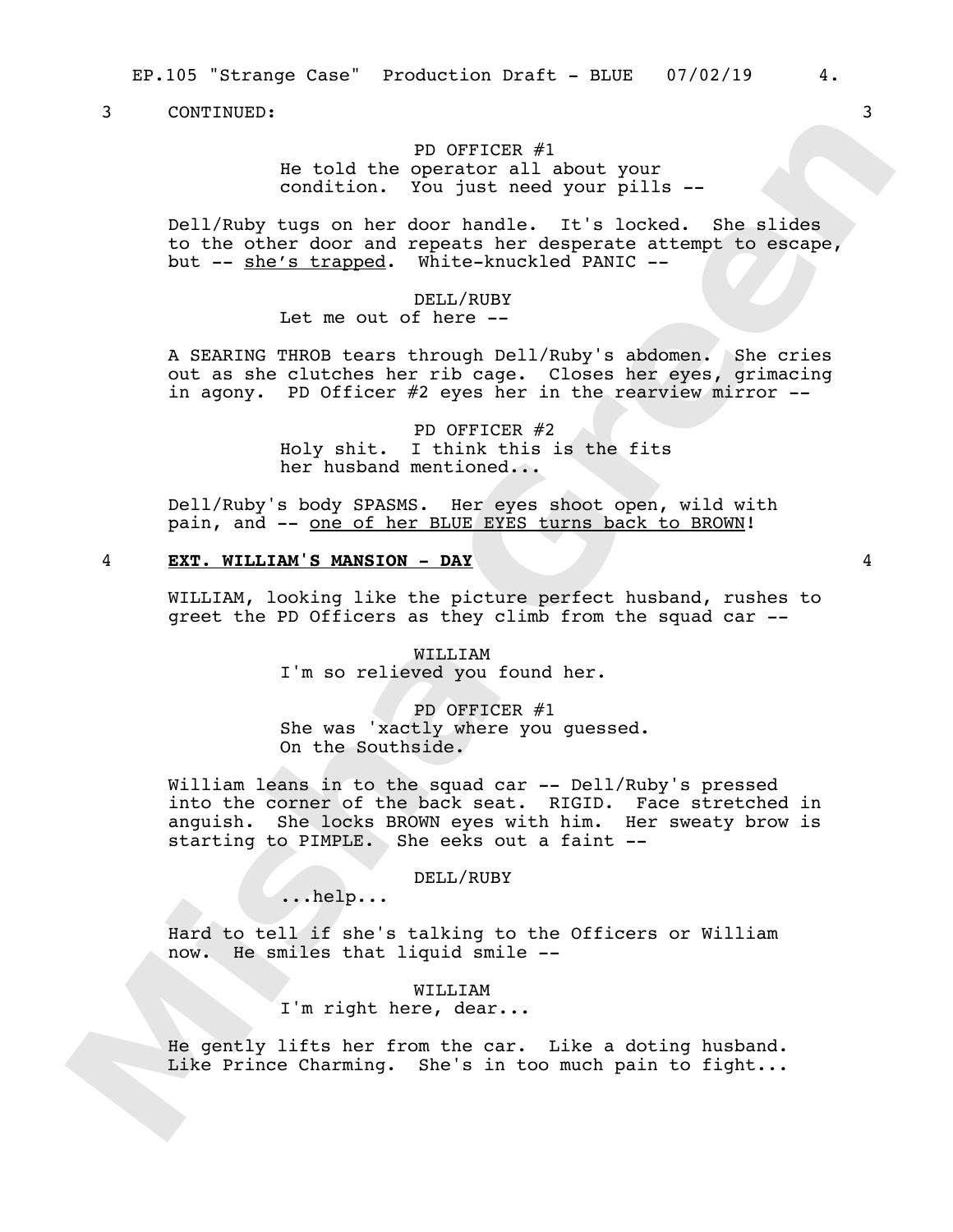## PD OFFICER #1 He told the operator all about your condition. You just need your pills --

Dell/Ruby tugs on her door handle. It's locked. She slides to the other door and repeats her desperate attempt to escape, but -- she's trapped. White-knuckled PANIC --

## DELL/RUBY

Let me out of here --

A SEARING THROB tears through Dell/Ruby's abdomen. She cries out as she clutches her rib cage. Closes her eyes, grimacing in agony. PD Officer #2 eyes her in the rearview mirror --

> PD OFFICER #2 Holy shit. I think this is the fits her husband mentioned...

Dell/Ruby's body SPASMS. Her eyes shoot open, wild with pain, and -- one of her BLUE EYES turns back to BROWN!

## 4 **EXT. WILLIAM'S MANSION - DAY** 4

WILLIAM, looking like the picture perfect husband, rushes to greet the PD Officers as they climb from the squad car --

> WILLIAM I'm so relieved you found her.

PD OFFICER #1 She was 'xactly where you guessed. On the Southside.

William leans in to the squad car -- Dell/Ruby's pressed into the corner of the back seat. RIGID. Face stretched in anguish. She locks BROWN eyes with him. Her sweaty brow is starting to PIMPLE. She eeks out a faint --

## DELL/RUBY

...help...

Hard to tell if she's talking to the Officers or William now. He smiles that liquid smile --

> WILLIAM I'm right here, dear...

He gently lifts her from the car. Like a doting husband. Like Prince Charming. She's in too much pain to fight...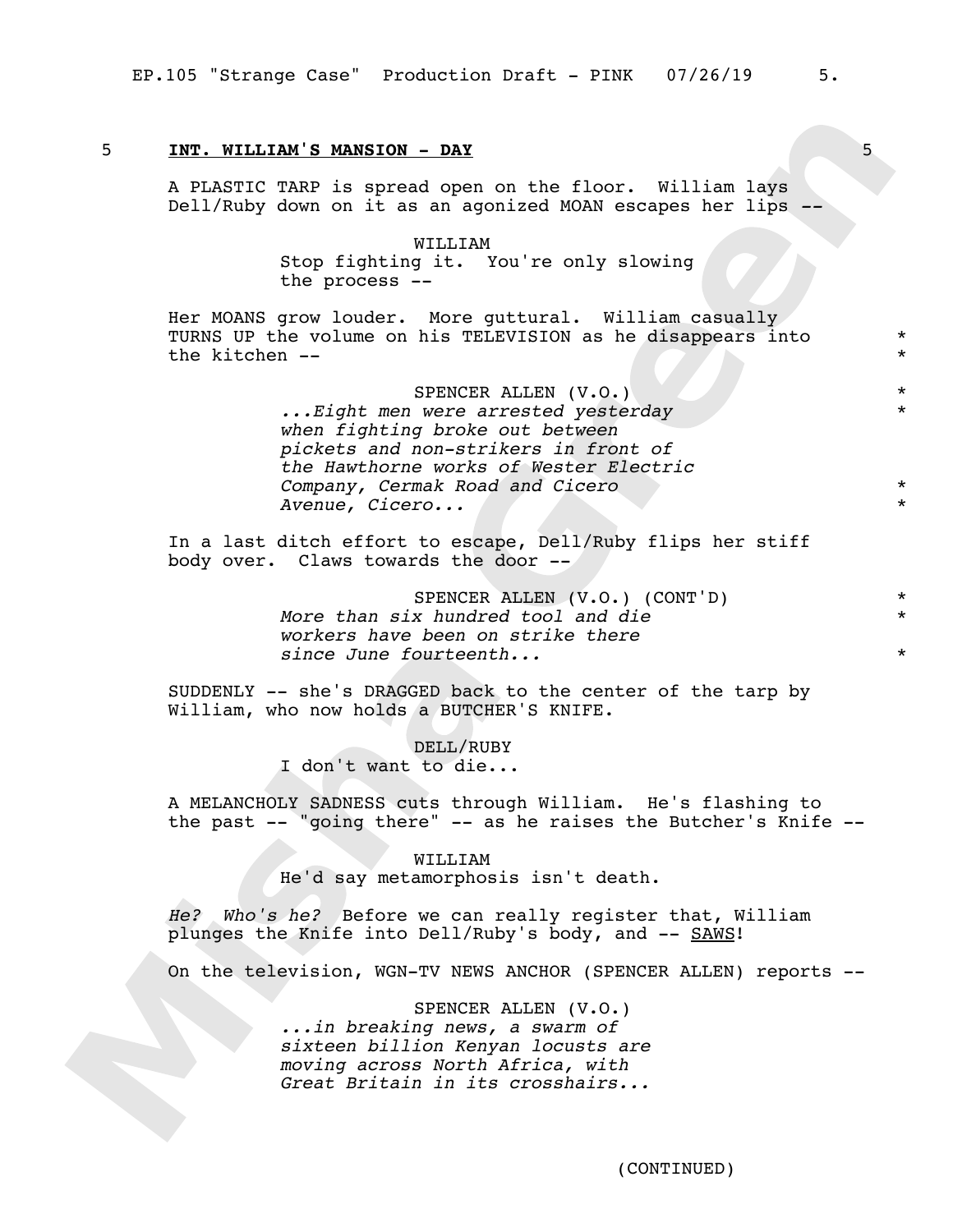## 5 **INT. WILLIAM'S MANSION - DAY** 5

A PLASTIC TARP is spread open on the floor. William lays Dell/Ruby down on it as an agonized MOAN escapes her lips *--*

> WILLIAM Stop fighting it. You're only slowing the process --

Her MOANS grow louder. More guttural. William casually TURNS UP the volume on his TELEVISION as he disappears into the kitchen --

> SPENCER ALLEN (V.O.) *...Eight men were arrested yesterday when fighting broke out between pickets and non-strikers in front of the Hawthorne works of Wester Electric Company, Cermak Road and Cicero Avenue, Cicero...*

In a last ditch effort to escape, Dell/Ruby flips her stiff body over. Claws towards the door --

> SPENCER ALLEN (V.O.) (CONT'D) \* *More than six hundred tool and die workers have been on strike there since June fourteenth...*

SUDDENLY -- she's DRAGGED back to the center of the tarp by William, who now holds a BUTCHER'S KNIFE.

> DELL/RUBY I don't want to die...

A MELANCHOLY SADNESS cuts through William. He's flashing to the past -- "going there" -- as he raises the Butcher's Knife --

#### WILLITAM

He'd say metamorphosis isn't death.

*He? Who's he?* Before we can really register that, William plunges the Knife into Dell/Ruby's body, and -- SAWS!

On the television, WGN-TV NEWS ANCHOR (SPENCER ALLEN) reports --

SPENCER ALLEN (V.O.) *...in breaking news, a swarm of sixteen billion Kenyan locusts are moving across North Africa, with Great Britain in its crosshairs...*

\* \*

\*

\* \*

\*

\*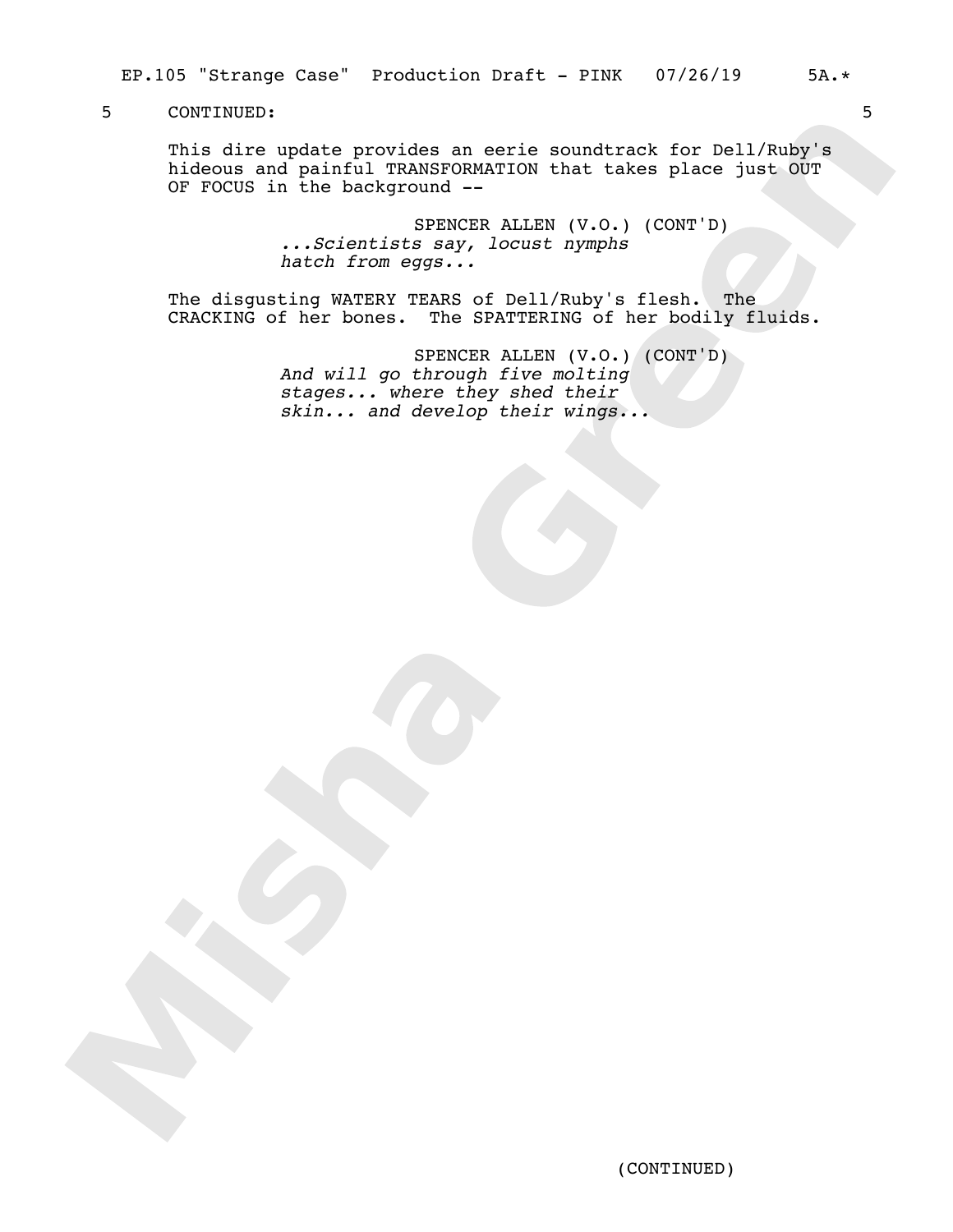This dire update provides an eerie soundtrack for Dell/Ruby's hideous and painful TRANSFORMATION that takes place just OUT OF FOCUS in the background --

> SPENCER ALLEN (V.O.) (CONT'D) *...Scientists say, locust nymphs hatch from eggs...*

The disgusting WATERY TEARS of Dell/Ruby's flesh. The CRACKING of her bones. The SPATTERING of her bodily fluids.

> SPENCER ALLEN (V.O.) (CONT'D) *And will go through five molting stages... where they shed their skin... and develop their wings...*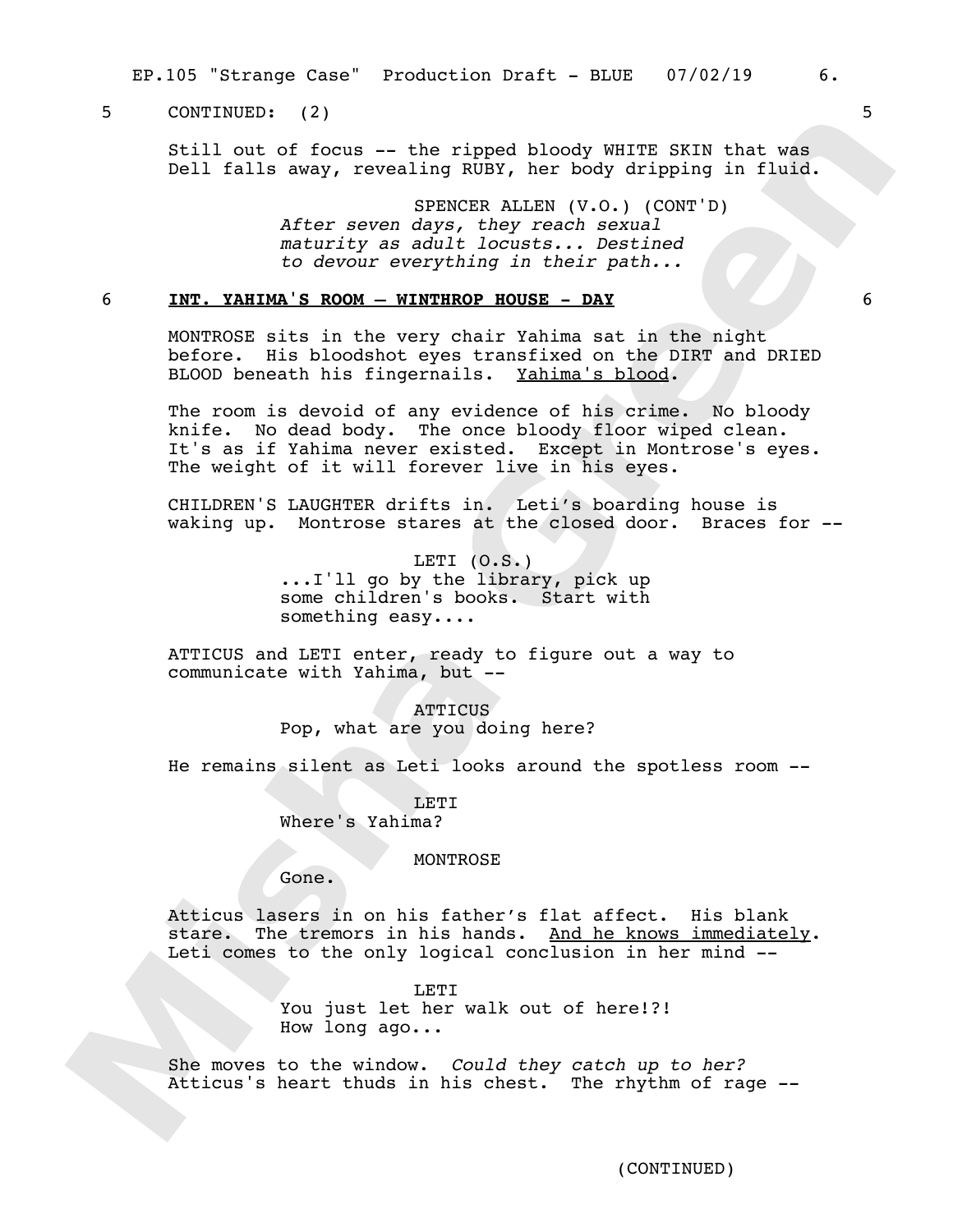EP.105 "Strange Case" Production Draft - BLUE 07/02/19 6.

## 5 CONTINUED: (2) 5

Still out of focus -- the ripped bloody WHITE SKIN that was Dell falls away, revealing RUBY, her body dripping in fluid.

> SPENCER ALLEN (V.O.) (CONT'D) *After seven days, they reach sexual maturity as adult locusts... Destined to devour everything in their path...*

## 6 **INT. YAHIMA'S ROOM – WINTHROP HOUSE - DAY** 6

MONTROSE sits in the very chair Yahima sat in the night before. His bloodshot eyes transfixed on the DIRT and DRIED BLOOD beneath his fingernails. Yahima's blood.

The room is devoid of any evidence of his crime. No bloody knife. No dead body. The once bloody floor wiped clean. It's as if Yahima never existed. Except in Montrose's eyes. The weight of it will forever live in his eyes.

CHILDREN'S LAUGHTER drifts in. Leti's boarding house is waking up. Montrose stares at the closed door. Braces for --

> LETI  $(0.S.)$ ...I'll go by the library, pick up some children's books. Start with something easy....

ATTICUS and LETI enter, ready to figure out a way to communicate with Yahima, but --

> **ATTICUS** Pop, what are you doing here?

He remains silent as Leti looks around the spotless room --

LET<sub>I</sub> Where's Yahima?

#### **MONTROSE**

Gone.

Atticus lasers in on his father's flat affect. His blank stare. The tremors in his hands. And he knows immediately. Leti comes to the only logical conclusion in her mind --

> LETT<sub>1</sub> You just let her walk out of here!?! How long ago...

She moves to the window. *Could they catch up to her?*  Atticus's heart thuds in his chest. The rhythm of rage --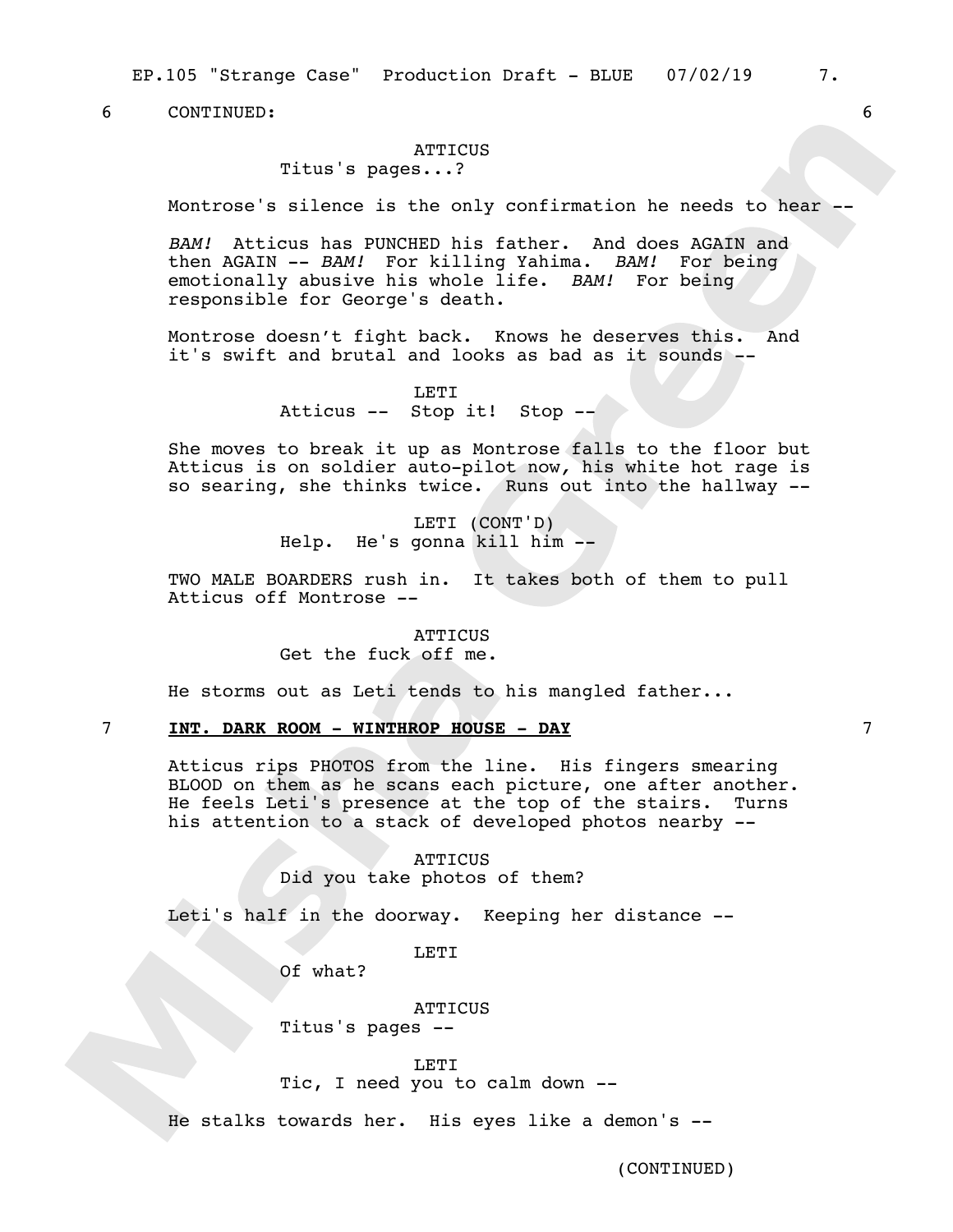EP.105 "Strange Case" Production Draft - BLUE 07/02/19 7.

6 CONTINUED: 6

#### **ATTICUS**

Titus's pages...?

Montrose's silence is the only confirmation he needs to hear --

*BAM!* Atticus has PUNCHED his father. And does AGAIN and then AGAIN -- *BAM!* For killing Yahima. *BAM!* For being emotionally abusive his whole life. *BAM!* For being responsible for George's death.

Montrose doesn't fight back. Knows he deserves this. And it's swift and brutal and looks as bad as it sounds --

> LETI Atticus -- Stop it! Stop --

She moves to break it up as Montrose falls to the floor but Atticus is on soldier auto-pilot now*,* his white hot rage is so searing, she thinks twice. Runs out into the hallway --

> LETI (CONT'D) Help. He's gonna kill him --

TWO MALE BOARDERS rush in. It takes both of them to pull Atticus off Montrose --

> **ATTICUS** Get the fuck off me.

He storms out as Leti tends to his mangled father...

## 7 **INT. DARK ROOM - WINTHROP HOUSE - DAY** 7

Atticus rips PHOTOS from the line. His fingers smearing BLOOD on them as he scans each picture, one after another. He feels Leti's presence at the top of the stairs. Turns his attention to a stack of developed photos nearby --

## **ATTICUS**

Did you take photos of them?

Leti's half in the doorway. Keeping her distance --

LETI

Of what?

**ATTICUS** Titus's pages --

#### LETT<sub>1</sub>

Tic, I need you to calm down --

He stalks towards her. His eyes like a demon's --

(CONTINUED)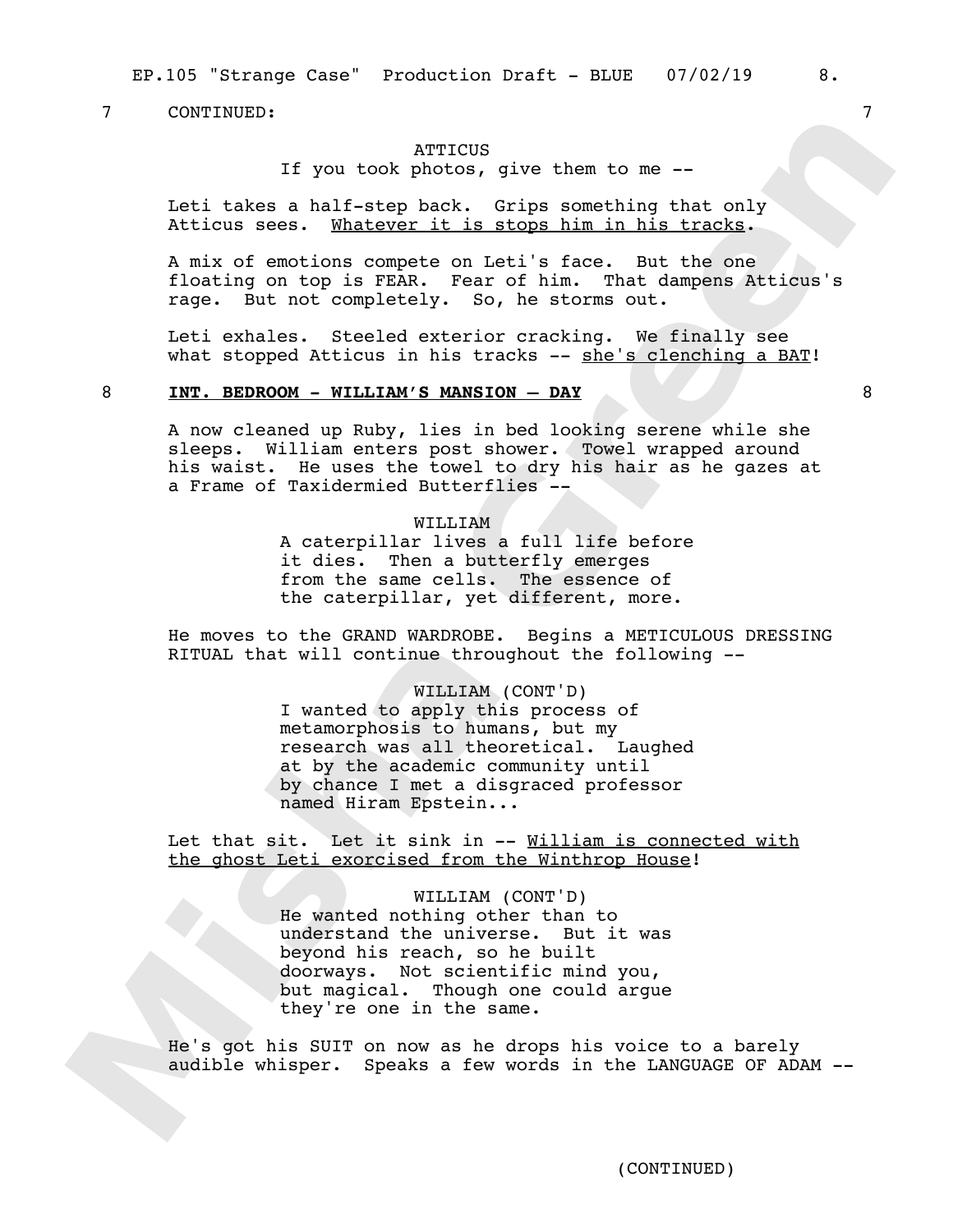EP.105 "Strange Case" Production Draft - BLUE 07/02/19 8.

## 7 CONTINUED: 7

## **ATTICUS**

If you took photos, give them to me --

Leti takes a half-step back. Grips something that only Atticus sees. Whatever it is stops him in his tracks.

A mix of emotions compete on Leti's face. But the one floating on top is FEAR. Fear of him. That dampens Atticus's rage. But not completely. So, he storms out.

Leti exhales. Steeled exterior cracking. We finally see what stopped Atticus in his tracks -- she's clenching a BAT!

## 8 **INT. BEDROOM - WILLIAM'S MANSION – DAY** 8

A now cleaned up Ruby, lies in bed looking serene while she sleeps. William enters post shower. Towel wrapped around his waist. He uses the towel to dry his hair as he gazes at a Frame of Taxidermied Butterflies --

> WILLIAM A caterpillar lives a full life before it dies. Then a butterfly emerges from the same cells. The essence of the caterpillar, yet different, more.

He moves to the GRAND WARDROBE. Begins a METICULOUS DRESSING RITUAL that will continue throughout the following --

#### WILLIAM (CONT'D)

I wanted to apply this process of metamorphosis to humans, but my research was all theoretical. Laughed at by the academic community until by chance I met a disgraced professor named Hiram Epstein...

Let that sit. Let it sink in -- William is connected with the ghost Leti exorcised from the Winthrop House!

> WILLIAM (CONT'D) He wanted nothing other than to understand the universe. But it was beyond his reach, so he built doorways. Not scientific mind you, but magical. Though one could argue they're one in the same.

He's got his SUIT on now as he drops his voice to a barely audible whisper. Speaks a few words in the LANGUAGE OF ADAM --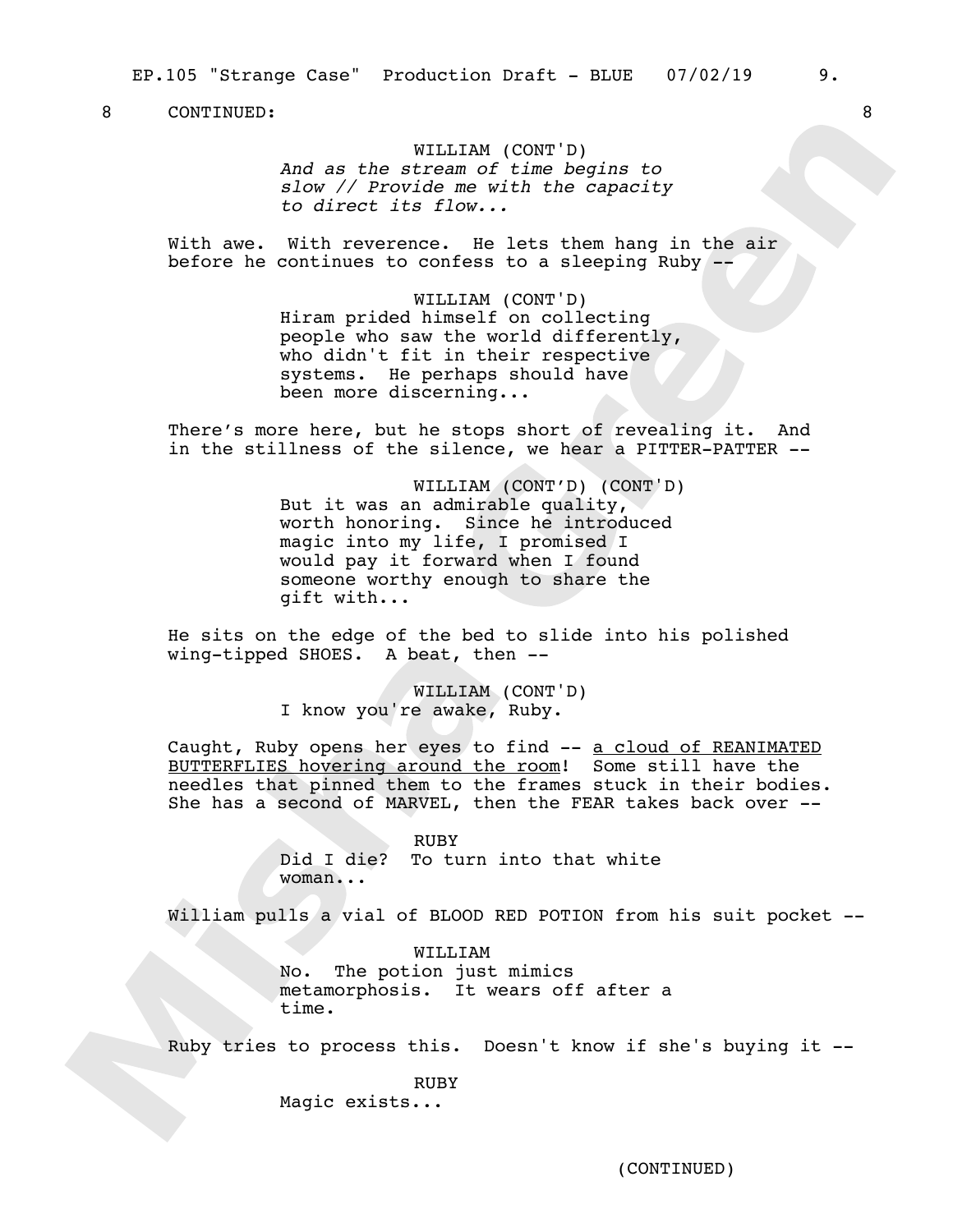## WILLIAM (CONT'D)

*And as the stream of time begins to slow // Provide me with the capacity to direct its flow...*

With awe. With reverence. He lets them hang in the air before he continues to confess to a sleeping Ruby

> WILLIAM (CONT'D) Hiram prided himself on collecting people who saw the world differently, who didn't fit in their respective systems. He perhaps should have been more discerning...

There's more here, but he stops short of revealing it. And in the stillness of the silence, we hear a PITTER-PATTER --

> WILLIAM (CONT'D) (CONT'D) But it was an admirable quality, worth honoring. Since he introduced magic into my life, I promised I would pay it forward when I found someone worthy enough to share the gift with...

He sits on the edge of the bed to slide into his polished wing-tipped SHOES. A beat, then --

> WILLIAM (CONT'D) I know you're awake, Ruby.

Caught, Ruby opens her eyes to find -- a cloud of REANIMATED BUTTERFLIES hovering around the room! Some still have the needles that pinned them to the frames stuck in their bodies. She has a second of MARVEL, then the FEAR takes back over --

> RUBY Did I die? To turn into that white woman...

William pulls a vial of BLOOD RED POTION from his suit pocket --

WILLIAM No. The potion just mimics metamorphosis. It wears off after a time.

Ruby tries to process this. Doesn't know if she's buying it --

RUBY Magic exists...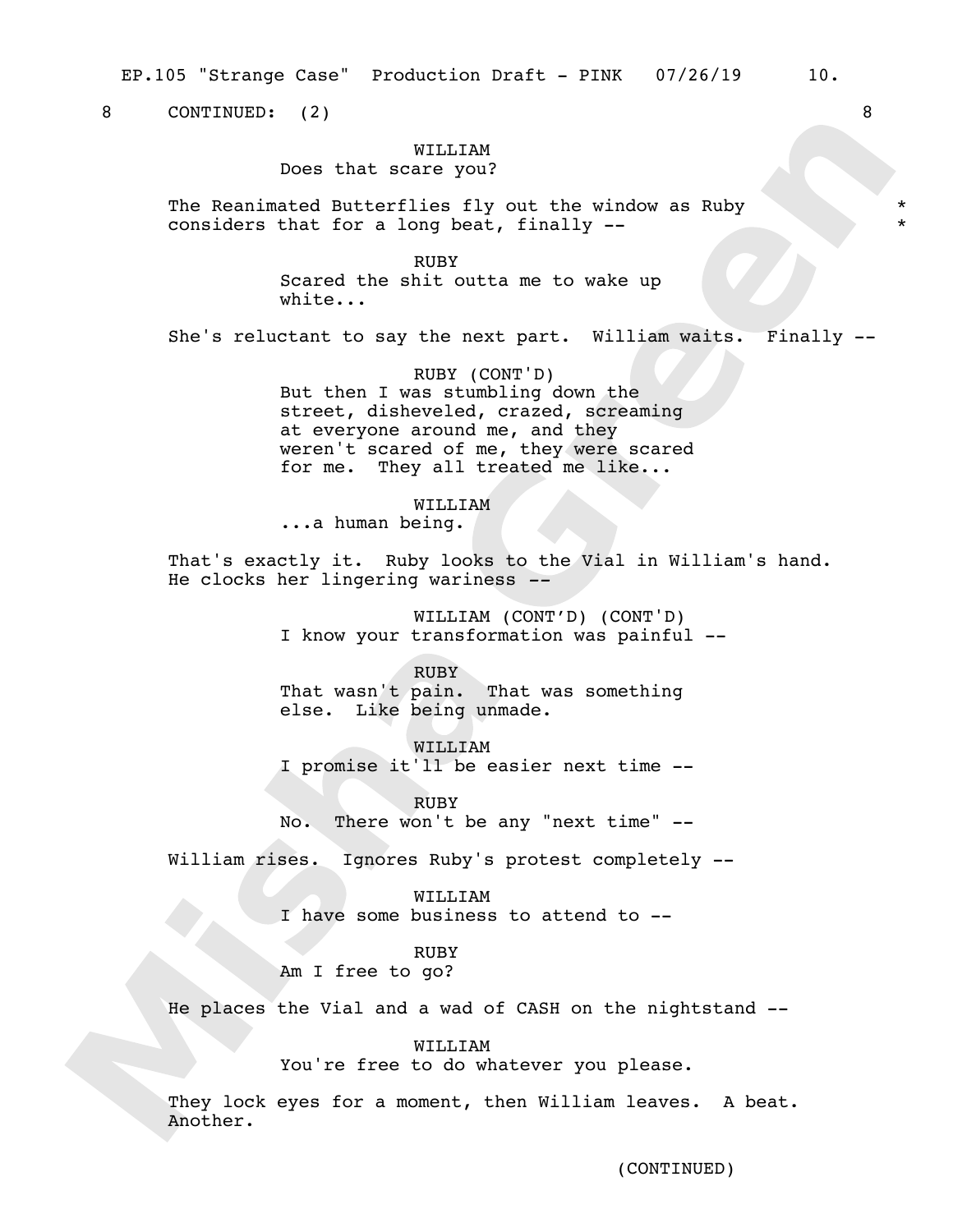EP.105 "Strange Case" Production Draft - PINK 07/26/19 10.

8 CONTINUED: (2) 8

## WILLITAM

Does that scare you?

The Reanimated Butterflies fly out the window as Ruby considers that for a long beat, finally --

> RUBY Scared the shit outta me to wake up white...

She's reluctant to say the next part. William waits. Finally --

\* \*

RUBY (CONT'D) But then I was stumbling down the street, disheveled, crazed, screaming at everyone around me, and they weren't scared of me, they were scared for me. They all treated me like...

## WILLIAM

...a human being.

That's exactly it. Ruby looks to the Vial in William's hand. He clocks her lingering wariness *--*

> WILLIAM (CONT'D) (CONT'D) I know your transformation was painful --

RUBY That wasn't pain. That was something else. Like being unmade.

WILLIAM I promise it'll be easier next time --

RUBY No. There won't be any "next time" --

William rises. Ignores Ruby's protest completely --

WILLIAM I have some business to attend to --

# RUBY

Am I free to go?

He places the Vial and a wad of CASH on the nightstand --

#### WILLIAM

You're free to do whatever you please.

They lock eyes for a moment, then William leaves. A beat. Another.

(CONTINUED)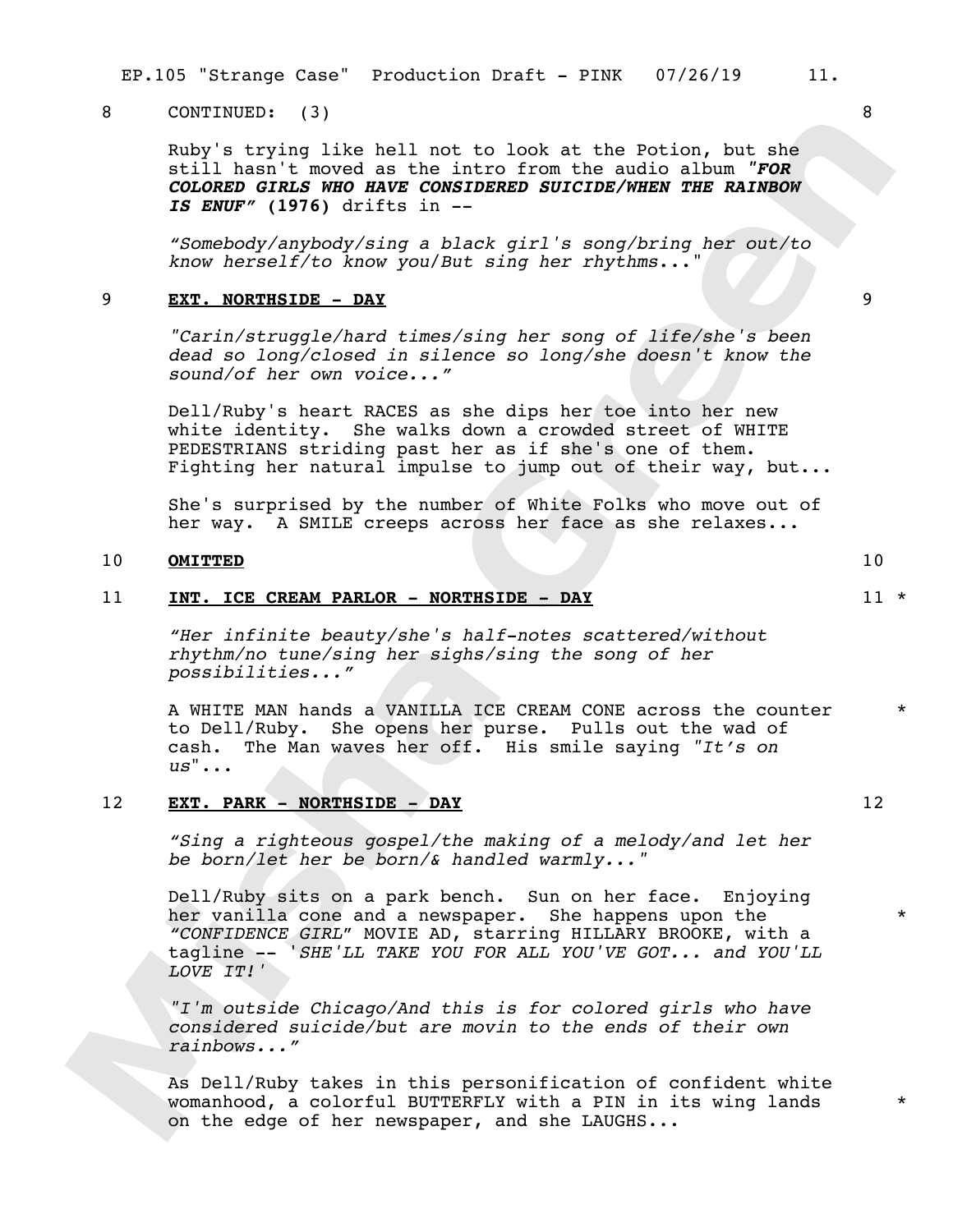EP.105 "Strange Case" Production Draft - PINK 07/26/19 11.

## 8 CONTINUED: (3) 8

Ruby's trying like hell not to look at the Potion, but she still hasn't moved as the intro from the audio album *"FOR COLORED GIRLS WHO HAVE CONSIDERED SUICIDE/WHEN THE RAINBOW IS ENUF"* **(1976)** drifts in --

*"Somebody/anybody/sing a black girl's song/bring her out/to know herself/to know you*/*But sing her rhythms*..."

## 9 **EXT. NORTHSIDE - DAY** 9

*"Carin/struggle/hard times/sing her song of life/she's been dead so long/closed in silence so long/she doesn't know the sound/of her own voice..."* 

Dell/Ruby's heart RACES as she dips her toe into her new white identity. She walks down a crowded street of WHITE PEDESTRIANS striding past her as if she's one of them. Fighting her natural impulse to jump out of their way, but...

She's surprised by the number of White Folks who move out of her way. A SMILE creeps across her face as she relaxes...

## 10 **OMITTED** 10

#### 11 **INT. ICE CREAM PARLOR - NORTHSIDE - DAY** 11 \*

*"Her infinite beauty/she's half-notes scattered/without rhythm/no tune/sing her sighs/sing the song of her possibilities..."* 

A WHITE MAN hands a VANILLA ICE CREAM CONE across the counter to Dell/Ruby. She opens her purse. Pulls out the wad of cash. The Man waves her off. His smile saying *"It's on us*"... \*

### 12 **EXT. PARK - NORTHSIDE - DAY** 12

*"Sing a righteous gospel/the making of a melody/and let her be born/let her be born/& handled warmly..."*

Dell/Ruby sits on a park bench. Sun on her face. Enjoying her vanilla cone and a newspaper. She happens upon the *"CONFIDENCE GIRL*" MOVIE AD, starring HILLARY BROOKE, with a tagline -- '*SHE'LL TAKE YOU FOR ALL YOU'VE GOT... and YOU'LL LOVE IT!'* 

*"I'm outside Chicago/And this is for colored girls who have considered suicide/but are movin to the ends of their own rainbows..."*

As Dell/Ruby takes in this personification of confident white womanhood, a colorful BUTTERFLY with a PIN in its wing lands on the edge of her newspaper, and she LAUGHS...



\*

\*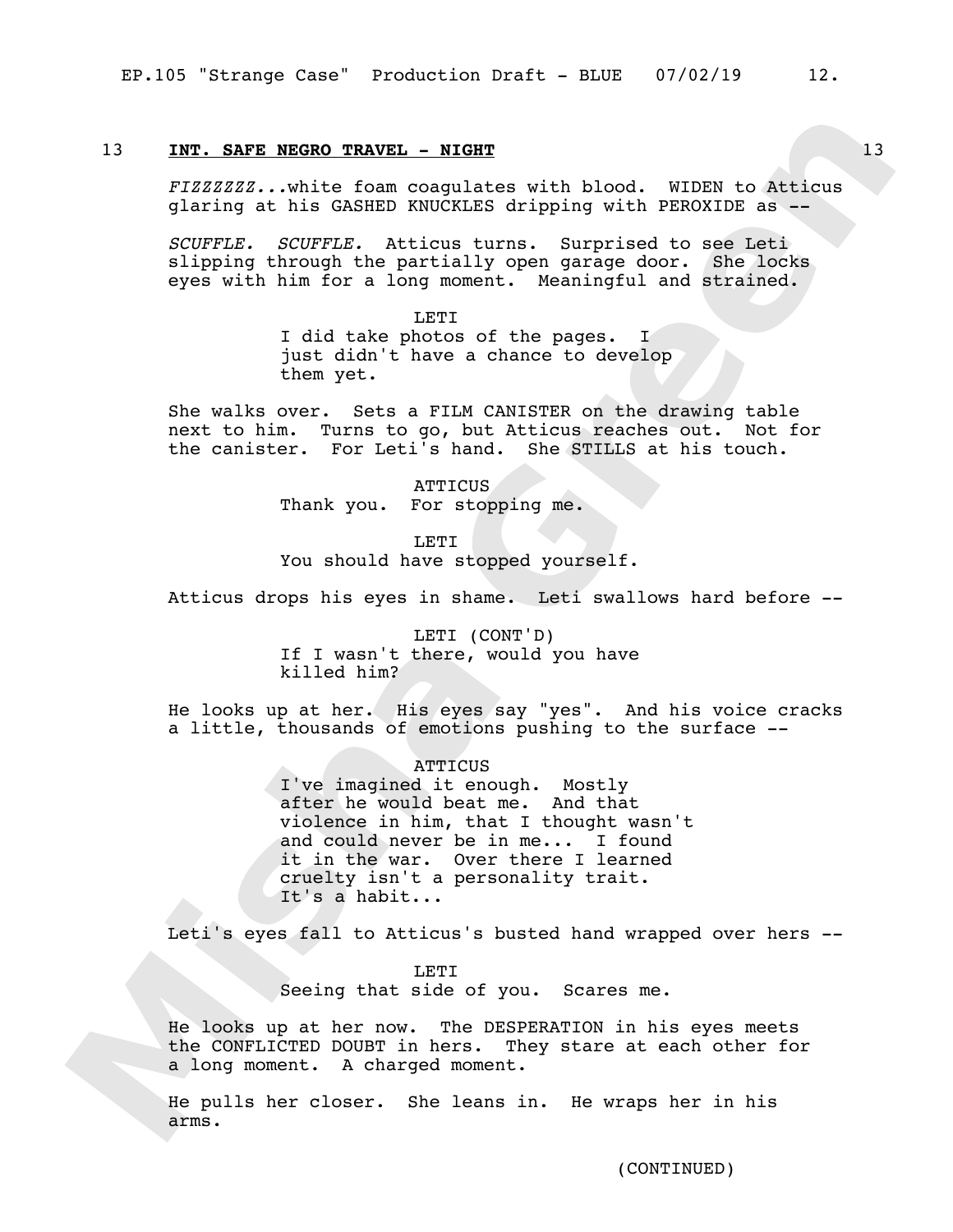## 13 **INT. SAFE NEGRO TRAVEL - NIGHT** 13 **13**

*FIZZZZZZ...*white foam coagulates with blood. WIDEN to Atticus glaring at his GASHED KNUCKLES dripping with PEROXIDE as --

*SCUFFLE. SCUFFLE.* Atticus turns. Surprised to see Leti slipping through the partially open garage door. She locks eyes with him for a long moment. Meaningful and strained.

> LETI I did take photos of the pages. I just didn't have a chance to develop them yet.

She walks over. Sets a FILM CANISTER on the drawing table next to him. Turns to go, but Atticus reaches out. Not for the canister. For Leti's hand. She STILLS at his touch.

> ATTICUS Thank you. For stopping me.

LETI You should have stopped yourself.

Atticus drops his eyes in shame. Leti swallows hard before --

LETI (CONT'D) If I wasn't there, would you have killed him?

He looks up at her. His eyes say "yes". And his voice cracks a little, thousands of emotions pushing to the surface --

**ATTICUS** 

I've imagined it enough. Mostly after he would beat me. And that violence in him, that I thought wasn't and could never be in me... I found it in the war. Over there I learned cruelty isn't a personality trait. It's a habit...

Leti's eyes fall to Atticus's busted hand wrapped over hers --

LETI Seeing that side of you. Scares me.

He looks up at her now. The DESPERATION in his eyes meets the CONFLICTED DOUBT in hers. They stare at each other for a long moment. A charged moment.

He pulls her closer. She leans in. He wraps her in his arms.

(CONTINUED)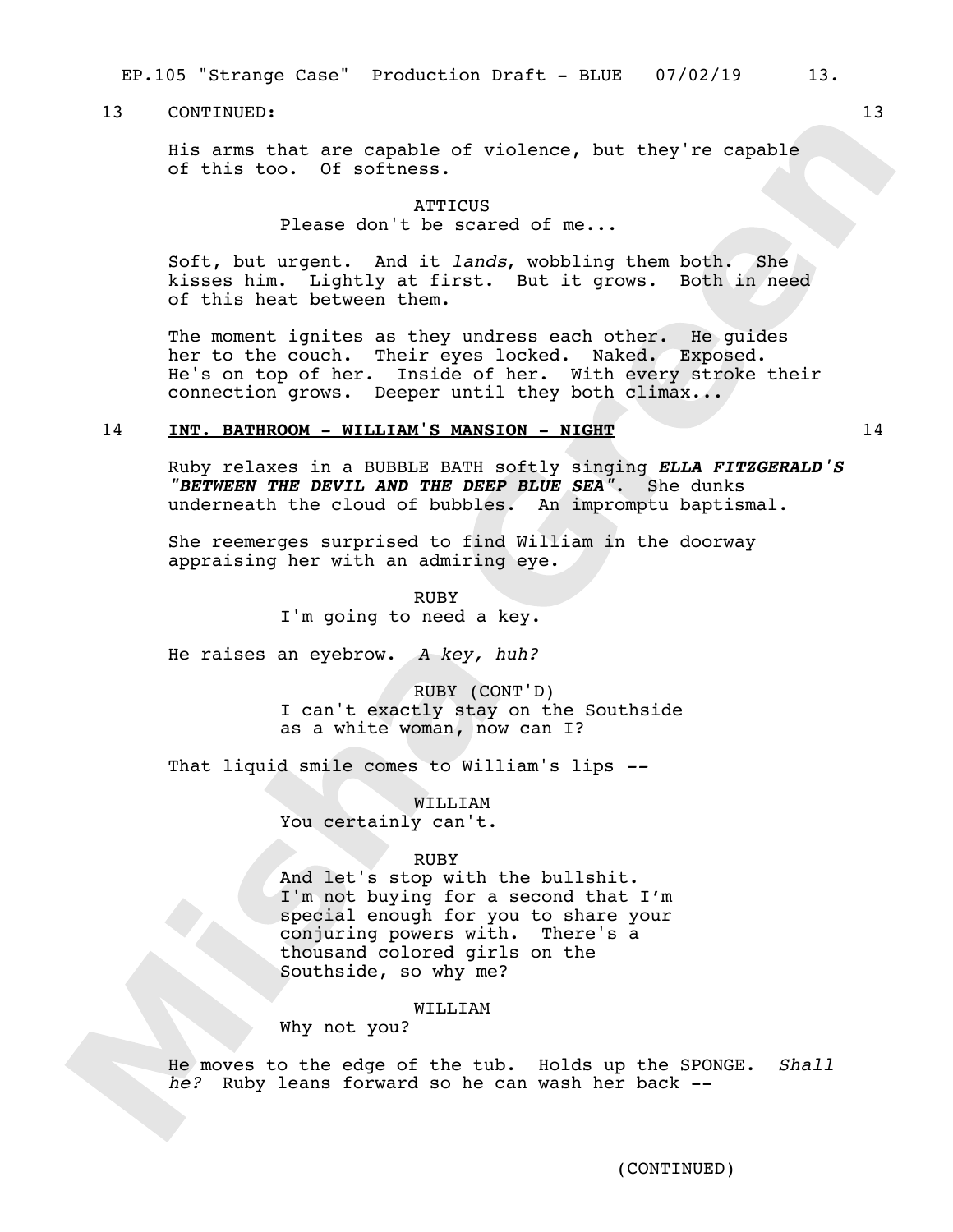EP.105 "Strange Case" Production Draft - BLUE 07/02/19 13.

## 13 CONTINUED: 13

His arms that are capable of violence, but they're capable of this too. Of softness.

> **ATTICUS** Please don't be scared of me...

Soft, but urgent. And it *lands*, wobbling them both. She kisses him. Lightly at first. But it grows. Both in need of this heat between them.

The moment ignites as they undress each other. He guides her to the couch. Their eyes locked. Naked. Exposed. He's on top of her. Inside of her. With every stroke their connection grows. Deeper until they both climax...

## 14 **INT. BATHROOM - WILLIAM'S MANSION - NIGHT** 14

Ruby relaxes in a BUBBLE BATH softly singing *ELLA FITZGERALD'S "BETWEEN THE DEVIL AND THE DEEP BLUE SEA"*. She dunks underneath the cloud of bubbles. An impromptu baptismal.

She reemerges surprised to find William in the doorway appraising her with an admiring eye.

> RUBY I'm going to need a key.

He raises an eyebrow. *A key, huh?* 

RUBY (CONT'D) I can't exactly stay on the Southside as a white woman, now can I?

That liquid smile comes to William's lips *--*

WILLIAM You certainly can't.

## RUBY

And let's stop with the bullshit. I'm not buying for a second that I'm special enough for you to share your conjuring powers with. There's a thousand colored girls on the Southside, so why me?

## WILLIAM

Why not you?

He moves to the edge of the tub. Holds up the SPONGE. *Shall he?* Ruby leans forward so he can wash her back --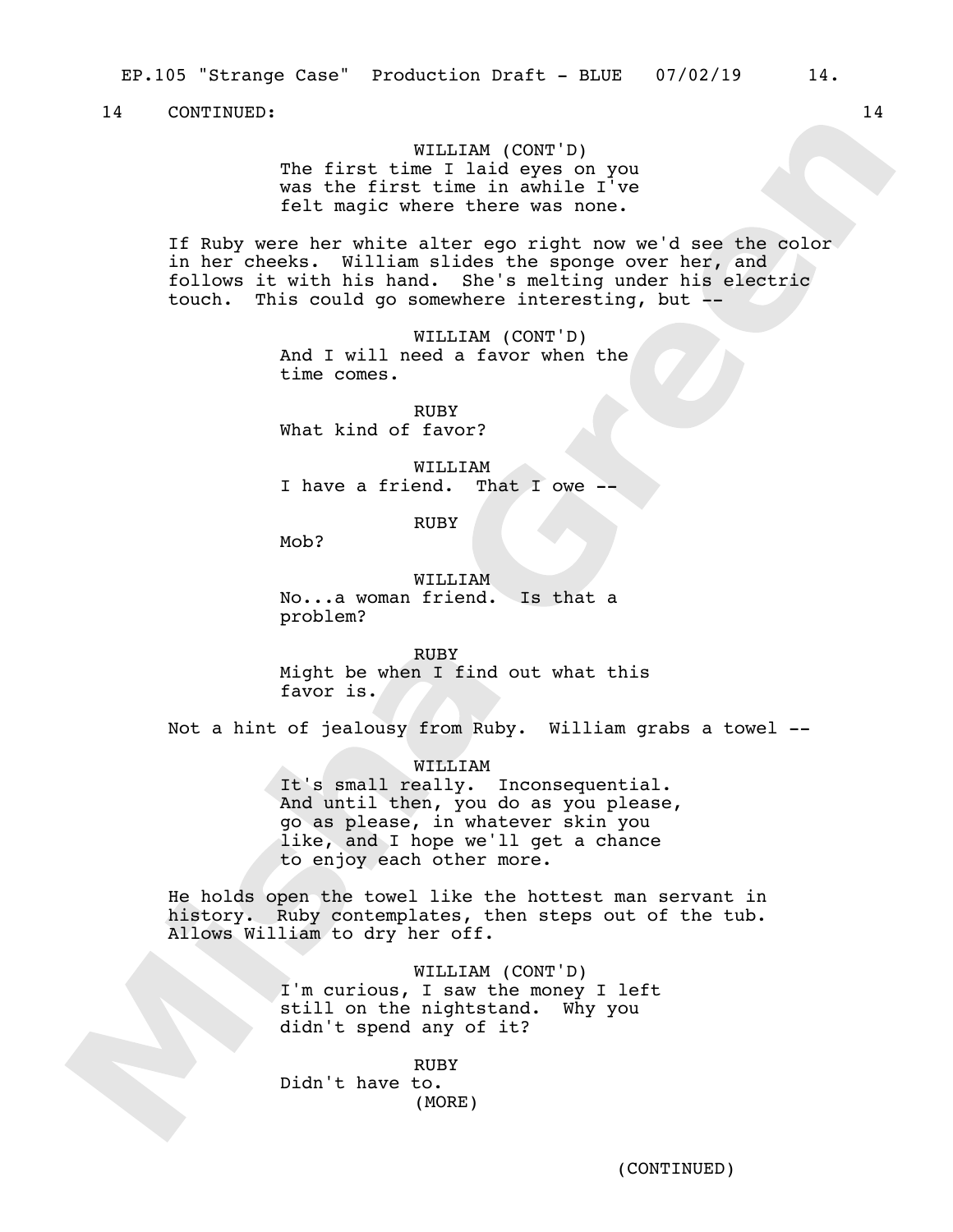WILLIAM (CONT'D) The first time I laid eyes on you was the first time in awhile I've felt magic where there was none.

If Ruby were her white alter ego right now we'd see the color in her cheeks. William slides the sponge over her, and follows it with his hand. She's melting under his electric touch. This could go somewhere interesting, but --

> WILLIAM (CONT'D) And I will need a favor when the time comes.

RUBY What kind of favor?

WILLIAM I have a friend. That  $I$  owe -

RUBY

Mob?

WILLIAM No...a woman friend. Is that a problem?

RUBY Might be when I find out what this favor is.

Not a hint of jealousy from Ruby. William grabs a towel --

WILLIAM

It's small really. Inconsequential. And until then, you do as you please, go as please, in whatever skin you like, and I hope we'll get a chance to enjoy each other more.

He holds open the towel like the hottest man servant in history. Ruby contemplates, then steps out of the tub. Allows William to dry her off.

> WILLIAM (CONT'D) I'm curious, I saw the money I left still on the nightstand. Why you didn't spend any of it?

RUBY Didn't have to. (MORE)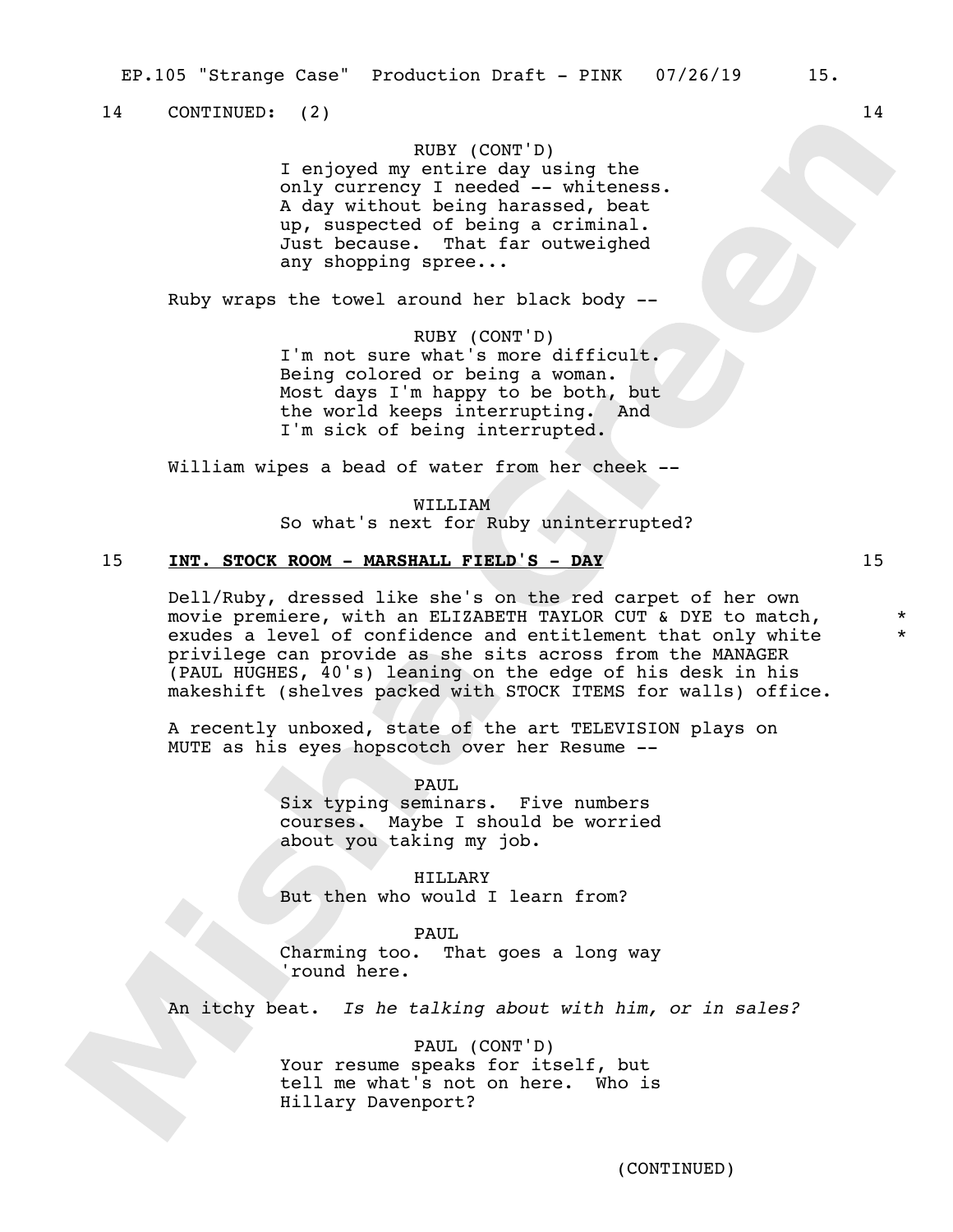14 CONTINUED: (2) 14

## RUBY (CONT'D)

I enjoyed my entire day using the only currency I needed -- whiteness. A day without being harassed, beat up, suspected of being a criminal. Just because. That far outweighed any shopping spree...

Ruby wraps the towel around her black body --

## RUBY (CONT'D)

I'm not sure what's more difficult. Being colored or being a woman. Most days I'm happy to be both, but the world keeps interrupting. And I'm sick of being interrupted.

William wipes a bead of water from her cheek --

WILLIAM

So what's next for Ruby uninterrupted?

## 15 **INT. STOCK ROOM - MARSHALL FIELD'S - DAY** 15

Dell/Ruby, dressed like she's on the red carpet of her own movie premiere, with an ELIZABETH TAYLOR CUT & DYE to match, exudes a level of confidence and entitlement that only white privilege can provide as she sits across from the MANAGER (PAUL HUGHES, 40's) leaning on the edge of his desk in his makeshift (shelves packed with STOCK ITEMS for walls) office.

A recently unboxed, state of the art TELEVISION plays on MUTE as his eyes hopscotch over her Resume --

> PAUL Six typing seminars. Five numbers courses. Maybe I should be worried about you taking my job.

HILLARY But then who would I learn from?

PAUL Charming too. That goes a long way 'round here.

An itchy beat. *Is he talking about with him, or in sales?*

PAUL (CONT'D) Your resume speaks for itself, but tell me what's not on here. Who is Hillary Davenport?

\* \*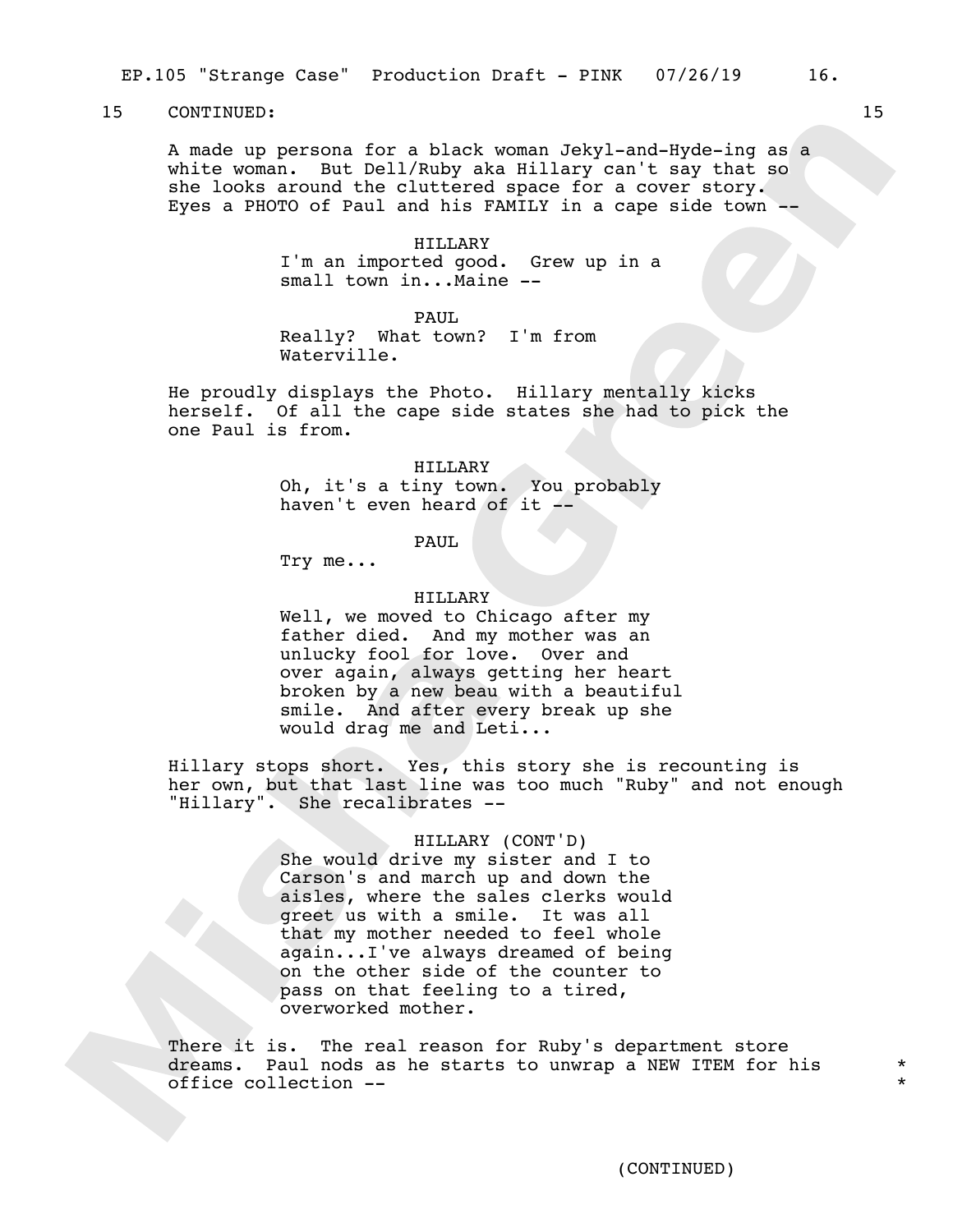A made up persona for a black woman Jekyl-and-Hyde-ing as a white woman. But Dell/Ruby aka Hillary can't say that so she looks around the cluttered space for a cover story. Eyes a PHOTO of Paul and his FAMILY in a cape side town --

> HILLARY I'm an imported good. Grew up in a small town in...Maine --

PAIIT. Really? What town? I'm from Waterville.

He proudly displays the Photo. Hillary mentally kicks herself. Of all the cape side states she had to pick the one Paul is from.

> HILLARY Oh, it's a tiny town. You probably haven't even heard of it --

> > PAUL

Try me...

## HILLARY

Well, we moved to Chicago after my father died. And my mother was an unlucky fool for love. Over and over again, always getting her heart broken by a new beau with a beautiful smile. And after every break up she would drag me and Leti...

Hillary stops short. Yes, this story she is recounting is her own, but that last line was too much "Ruby" and not enough "Hillary". She recalibrates --

HILLARY (CONT'D)

She would drive my sister and I to Carson's and march up and down the aisles, where the sales clerks would greet us with a smile. It was all that my mother needed to feel whole again...I've always dreamed of being on the other side of the counter to pass on that feeling to a tired, overworked mother.

There it is. The real reason for Ruby's department store dreams. Paul nods as he starts to unwrap a NEW ITEM for his office collection --

\* \*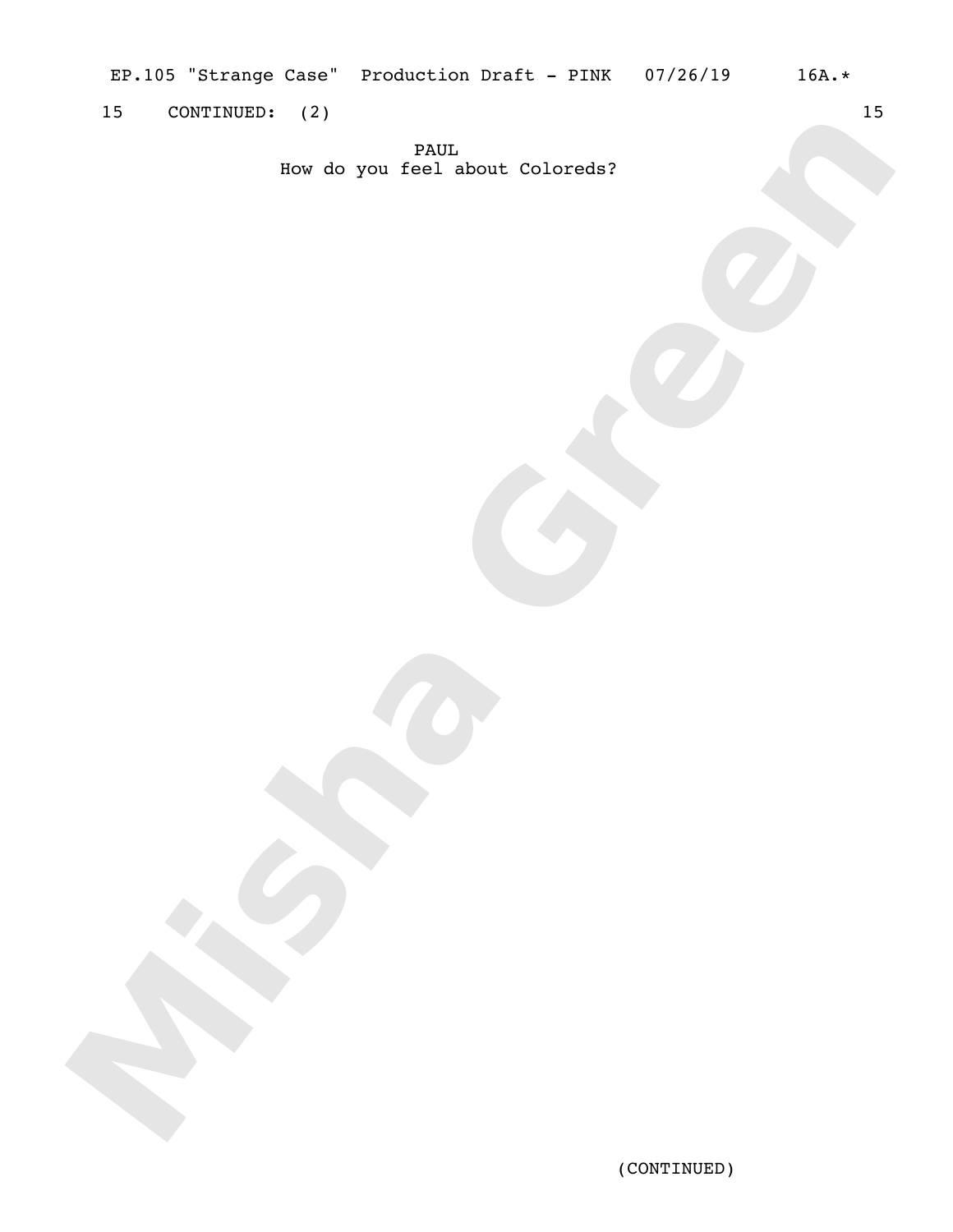EP.105 "Strange Case" Production Draft - PINK 07/26/19 16A.\*

15 CONTINUED: (2) 15

PAUL How do you feel about Coloreds?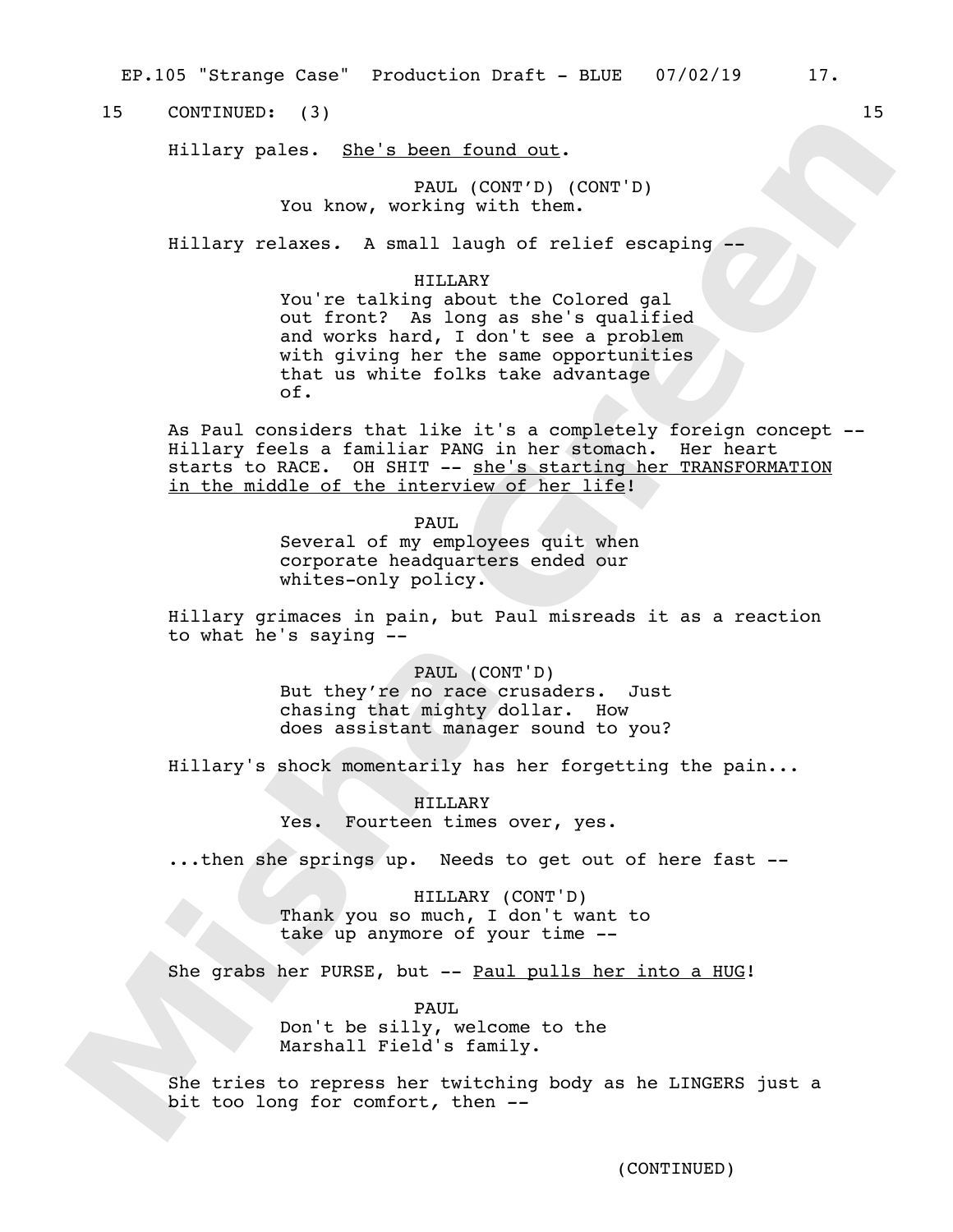EP.105 "Strange Case" Production Draft - BLUE 07/02/19 17.

15 CONTINUED: (3) 15

Hillary pales. She's been found out.

PAUL (CONT'D) (CONT'D) You know, working with them.

Hillary relaxes*.* A small laugh of relief escaping --

#### HILLARY

You're talking about the Colored gal out front? As long as she's qualified and works hard, I don't see a problem with giving her the same opportunities that us white folks take advantage of.

As Paul considers that like it's a completely foreign concept -- Hillary feels a familiar PANG in her stomach. Her heart starts to RACE. OH SHIT -- she's starting her TRANSFORMATION in the middle of the interview of her life!

> PAUL Several of my employees quit when corporate headquarters ended our whites-only policy.

Hillary grimaces in pain, but Paul misreads it as a reaction to what he's saying --

> PAUL (CONT'D) But they're no race crusaders. Just chasing that mighty dollar. How does assistant manager sound to you?

Hillary's shock momentarily has her forgetting the pain...

HILLARY Yes. Fourteen times over, yes.

...then she springs up. Needs to get out of here fast --

HILLARY (CONT'D) Thank you so much, I don't want to take up anymore of your time --

She grabs her PURSE, but -- Paul pulls her into a HUG!

PAUL Don't be silly, welcome to the Marshall Field's family.

She tries to repress her twitching body as he LINGERS just a bit too long for comfort*,* then *--*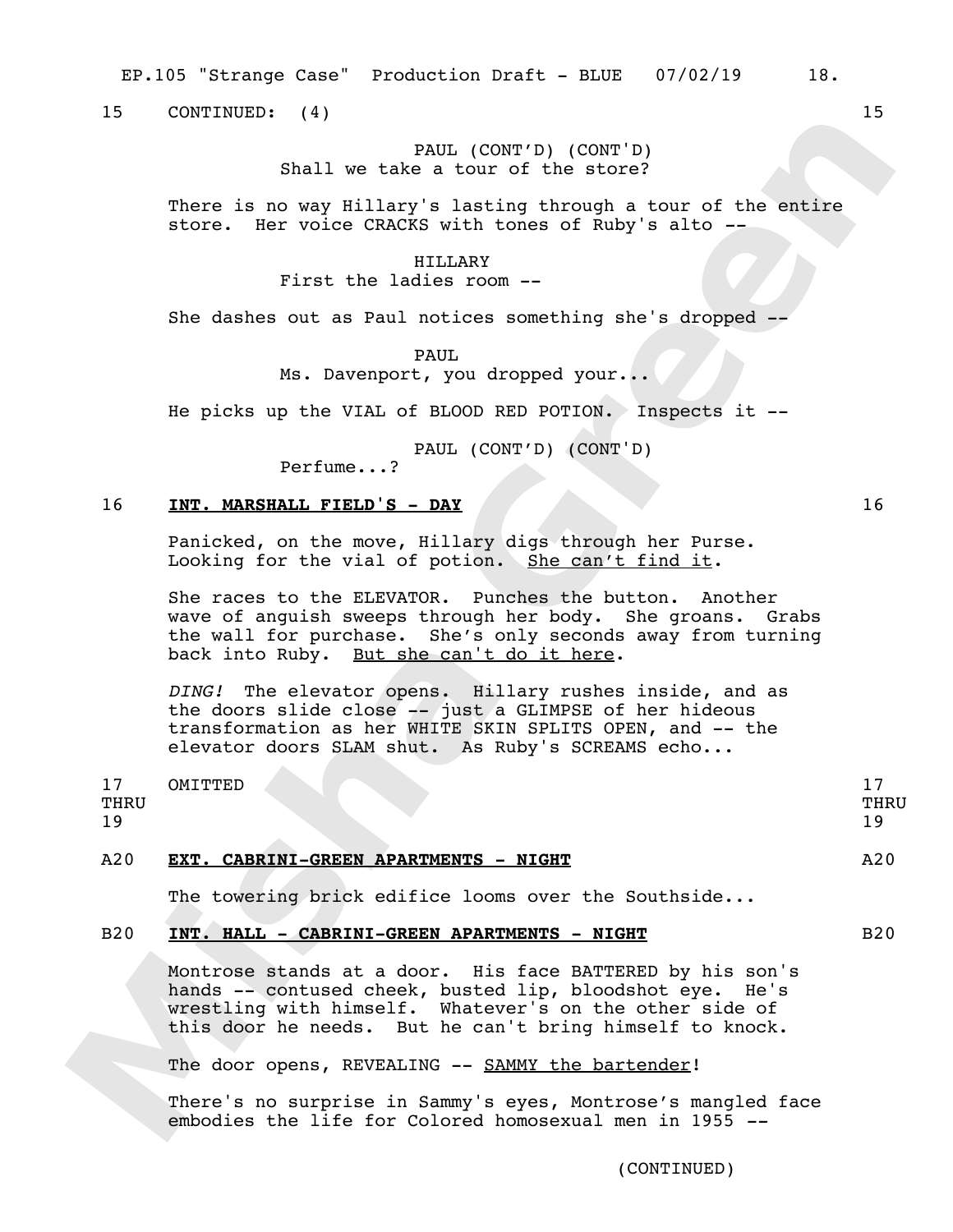EP.105 "Strange Case" Production Draft - BLUE 07/02/19 18.

15 CONTINUED: (4) 15

## PAUL (CONT'D) (CONT'D) Shall we take a tour of the store?

There is no way Hillary's lasting through a tour of the entire store. Her voice CRACKS with tones of Ruby's alto *--*

#### HILLARY

First the ladies room --

She dashes out as Paul notices something she's dropped --

PAUL

Ms. Davenport, you dropped your...

He picks up the VIAL of BLOOD RED POTION. Inspects it --

PAUL (CONT'D) (CONT'D)

Perfume...?

## 16 **INT. MARSHALL FIELD'S - DAY** 16

Panicked, on the move, Hillary digs through her Purse. Looking for the vial of potion. She can't find it.

She races to the ELEVATOR. Punches the button. Another wave of anguish sweeps through her body. She groans. Grabs the wall for purchase. She's only seconds away from turning back into Ruby. But she can't do it here.

*DING!* The elevator opens. Hillary rushes inside, and as the doors slide close -- just a GLIMPSE of her hideous transformation as her WHITE SKIN SPLITS OPEN, and -- the elevator doors SLAM shut. As Ruby's SCREAMS echo...

17 THRU 19 OMITTED 17 THRU 19 A20 **EXT. CABRINI-GREEN APARTMENTS - NIGHT** A20

The towering brick edifice looms over the Southside...

## B20 **INT. HALL - CABRINI-GREEN APARTMENTS - NIGHT** B20 B20

Montrose stands at a door. His face BATTERED by his son's hands -- contused cheek, busted lip, bloodshot eye. He's wrestling with himself. Whatever's on the other side of this door he needs. But he can't bring himself to knock.

The door opens, REVEALING -- SAMMY the bartender!

There's no surprise in Sammy's eyes, Montrose's mangled face embodies the life for Colored homosexual men in 1955 *--*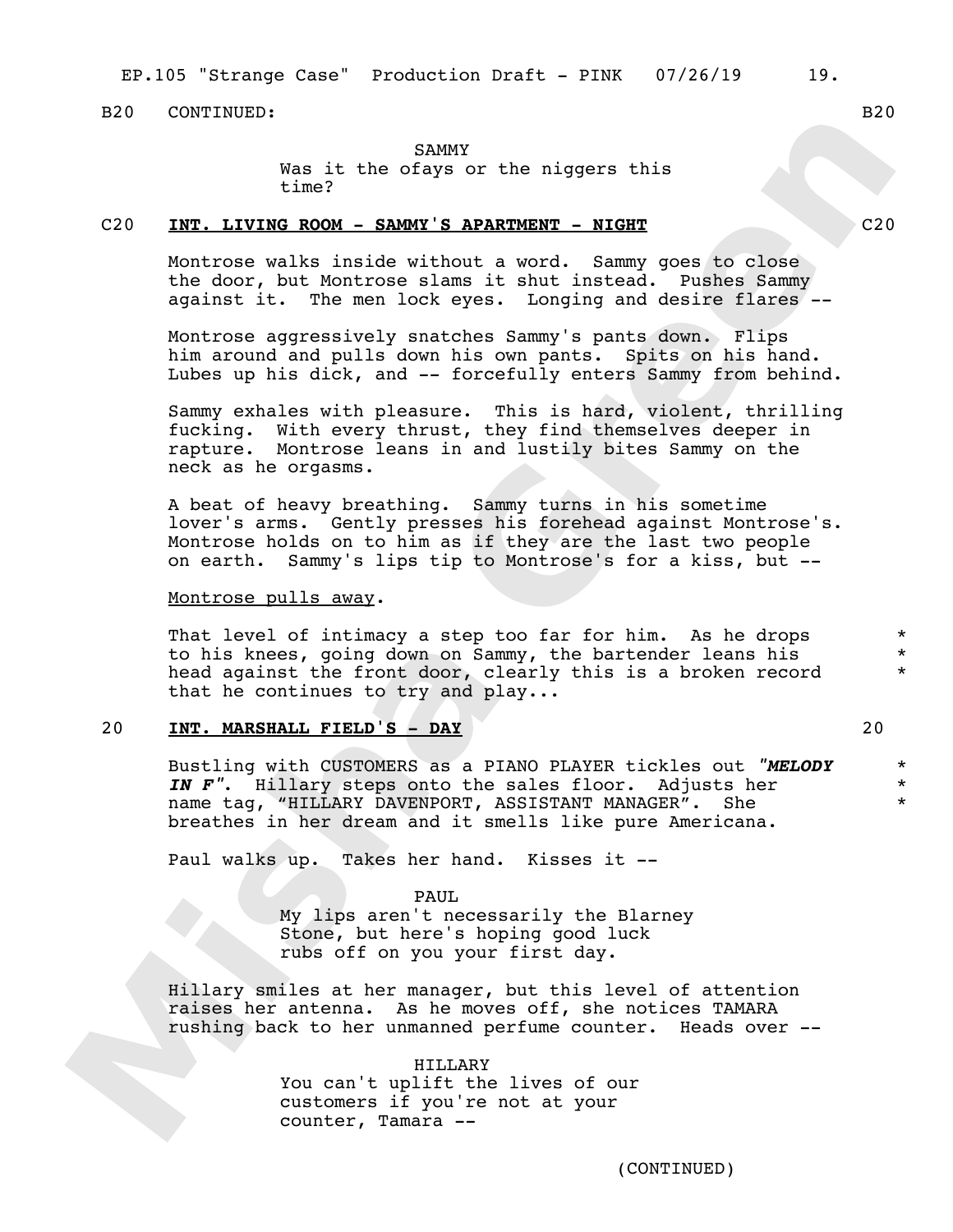## B<sub>20</sub> CONTINUED: B<sub>20</sub>

## SAMMY

Was it the ofays or the niggers this time?

## C20 **INT. LIVING ROOM - SAMMY'S APARTMENT - NIGHT** C20

Montrose walks inside without a word. Sammy goes to close the door, but Montrose slams it shut instead. Pushes Sammy against it. The men lock eyes. Longing and desire flares --

Montrose aggressively snatches Sammy's pants down. Flips him around and pulls down his own pants. Spits on his hand. Lubes up his dick, and -- forcefully enters Sammy from behind.

Sammy exhales with pleasure. This is hard, violent, thrilling fucking. With every thrust, they find themselves deeper in rapture. Montrose leans in and lustily bites Sammy on the neck as he orgasms.

A beat of heavy breathing. Sammy turns in his sometime lover's arms. Gently presses his forehead against Montrose's. Montrose holds on to him as if they are the last two people on earth. Sammy's lips tip to Montrose's for a kiss, but --

## Montrose pulls away.

That level of intimacy a step too far for him. As he drops to his knees, going down on Sammy, the bartender leans his head against the front door, clearly this is a broken record that he continues to try and play...

## 20 **INT. MARSHALL FIELD'S - DAY** 20

Bustling with CUSTOMERS as a PIANO PLAYER tickles out *"MELODY IN F"*. Hillary steps onto the sales floor. Adjusts her name tag, "HILLARY DAVENPORT, ASSISTANT MANAGER". She breathes in her dream and it smells like pure Americana.

Paul walks up. Takes her hand. Kisses it --

## PAUL

My lips aren't necessarily the Blarney Stone, but here's hoping good luck rubs off on you your first day.

Hillary smiles at her manager, but this level of attention raises her antenna. As he moves off, she notices TAMARA rushing back to her unmanned perfume counter. Heads over --

## HILLARY

You can't uplift the lives of our customers if you're not at your counter, Tamara --

\* \* \*

\* \* \*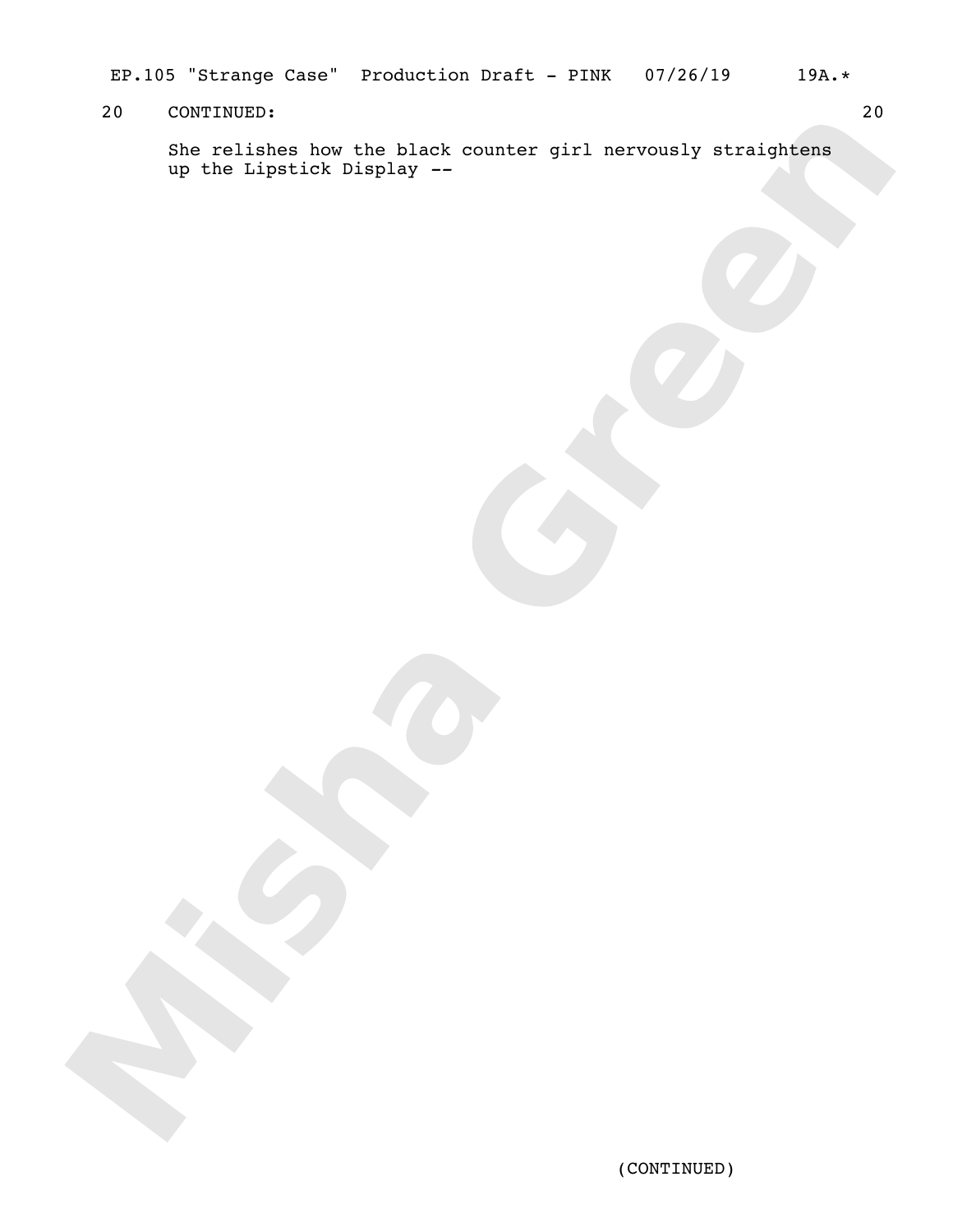EP.105 "Strange Case" Production Draft - PINK 07/26/19 19A.\*

## 20 CONTINUED: 20

She relishes how the black counter girl nervously straightens up the Lipstick Display *--*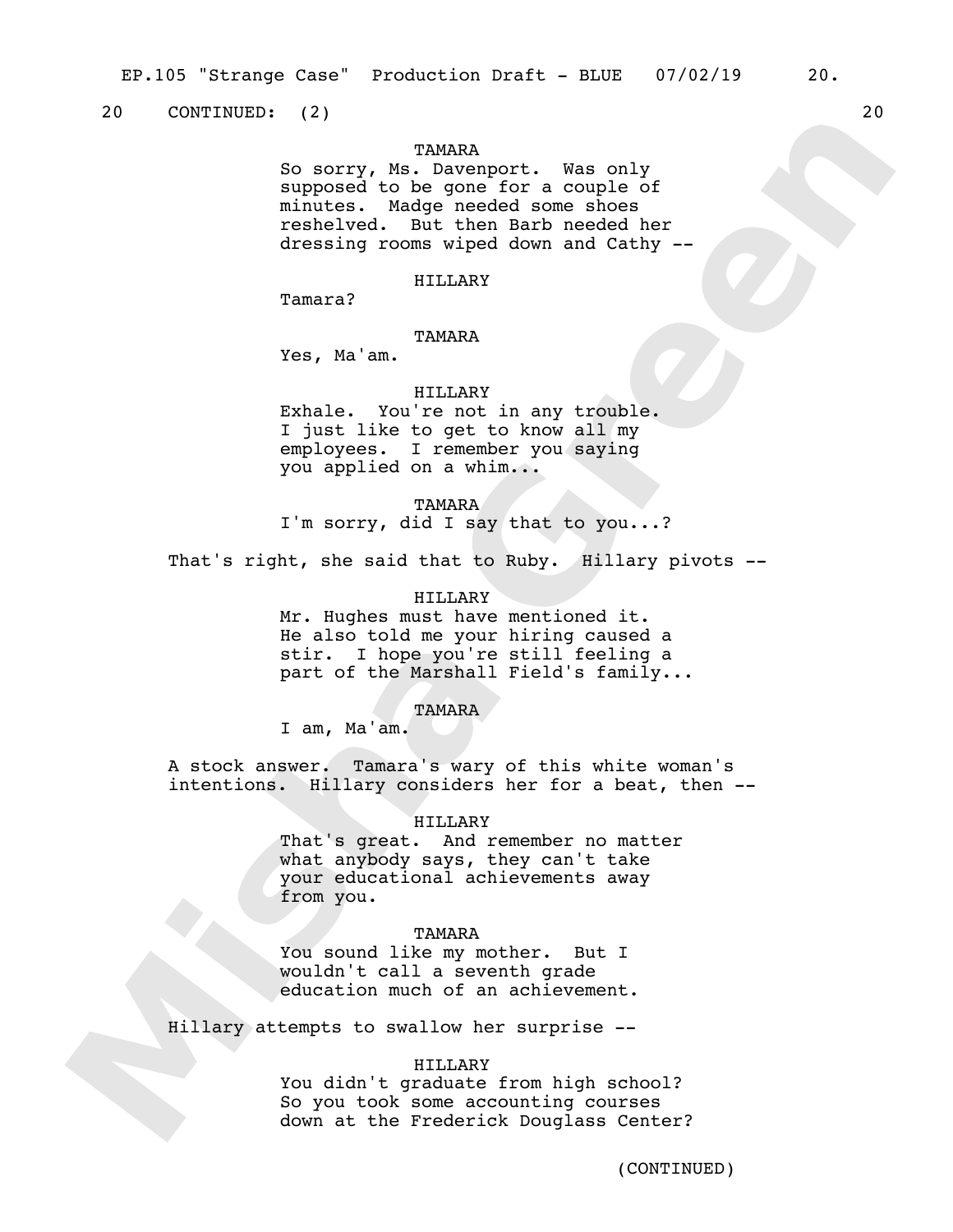20 CONTINUED: (2) 20 20

## **TAMARA**

So sorry, Ms. Davenport. Was only supposed to be gone for a couple of minutes. Madge needed some shoes reshelved. But then Barb needed her dressing rooms wiped down and Cathy --

## HILLARY

Tamara?

#### TAMARA

Yes, Ma'am.

## HILLARY

Exhale. You're not in any trouble. I just like to get to know all my employees. I remember you saying you applied on a whim...

TAMARA

I'm sorry, did I say that to you...?

That's right, she said that to Ruby. Hillary pivots --

## HILLARY

Mr. Hughes must have mentioned it. He also told me your hiring caused a stir. I hope you're still feeling a part of the Marshall Field's family...

### TAMARA

I am, Ma'am.

A stock answer. Tamara's wary of this white woman's intentions. Hillary considers her for a beat, then --

#### HILLARY

That's great. And remember no matter what anybody says, they can't take your educational achievements away from you.

## TAMARA

You sound like my mother. But I wouldn't call a seventh grade education much of an achievement.

Hillary attempts to swallow her surprise --

#### HILLARY

You didn't graduate from high school? So you took some accounting courses down at the Frederick Douglass Center?

(CONTINUED)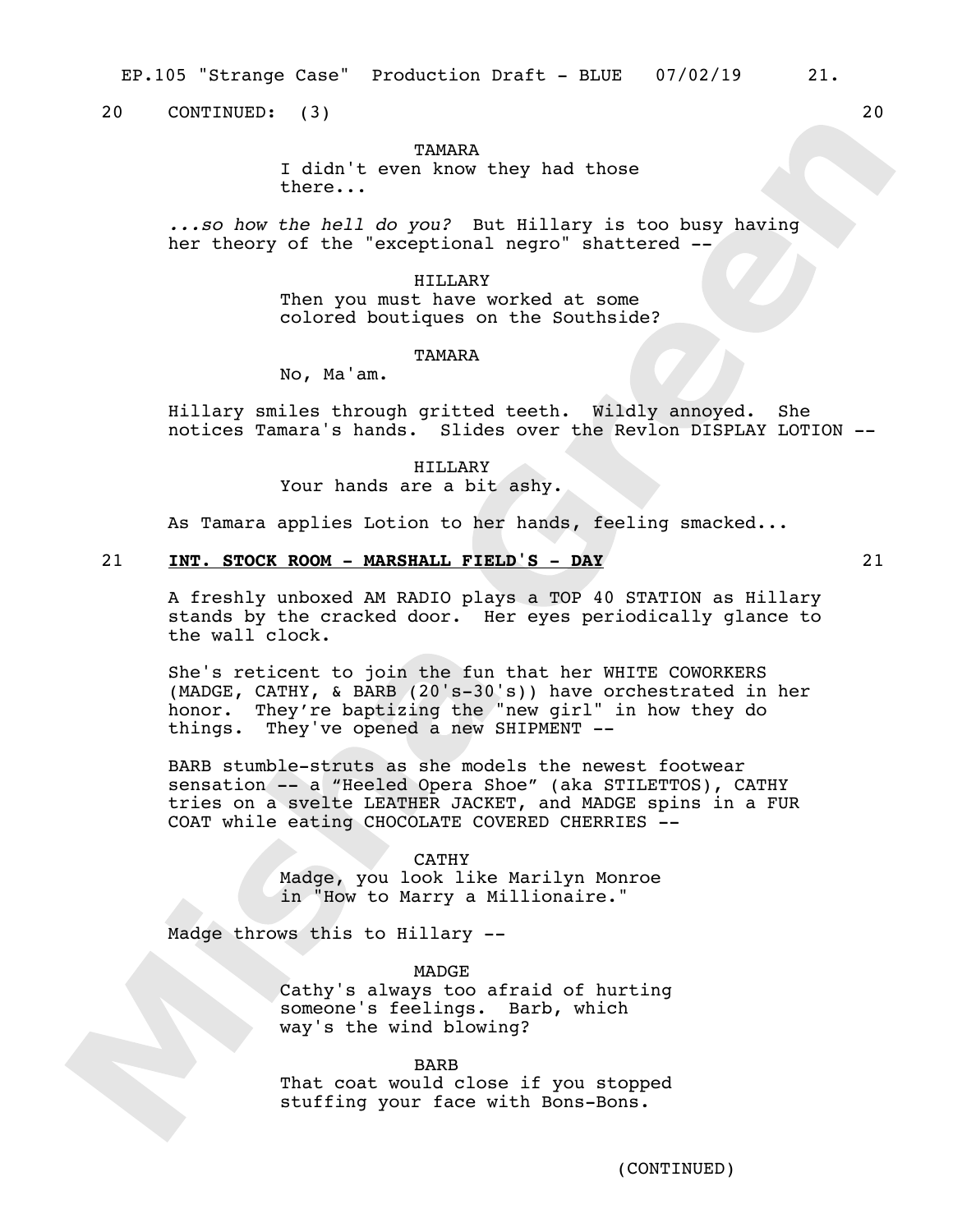EP.105 "Strange Case" Production Draft - BLUE 07/02/19 21.

20 CONTINUED: (3) 20

## **TAMARA**

I didn't even know they had those there...

*...so how the hell do you?* But Hillary is too busy having her theory of the "exceptional negro" shattered --

### HILLARY

Then you must have worked at some colored boutiques on the Southside?

## **TAMARA**

No, Ma'am.

Hillary smiles through gritted teeth. Wildly annoyed. She notices Tamara's hands. Slides over the Revlon DISPLAY LOTION --

> HILLARY Your hands are a bit ashy.

As Tamara applies Lotion to her hands, feeling smacked...

## 21 **INT. STOCK ROOM - MARSHALL FIELD'S - DAY** 21

A freshly unboxed AM RADIO plays a TOP 40 STATION as Hillary stands by the cracked door. Her eyes periodically glance to the wall clock.

She's reticent to join the fun that her WHITE COWORKERS (MADGE, CATHY, & BARB (20's-30's)) have orchestrated in her honor. They're baptizing the "new girl" in how they do things. They've opened a new SHIPMENT --

BARB stumble-struts as she models the newest footwear sensation -- a "Heeled Opera Shoe" (aka STILETTOS), CATHY tries on a svelte LEATHER JACKET, and MADGE spins in a FUR COAT while eating CHOCOLATE COVERED CHERRIES --

#### CATHY

Madge, you look like Marilyn Monroe in "How to Marry a Millionaire."

Madge throws this to Hillary --

MADGE Cathy's always too afraid of hurting someone's feelings. Barb, which way's the wind blowing?

#### BARB

That coat would close if you stopped stuffing your face with Bons-Bons.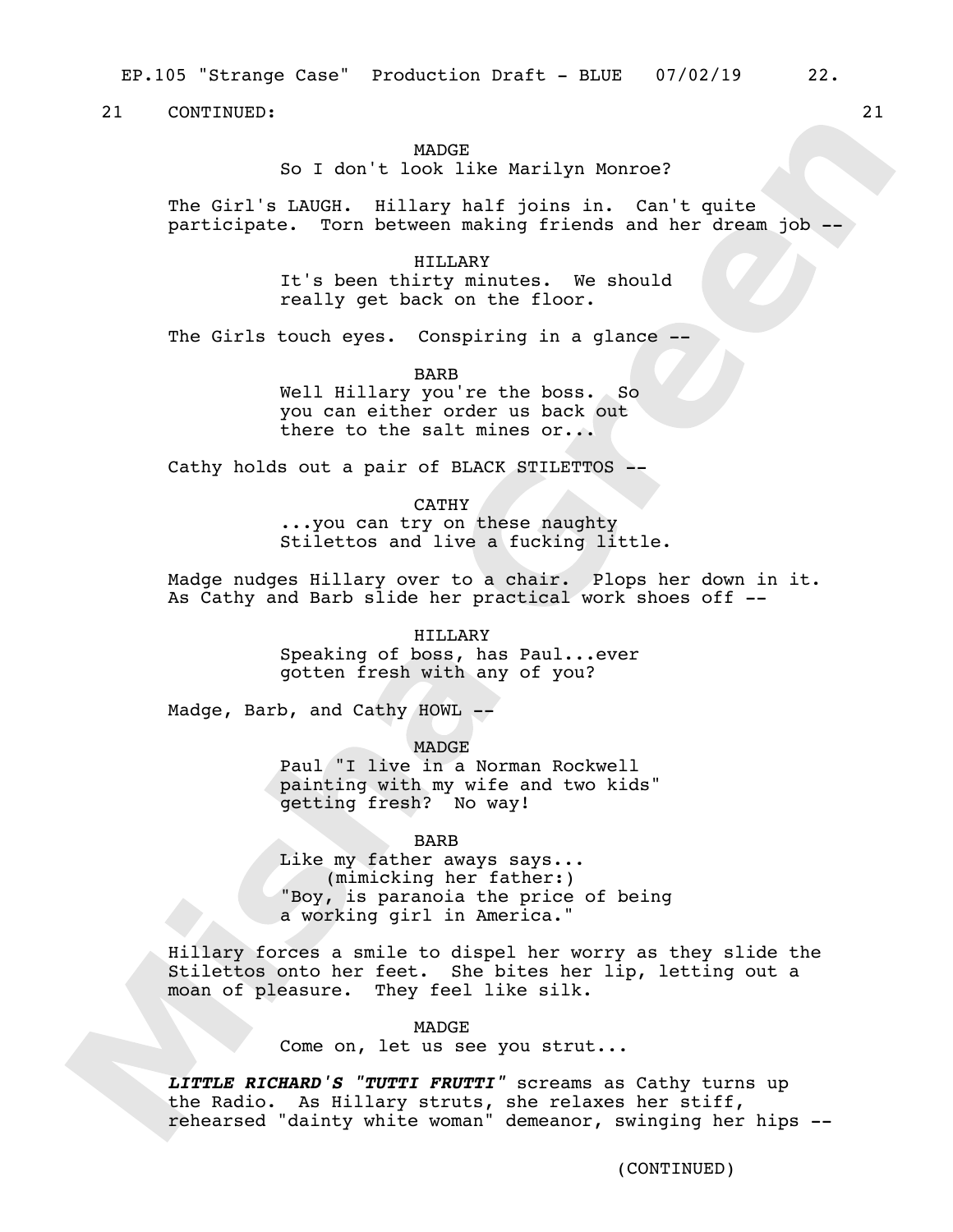EP.105 "Strange Case" Production Draft - BLUE 07/02/19 22.

21 CONTINUED: 21

## **MADGE**

So I don't look like Marilyn Monroe?

The Girl's LAUGH. Hillary half joins in. Can't quite participate. Torn between making friends and her dream job --

> HILLARY It's been thirty minutes. We should really get back on the floor.

The Girls touch eyes. Conspiring in a glance --

BARB Well Hillary you're the boss. So you can either order us back out there to the salt mines or...

Cathy holds out a pair of BLACK STILETTOS --

### CATHY

...you can try on these naughty Stilettos and live a fucking little.

Madge nudges Hillary over to a chair. Plops her down in it. As Cathy and Barb slide her practical work shoes off --

#### HILLARY

Speaking of boss, has Paul...ever gotten fresh with any of you?

Madge, Barb, and Cathy HOWL --

MADGE

Paul "I live in a Norman Rockwell painting with my wife and two kids" getting fresh? No way!

## BARB

Like my father aways says... (mimicking her father:) "Boy, is paranoia the price of being a working girl in America."

Hillary forces a smile to dispel her worry as they slide the Stilettos onto her feet. She bites her lip, letting out a moan of pleasure. They feel like silk.

MADGE

Come on, let us see you strut...

*LITTLE RICHARD'S "TUTTI FRUTTI"* screams as Cathy turns up the Radio. As Hillary struts, she relaxes her stiff, rehearsed "dainty white woman" demeanor, swinging her hips --

(CONTINUED)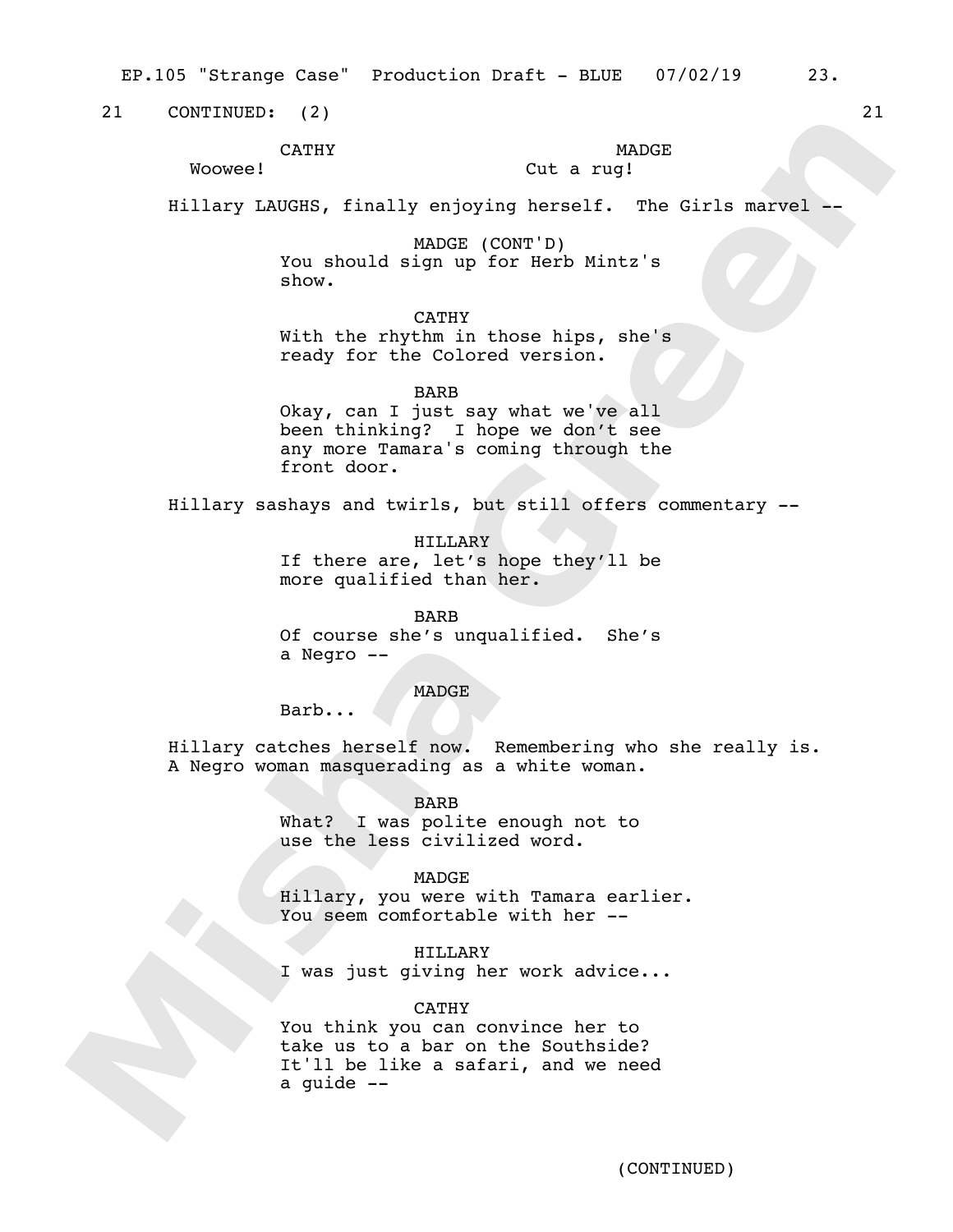EP.105 "Strange Case" Production Draft - BLUE 07/02/19 23.

21 CONTINUED: (2) 21

Woowee!

CATHY

# **MADGE**

## Cut a rug!

Hillary LAUGHS, finally enjoying herself. The Girls marvel --

MADGE (CONT'D) You should sign up for Herb Mintz's show.

CATHY

With the rhythm in those hips, she's ready for the Colored version.

BARB

Okay, can I just say what we've all been thinking? I hope we don't see any more Tamara's coming through the front door.

Hillary sashays and twirls, but still offers commentary --

HILLARY If there are, let's hope they'll be more qualified than her.

BARB Of course she's unqualified. She's a Negro --

**MADGE** 

Barb...

Hillary catches herself now. Remembering who she really is. A Negro woman masquerading as a white woman.

> BARB What? I was polite enough not to use the less civilized word.

> > MADGE

Hillary, you were with Tamara earlier. You seem comfortable with her --

HILLARY I was just giving her work advice...

CATHY You think you can convince her to take us to a bar on the Southside? It'll be like a safari, and we need a guide --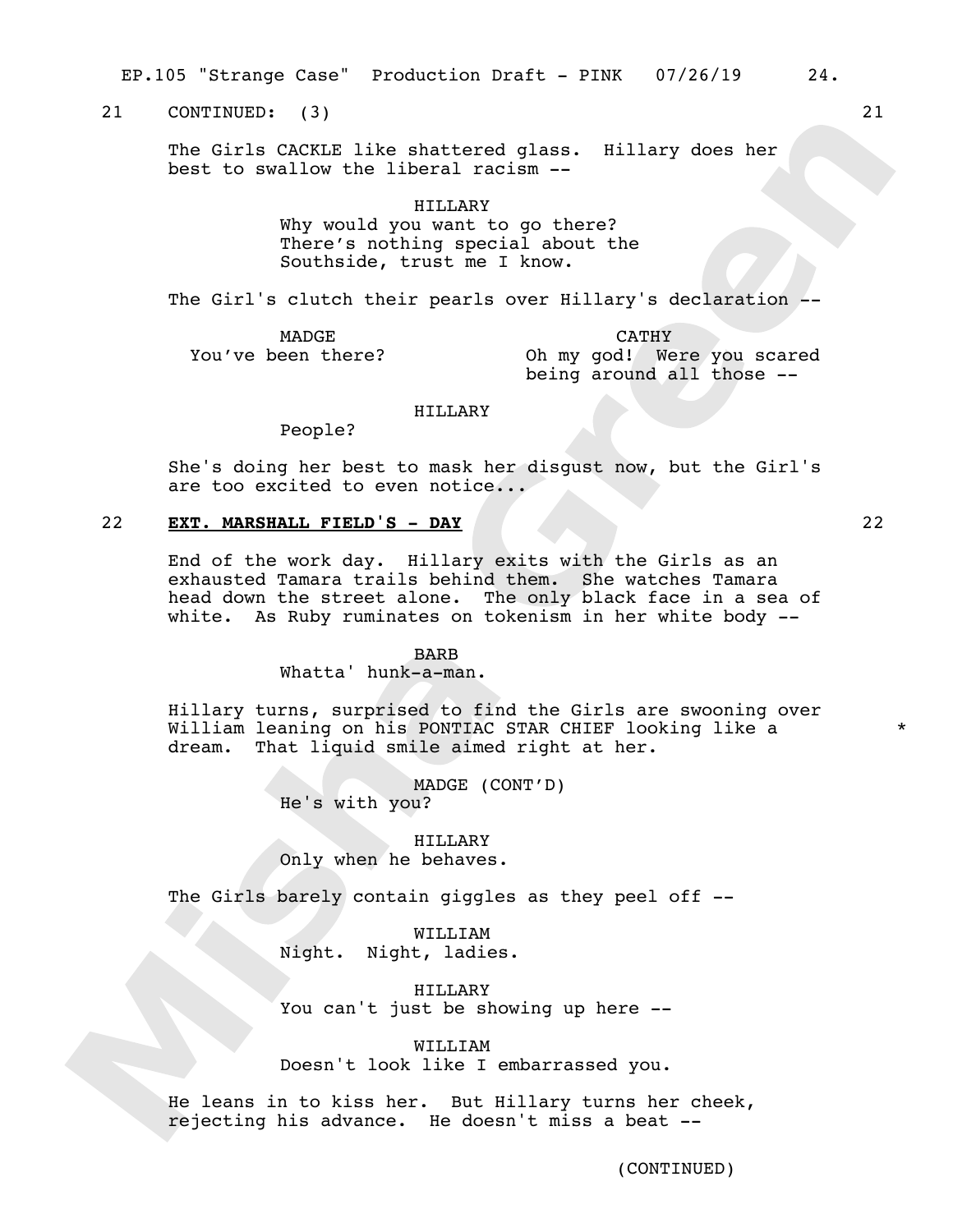EP.105 "Strange Case" Production Draft - PINK 07/26/19 24.

21 CONTINUED: (3) 21

The Girls CACKLE like shattered glass. Hillary does her best to swallow the liberal racism --

> HILLARY Why would you want to go there? There's nothing special about the Southside, trust me I know.

The Girl's clutch their pearls over Hillary's declaration -

MADGE You've been there?

CATHY Oh my god! Were you scared being around all those --

## HILLARY

People?

She's doing her best to mask her disgust now, but the Girl's are too excited to even notice...

## 22 **EXT. MARSHALL FIELD'S - DAY** 22

End of the work day. Hillary exits with the Girls as an exhausted Tamara trails behind them. She watches Tamara head down the street alone. The only black face in a sea of white. As Ruby ruminates on tokenism in her white body --

#### BARB

Whatta' hunk-a-man.

Hillary turns, surprised to find the Girls are swooning over William leaning on his PONTIAC STAR CHIEF looking like a dream. That liquid smile aimed right at her.

> MADGE (CONT'D) He's with you?

HILLARY Only when he behaves.

The Girls barely contain giggles as they peel off --

WILLIAM Night. Night, ladies.

HILLARY You can't just be showing up here --

WILLIAM Doesn't look like I embarrassed you.

He leans in to kiss her. But Hillary turns her cheek, rejecting his advance. He doesn't miss a beat --

\*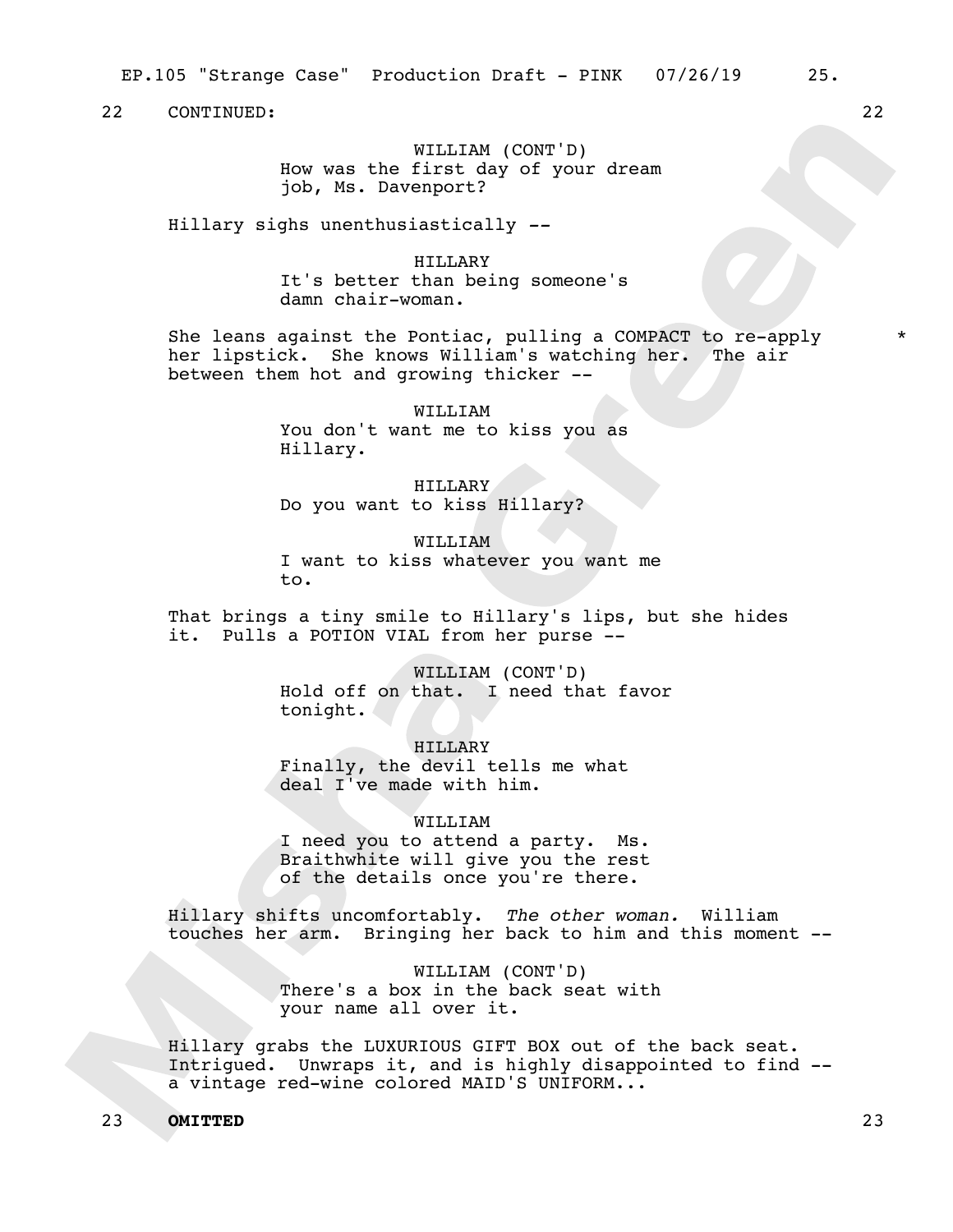WILLIAM (CONT'D) How was the first day of your dream job, Ms. Davenport?

Hillary sighs unenthusiastically *--* 

HILLARY It's better than being someone's damn chair-woman.

She leans against the Pontiac, pulling a COMPACT to re-apply her lipstick. She knows William's watching her. The air between them hot and growing thicker --

> WILLIAM You don't want me to kiss you as Hillary.

HILLARY Do you want to kiss Hillary?

WILLIAM I want to kiss whatever you want me to.

That brings a tiny smile to Hillary's lips, but she hides it. Pulls a POTION VIAL from her purse --

> WILLIAM (CONT'D) Hold off on that. I need that favor tonight.

HILLARY Finally, the devil tells me what deal I've made with him.

WILLIAM I need you to attend a party. Ms. Braithwhite will give you the rest of the details once you're there.

Hillary shifts uncomfortably. *The other woman.* William touches her arm. Bringing her back to him and this moment --

> WILLIAM (CONT'D) There's a box in the back seat with your name all over it.

Hillary grabs the LUXURIOUS GIFT BOX out of the back seat. Intrigued. Unwraps it, and is highly disappointed to find - a vintage red-wine colored MAID'S UNIFORM...

## 23 **OMITTED** 23

\*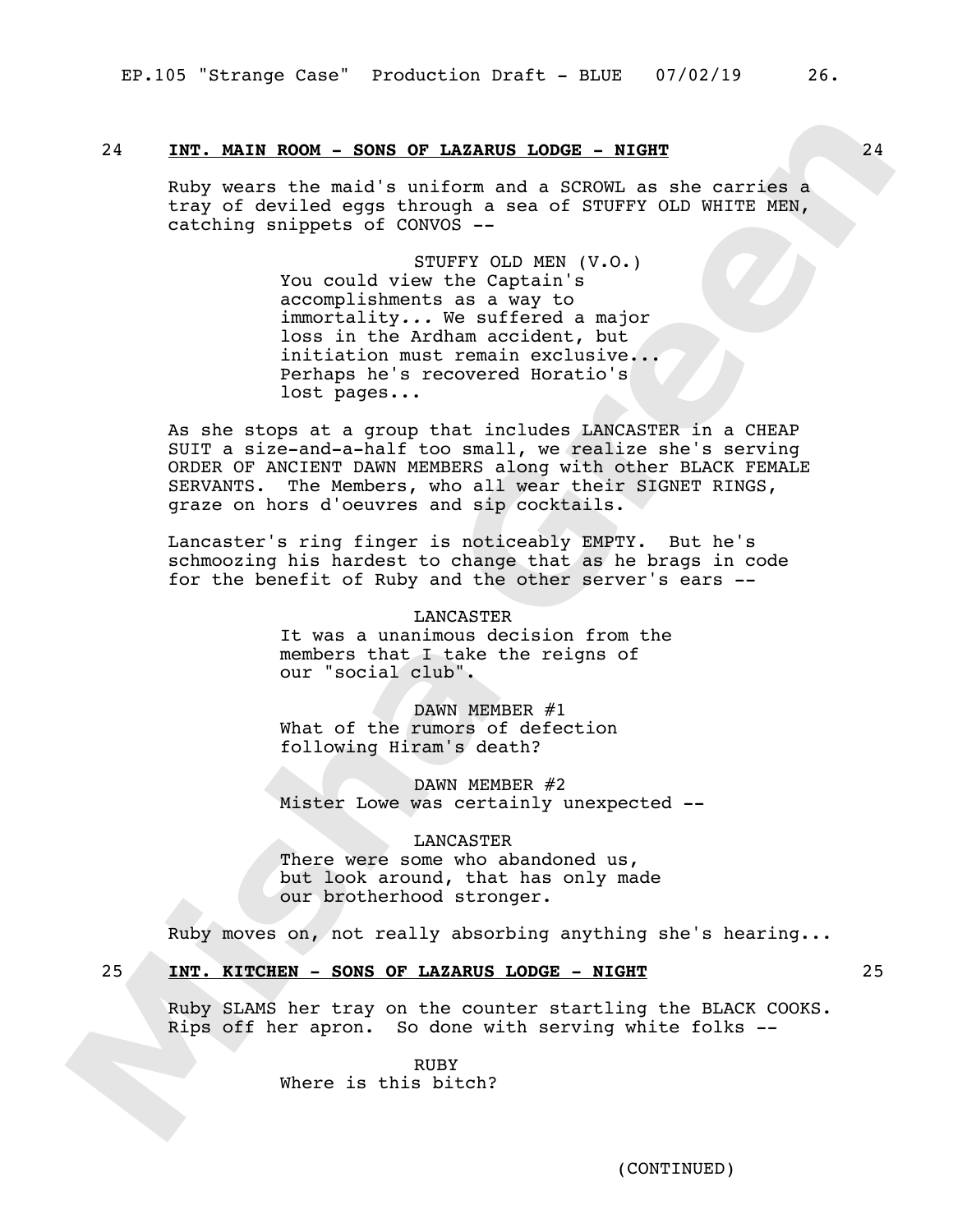## 24 **INT. MAIN ROOM - SONS OF LAZARUS LODGE - NIGHT** 24

Ruby wears the maid's uniform and a SCROWL as she carries a tray of deviled eggs through a sea of STUFFY OLD WHITE MEN, catching snippets of CONVOS --

> STUFFY OLD MEN (V.O.) You could view the Captain's accomplishments as a way to immortality*...* We suffered a major loss in the Ardham accident, but initiation must remain exclusive... Perhaps he's recovered Horatio's lost pages...

As she stops at a group that includes LANCASTER in a CHEAP SUIT a size-and-a-half too small, we realize she's serving ORDER OF ANCIENT DAWN MEMBERS along with other BLACK FEMALE SERVANTS. The Members, who all wear their SIGNET RINGS, graze on hors d'oeuvres and sip cocktails.

Lancaster's ring finger is noticeably EMPTY. But he's schmoozing his hardest to change that as he brags in code for the benefit of Ruby and the other server's ears --

> LANCASTER It was a unanimous decision from the members that I take the reigns of our "social club".

DAWN MEMBER #1 What of the rumors of defection following Hiram's death?

DAWN MEMBER #2 Mister Lowe was certainly unexpected --

LANCASTER There were some who abandoned us, but look around, that has only made our brotherhood stronger.

Ruby moves on, not really absorbing anything she's hearing...

25 **INT. KITCHEN - SONS OF LAZARUS LODGE - NIGHT** 25

Ruby SLAMS her tray on the counter startling the BLACK COOKS. Rips off her apron. So done with serving white folks --

> RUBY Where is this bitch?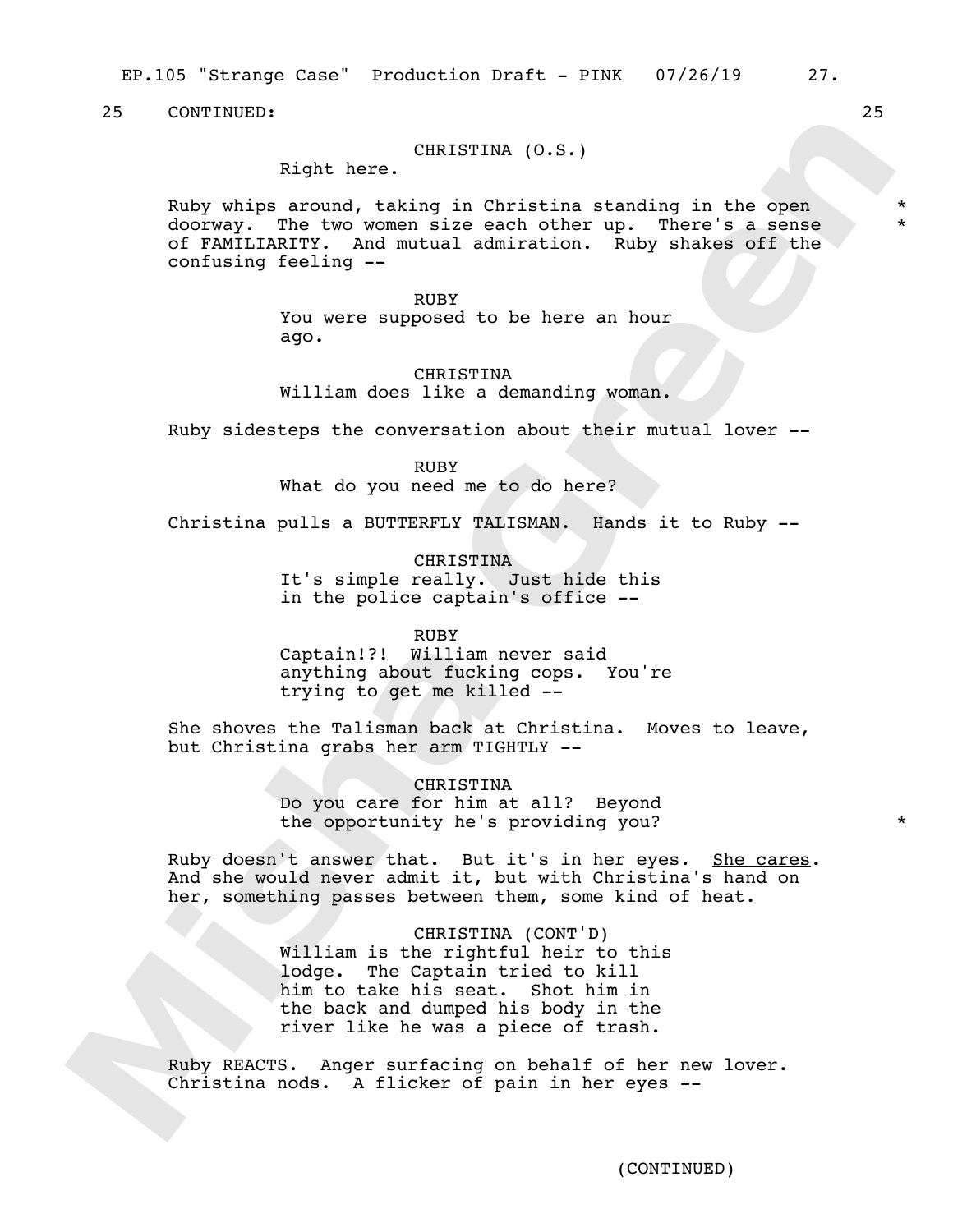EP.105 "Strange Case" Production Draft - PINK 07/26/19 27.

25 CONTINUED: 25

## CHRISTINA (O.S.)

Right here.

Ruby whips around, taking in Christina standing in the open doorway. The two women size each other up. There's a sense of FAMILIARITY. And mutual admiration. Ruby shakes off the confusing feeling --

#### RUBY

You were supposed to be here an hour ago.

CHRISTINA William does like a demanding woman.

Ruby sidesteps the conversation about their mutual lover --

RUBY What do you need me to do here?

Christina pulls a BUTTERFLY TALISMAN. Hands it to Ruby --

CHRISTINA It's simple really. Just hide this in the police captain's office --

#### RUBY

Captain!?! William never said anything about fucking cops. You're trying to get me killed --

She shoves the Talisman back at Christina. Moves to leave, but Christina grabs her arm TIGHTLY --

> CHRISTINA Do you care for him at all? Beyond the opportunity he's providing you?

Ruby doesn't answer that. But it's in her eyes. She cares. And she would never admit it, but with Christina's hand on her, something passes between them, some kind of heat.

> CHRISTINA (CONT'D) William is the rightful heir to this lodge. The Captain tried to kill him to take his seat. Shot him in the back and dumped his body in the river like he was a piece of trash.

Ruby REACTS. Anger surfacing on behalf of her new lover. Christina nods. A flicker of pain in her eyes --

\* \*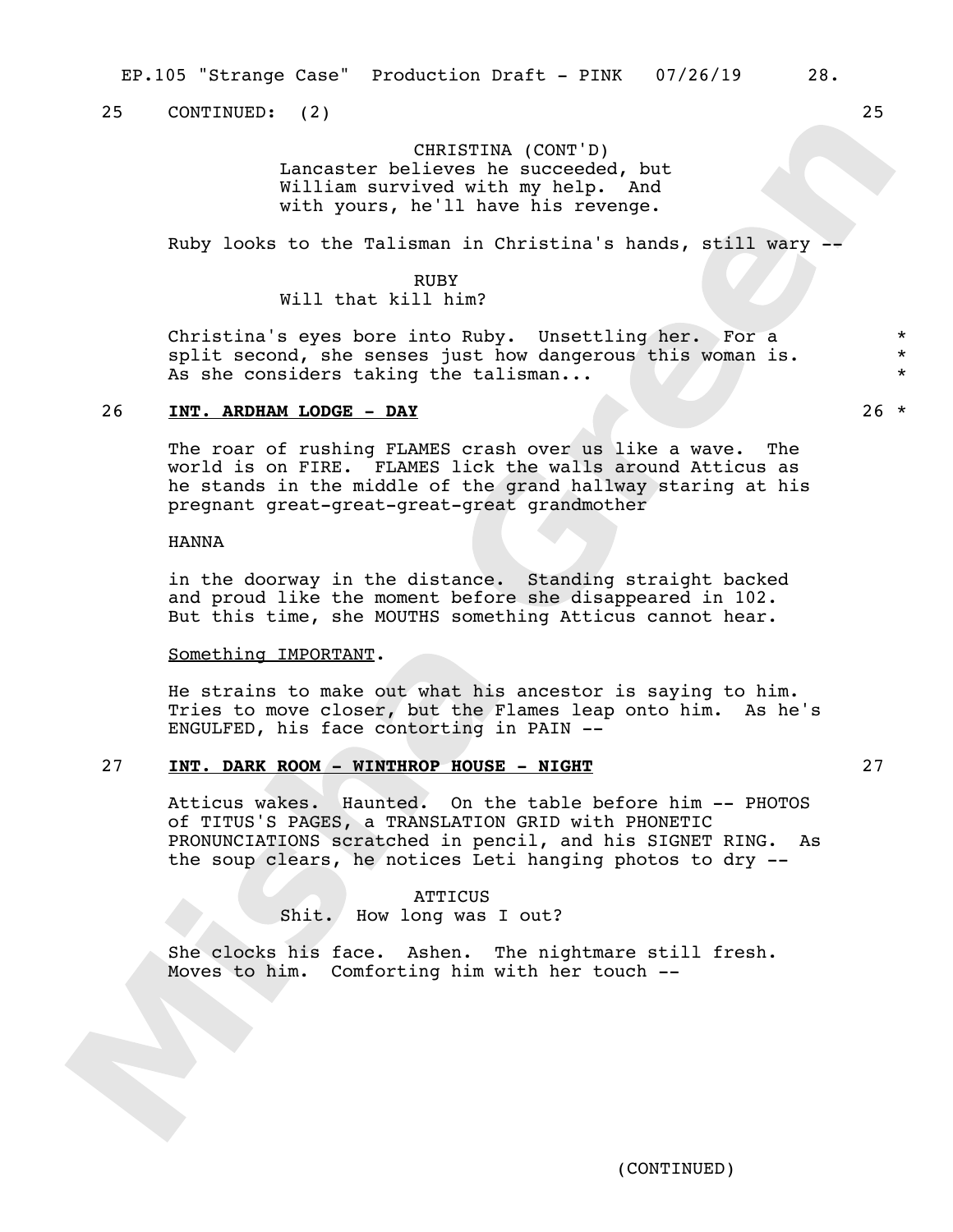25 CONTINUED: (2) 25

## CHRISTINA (CONT'D) Lancaster believes he succeeded, but William survived with my help. And with yours, he'll have his revenge.

Ruby looks to the Talisman in Christina's hands, still wary -

## RUBY Will that kill him?

Christina's eyes bore into Ruby. Unsettling her. For a split second, she senses just how dangerous this woman is. As she considers taking the talisman...

## 26 **INT. ARDHAM LODGE - DAY** 26 \*

The roar of rushing FLAMES crash over us like a wave. The world is on FIRE. FLAMES lick the walls around Atticus as he stands in the middle of the grand hallway staring at his pregnant great-great-great-great grandmother

## HANNA

in the doorway in the distance. Standing straight backed and proud like the moment before she disappeared in 102. But this time, she MOUTHS something Atticus cannot hear.

#### Something IMPORTANT.

He strains to make out what his ancestor is saying to him. Tries to move closer, but the Flames leap onto him. As he's ENGULFED, his face contorting in PAIN --

## 27 **INT. DARK ROOM - WINTHROP HOUSE - NIGHT** 27

Atticus wakes. Haunted. On the table before him -- PHOTOS of TITUS'S PAGES, a TRANSLATION GRID with PHONETIC PRONUNCIATIONS scratched in pencil, and his SIGNET RING. As the soup clears, he notices Leti hanging photos to dry --

## **ATTICUS** Shit. How long was I out?

She clocks his face. Ashen. The nightmare still fresh. Moves to him. Comforting him with her touch --

\* \* \*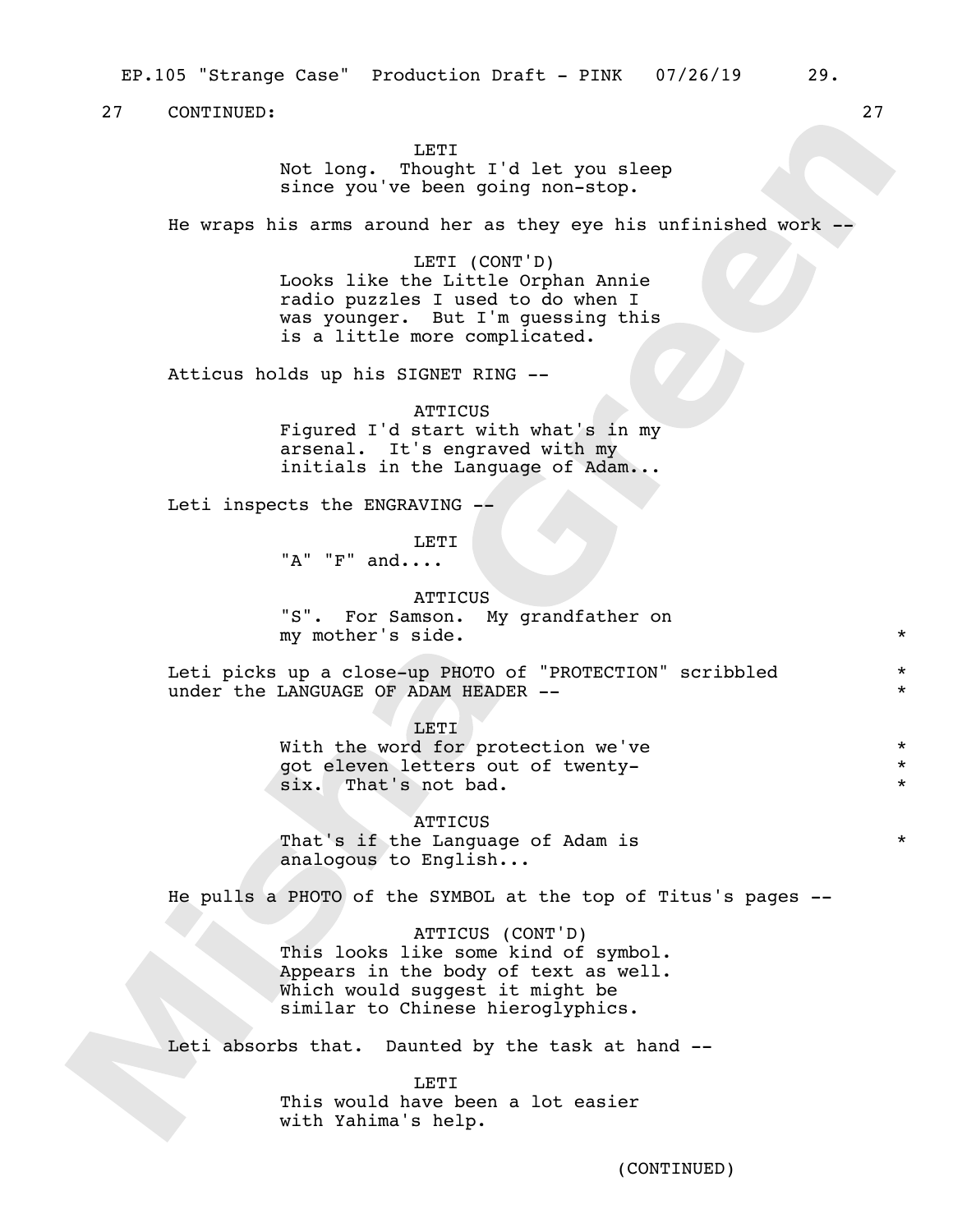**LETT** 

Not long. Thought I'd let you sleep since you've been going non-stop.

He wraps his arms around her as they eye his unfinished work --

LETI (CONT'D) Looks like the Little Orphan Annie radio puzzles I used to do when I was younger. But I'm guessing this is a little more complicated.

Atticus holds up his SIGNET RING --

**ATTICUS** Figured I'd start with what's in my arsenal. It's engraved with my initials in the Language of Adam...

Leti inspects the ENGRAVING --

LETI

 $"\mathsf{A}"$  " $\mathsf{F}"$  and....

**ATTICUS** "S". For Samson. My grandfather on my mother's side. \*

Leti picks up a close-up PHOTO of "PROTECTION" scribbled under the LANGUAGE OF ADAM HEADER --

> LETI With the word for protection we've got eleven letters out of twentysix. That's not bad.

**ATTICUS** That's if the Language of Adam is analogous to English...

He pulls a PHOTO of the SYMBOL at the top of Titus's pages --

ATTICUS (CONT'D) This looks like some kind of symbol. Appears in the body of text as well. Which would suggest it might be similar to Chinese hieroglyphics.

Leti absorbs that. Daunted by the task at hand --

LETI This would have been a lot easier with Yahima's help.

\* \*

\* \* \*

\*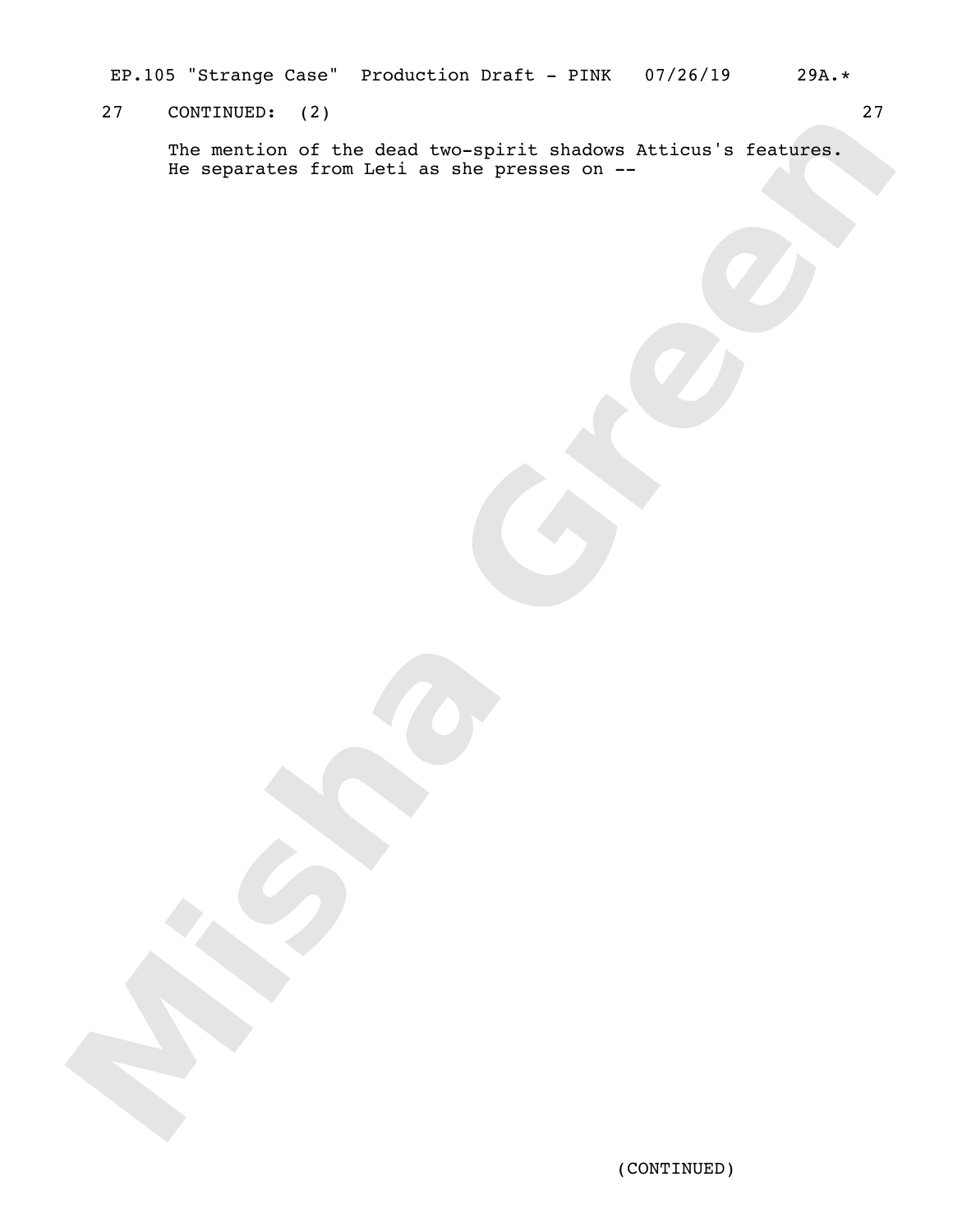EP.105 "Strange Case" Production Draft - PINK 07/26/19 29A.\*

# 27 CONTINUED: (2) 27

The mention of the dead two-spirit shadows Atticus's features. He separates from Leti as she presses on --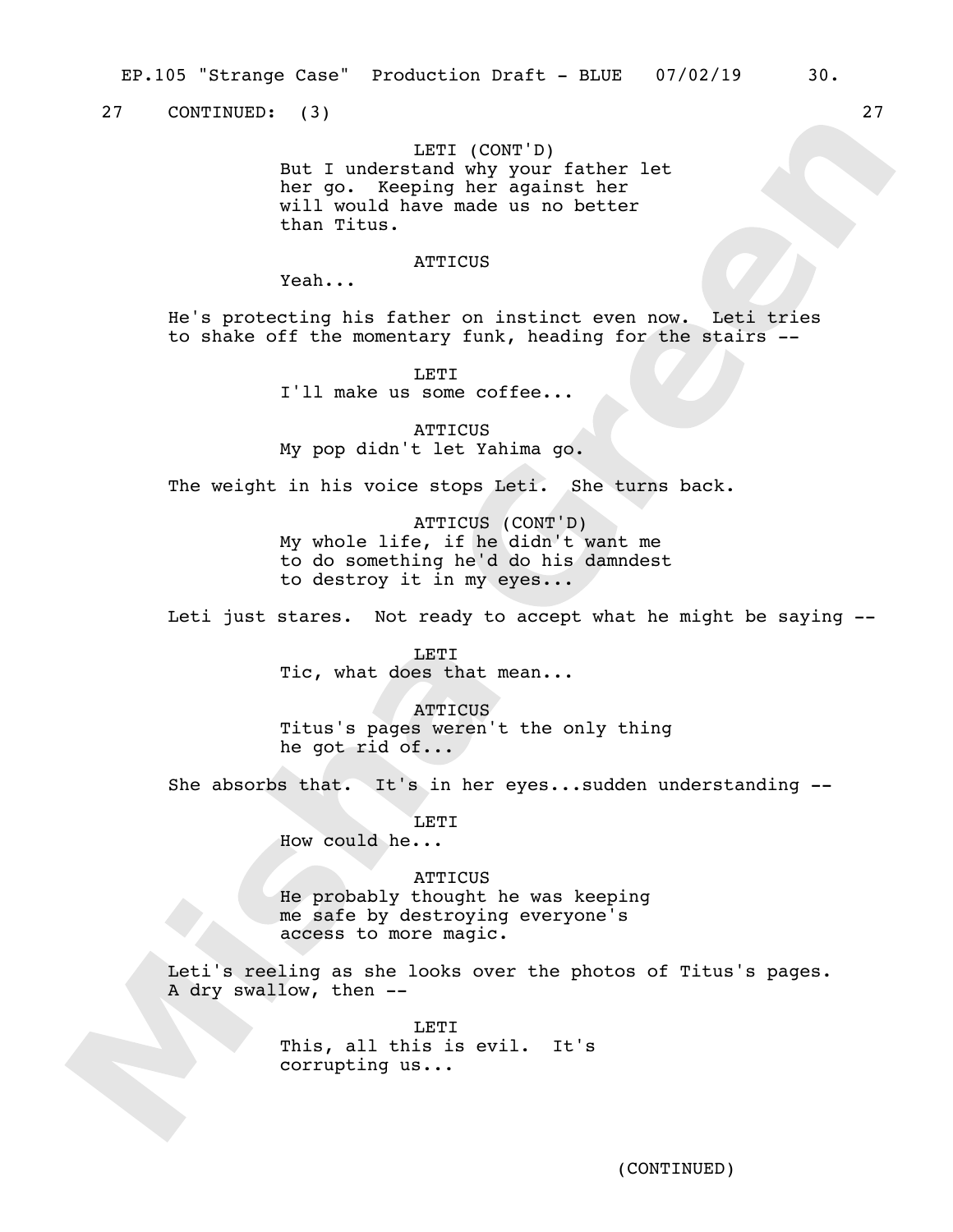27 CONTINUED: (3) 27

## LETI (CONT'D)

But I understand why your father let her go. Keeping her against her will would have made us no better than Titus.

### **ATTICUS**

Yeah...

He's protecting his father on instinct even now. Leti tries to shake off the momentary funk, heading for the stairs --

LETI

I'll make us some coffee...

**ATTICUS** My pop didn't let Yahima go.

The weight in his voice stops Leti. She turns back.

ATTICUS (CONT'D) My whole life, if he didn't want me to do something he'd do his damndest to destroy it in my eyes...

Leti just stares. Not ready to accept what he might be saying --

**LETT** Tic, what does that mean...

**ATTICUS** Titus's pages weren't the only thing he got rid of...

She absorbs that. It's in her eyes...sudden understanding --

LETI

How could he...

#### **ATTICUS**

He probably thought he was keeping me safe by destroying everyone's access to more magic.

Leti's reeling as she looks over the photos of Titus's pages. A dry swallow, then --

> LETI This, all this is evil. It's corrupting us...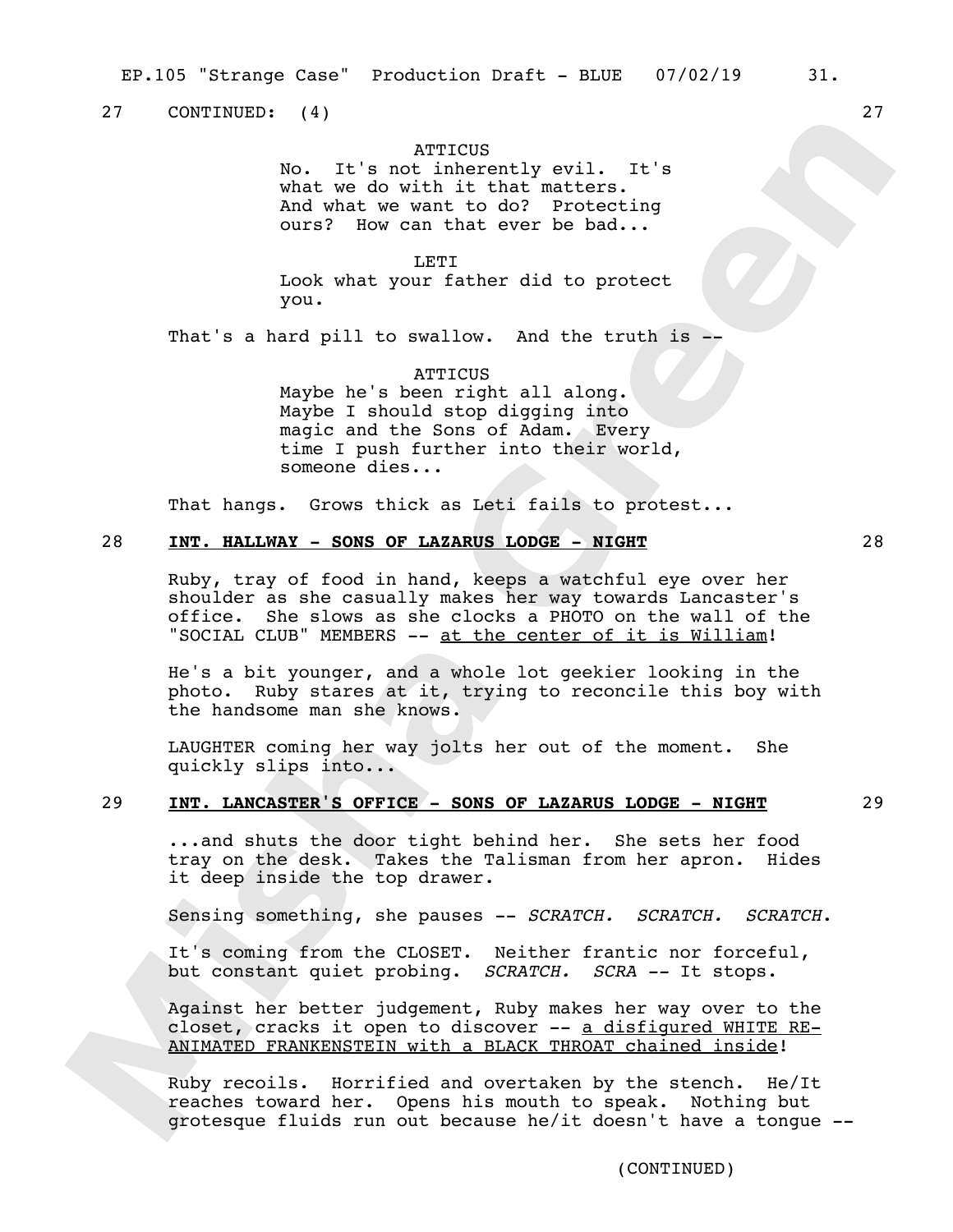27 CONTINUED: (4) 27

## **ATTICUS**

No. It's not inherently evil. It's what we do with it that matters. And what we want to do? Protecting ours? How can that ever be bad...

LETI Look what your father did to protect you.

That's a hard pill to swallow. And the truth is --

**ATTICUS** Maybe he's been right all along. Maybe I should stop digging into magic and the Sons of Adam. Every time I push further into their world, someone dies...

That hangs. Grows thick as Leti fails to protest...

## 28 **INT. HALLWAY - SONS OF LAZARUS LODGE - NIGHT** 28

Ruby, tray of food in hand, keeps a watchful eye over her shoulder as she casually makes her way towards Lancaster's office. She slows as she clocks a PHOTO on the wall of the "SOCIAL CLUB" MEMBERS -- at the center of it is William!

He's a bit younger, and a whole lot geekier looking in the photo. Ruby stares at it, trying to reconcile this boy with the handsome man she knows.

LAUGHTER coming her way jolts her out of the moment. She quickly slips into...

## 29 **INT. LANCASTER'S OFFICE - SONS OF LAZARUS LODGE - NIGHT** 29

...and shuts the door tight behind her. She sets her food tray on the desk. Takes the Talisman from her apron. Hides it deep inside the top drawer.

Sensing something, she pauses -- *SCRATCH. SCRATCH. SCRATCH*.

It's coming from the CLOSET. Neither frantic nor forceful, but constant quiet probing. *SCRATCH. SCRA --* It stops.

Against her better judgement, Ruby makes her way over to the closet, cracks it open to discover -- a disfigured WHITE RE-ANIMATED FRANKENSTEIN with a BLACK THROAT chained inside!

Ruby recoils. Horrified and overtaken by the stench. He/It reaches toward her. Opens his mouth to speak. Nothing but grotesque fluids run out because he/it doesn't have a tongue --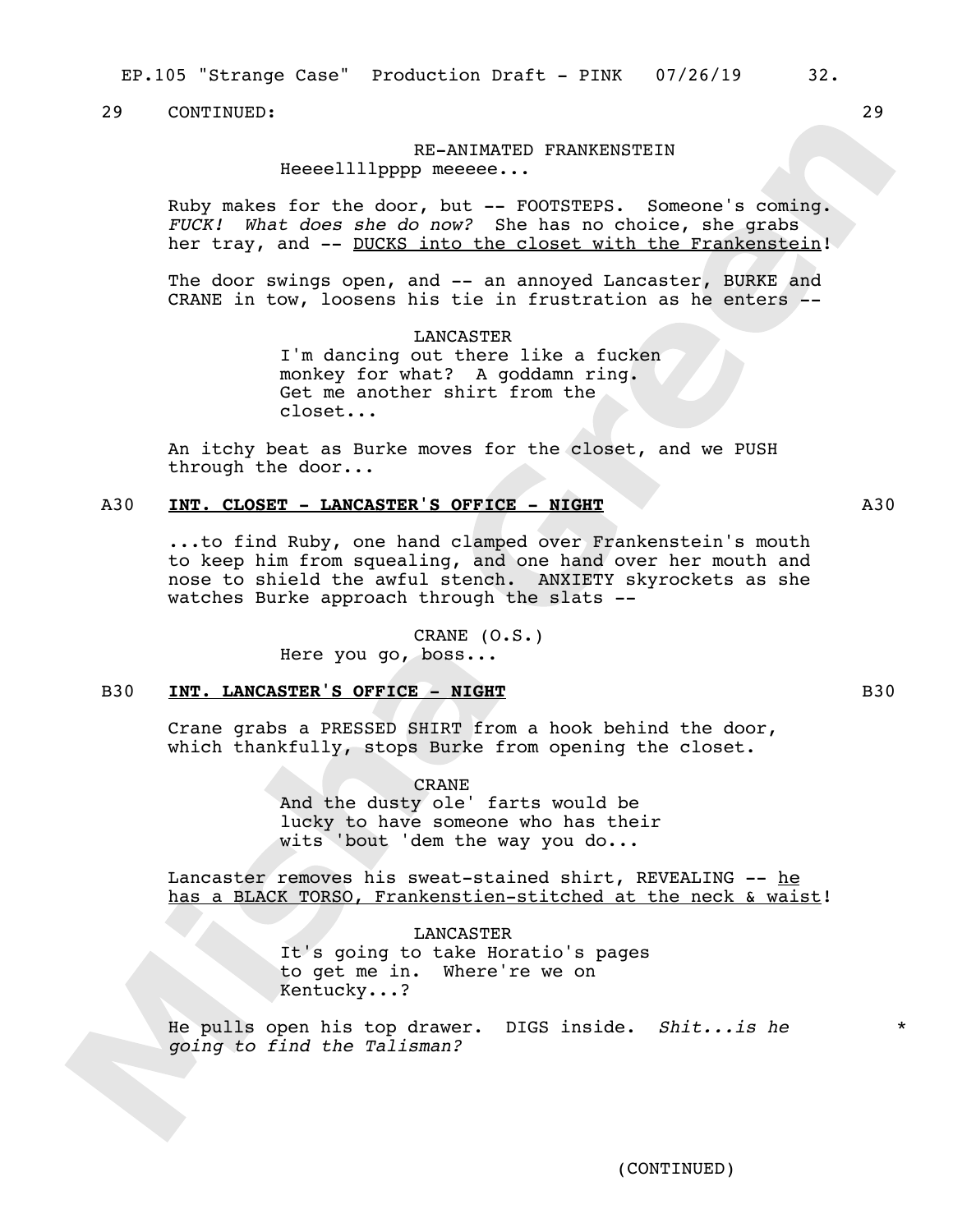EP.105 "Strange Case" Production Draft - PINK 07/26/19 32.

## 29 CONTINUED: 29

## RE-ANIMATED FRANKENSTEIN Heeeellllpppp meeeee...

Ruby makes for the door, but -- FOOTSTEPS. Someone's coming. *FUCK! What does she do now?* She has no choice, she grabs her tray, and -- DUCKS into the closet with the Frankenstein!

The door swings open, and -- an annoyed Lancaster, BURKE and CRANE in tow, loosens his tie in frustration as he enters --

> LANCASTER I'm dancing out there like a fucken monkey for what? A goddamn ring. Get me another shirt from the closet...

An itchy beat as Burke moves for the closet, and we PUSH through the door...

## A30 **INT. CLOSET - LANCASTER'S OFFICE - NIGHT** A30

...to find Ruby, one hand clamped over Frankenstein's mouth to keep him from squealing, and one hand over her mouth and nose to shield the awful stench. ANXIETY skyrockets as she watches Burke approach through the slats --

> CRANE (O.S.) Here you go, boss...

## B30 **INT. LANCASTER'S OFFICE - NIGHT B30 B30**

Crane grabs a PRESSED SHIRT from a hook behind the door, which thankfully, stops Burke from opening the closet.

> CRANE And the dusty ole' farts would be lucky to have someone who has their wits 'bout 'dem the way you do...

Lancaster removes his sweat-stained shirt, REVEALING -- he has a BLACK TORSO, Frankenstien-stitched at the neck & waist!

> LANCASTER It's going to take Horatio's pages to get me in. Where're we on Kentucky...?

He pulls open his top drawer. DIGS inside. *Shit...is he going to find the Talisman?*

\*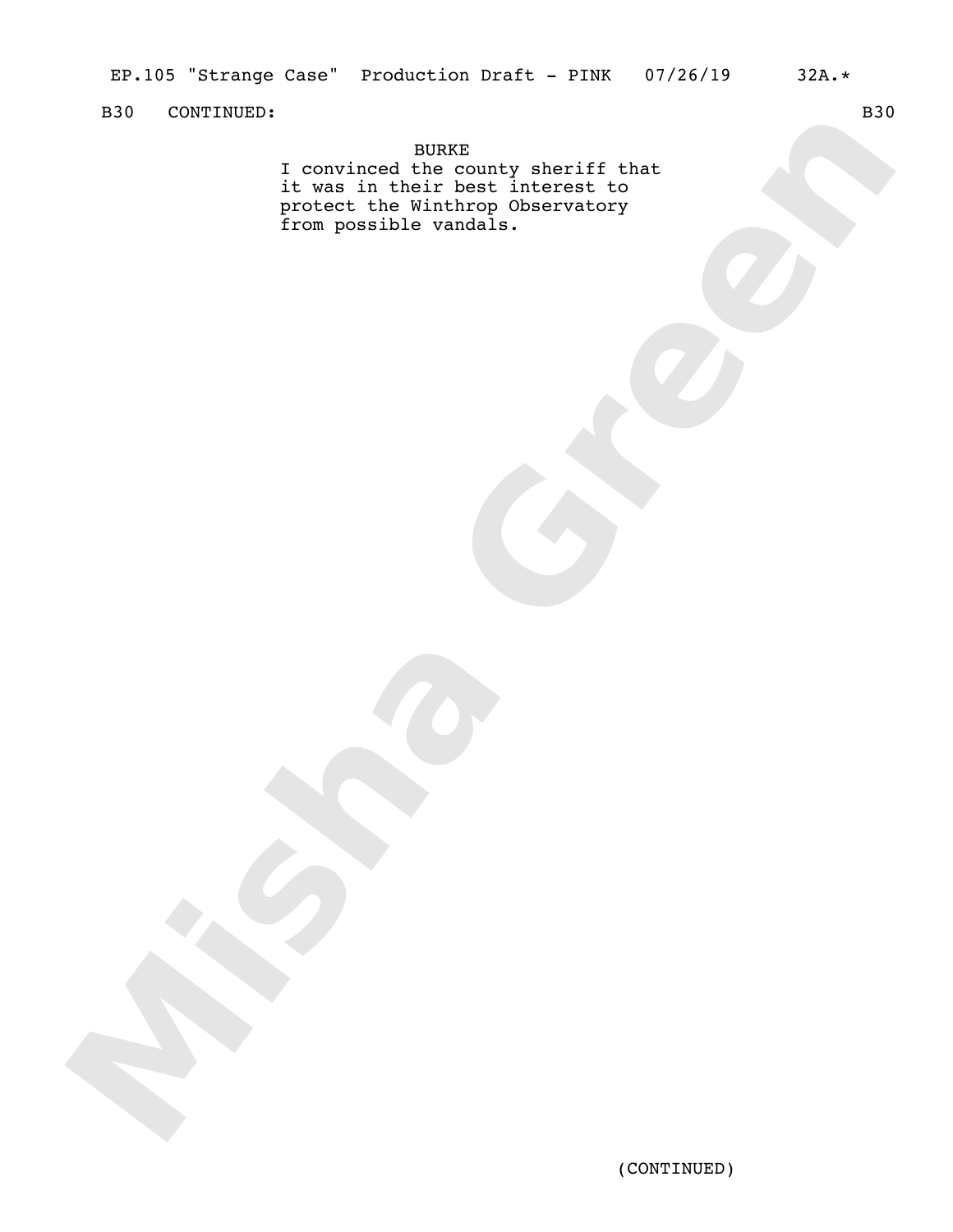# B30 CONTINUED: B30

BURKE

I convinced the county sheriff that it was in their best interest to protect the Winthrop Observatory from possible vandals.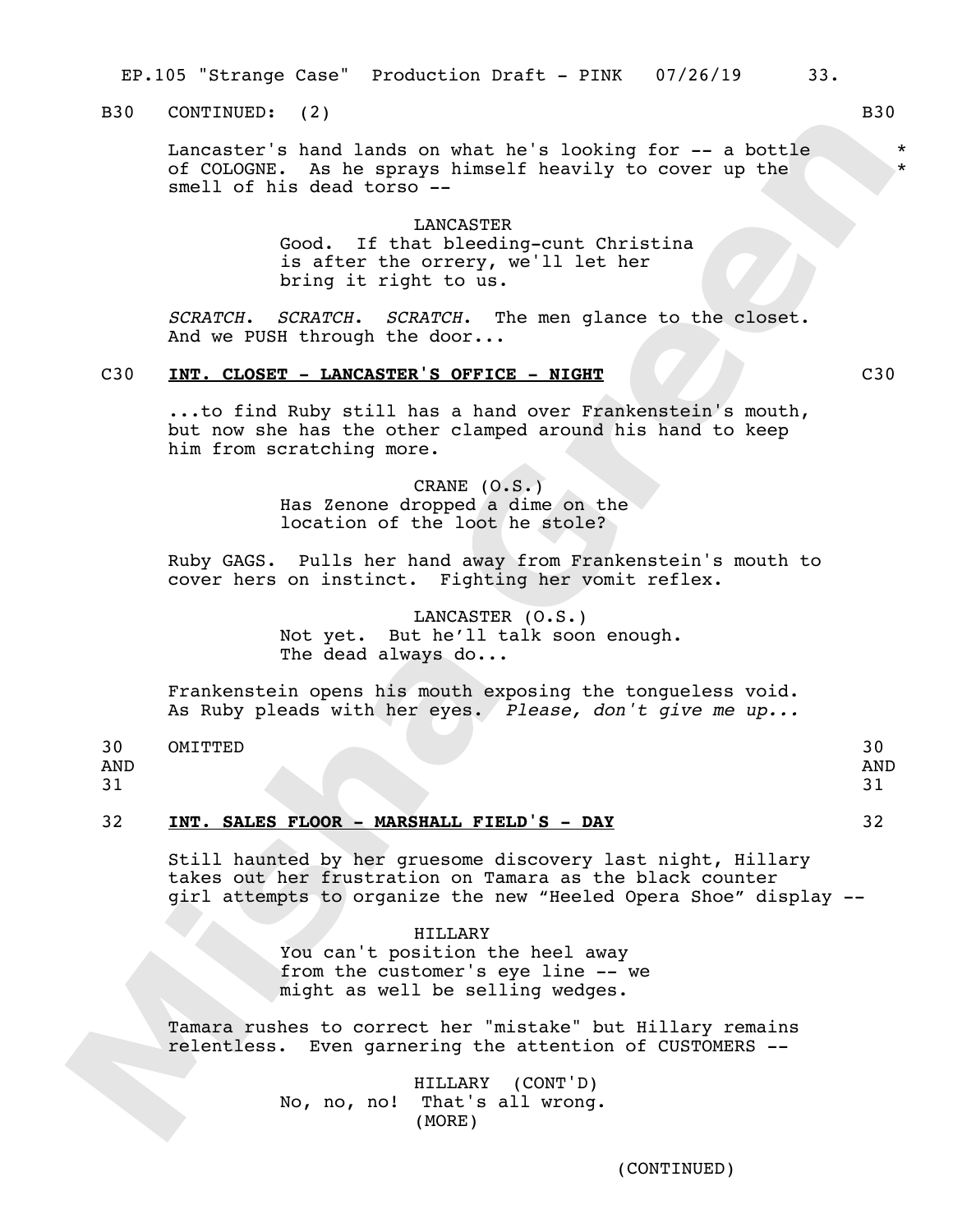EP.105 "Strange Case" Production Draft - PINK 07/26/19 33.

B30 CONTINUED: (2) B30

Lancaster's hand lands on what he's looking for -- a bottle of COLOGNE. As he sprays himself heavily to cover up the smell of his dead torso --

> LANCASTER Good. If that bleeding-cunt Christina is after the orrery, we'll let her bring it right to us.

*SCRATCH*. *SCRATCH*. *SCRATCH*. The men glance to the closet. And we PUSH through the door...

### C30 **INT. CLOSET - LANCASTER'S OFFICE - NIGHT** C30

...to find Ruby still has a hand over Frankenstein's mouth, but now she has the other clamped around his hand to keep him from scratching more.

> CRANE (O.S.) Has Zenone dropped a dime on the location of the loot he stole?

Ruby GAGS. Pulls her hand away from Frankenstein's mouth to cover hers on instinct. Fighting her vomit reflex.

> LANCASTER (O.S.) Not yet. But he'll talk soon enough. The dead always do...

Frankenstein opens his mouth exposing the tongueless void. As Ruby pleads with her eyes. *Please, don't give me up...*

#### 30 OMITTED 30

AND

## 31

## 32 **INT. SALES FLOOR - MARSHALL FIELD'S - DAY** 32

Still haunted by her gruesome discovery last night, Hillary takes out her frustration on Tamara as the black counter girl attempts to organize the new "Heeled Opera Shoe" display --

HILLARY

You can't position the heel away from the customer's eye line -- we might as well be selling wedges.

Tamara rushes to correct her "mistake" but Hillary remains relentless. Even garnering the attention of CUSTOMERS --

> HILLARY (CONT'D) No, no, no! That's all wrong. (MORE)

\* \*

31

AND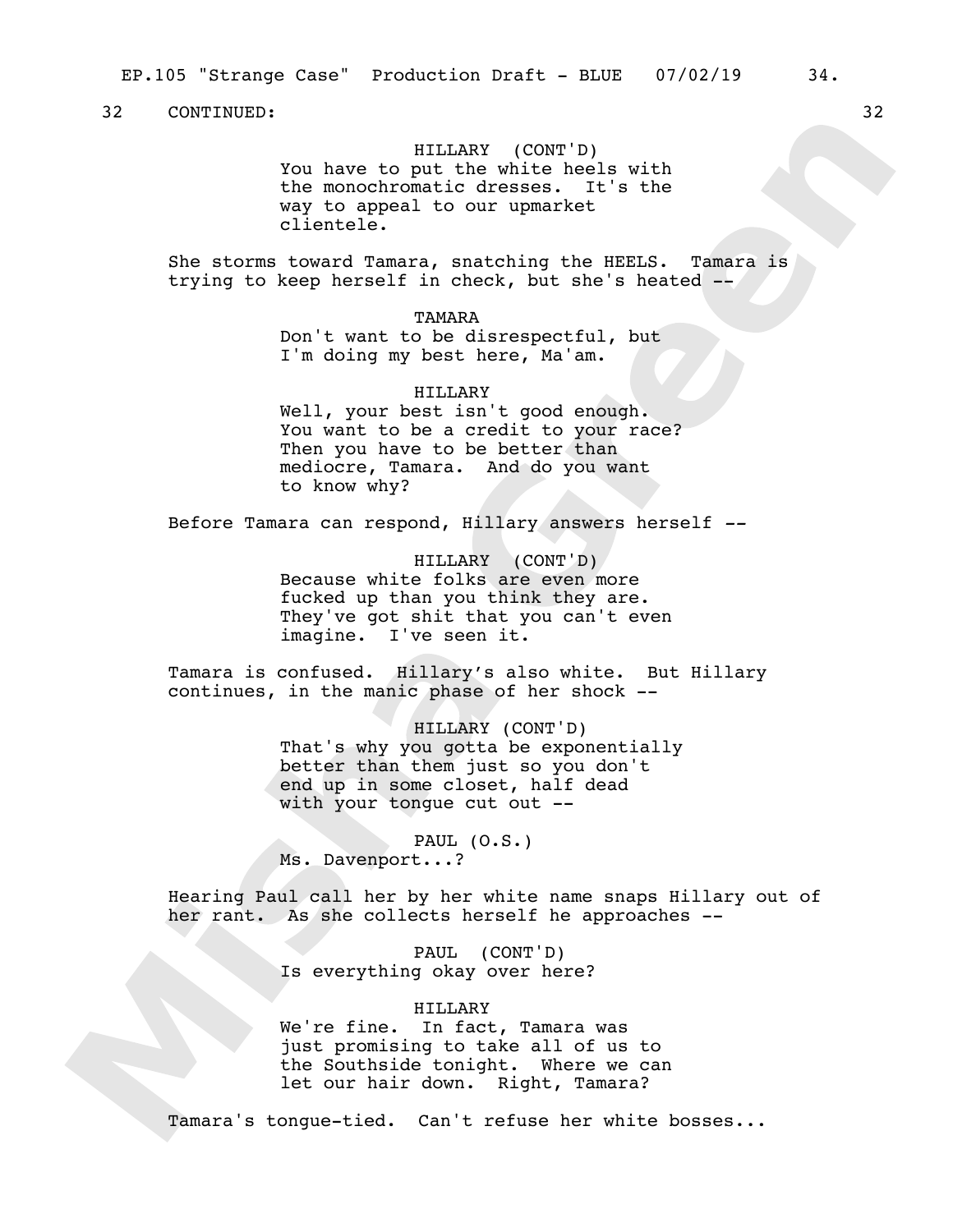HILLARY (CONT'D) You have to put the white heels with the monochromatic dresses. It's the way to appeal to our upmarket clientele.

She storms toward Tamara, snatching the HEELS. Tamara is trying to keep herself in check, but she's heated --

> TAMARA Don't want to be disrespectful, but I'm doing my best here, Ma'am.

HILLARY Well, your best isn't good enough. You want to be a credit to your race? Then you have to be better than mediocre, Tamara. And do you want to know why?

Before Tamara can respond, Hillary answers herself *--*

HILLARY (CONT'D) Because white folks are even more fucked up than you think they are. They've got shit that you can't even imagine. I've seen it.

Tamara is confused. Hillary's also white. But Hillary continues, in the manic phase of her shock --

> HILLARY (CONT'D) That's why you gotta be exponentially better than them just so you don't end up in some closet, half dead with your tongue cut out --

PAUL (O.S.) Ms. Davenport...?

Hearing Paul call her by her white name snaps Hillary out of her rant. As she collects herself he approaches --

> PAUL (CONT'D) Is everything okay over here?

## HILLARY

We're fine. In fact, Tamara was just promising to take all of us to the Southside tonight. Where we can let our hair down. Right, Tamara?

Tamara's tongue-tied. Can't refuse her white bosses...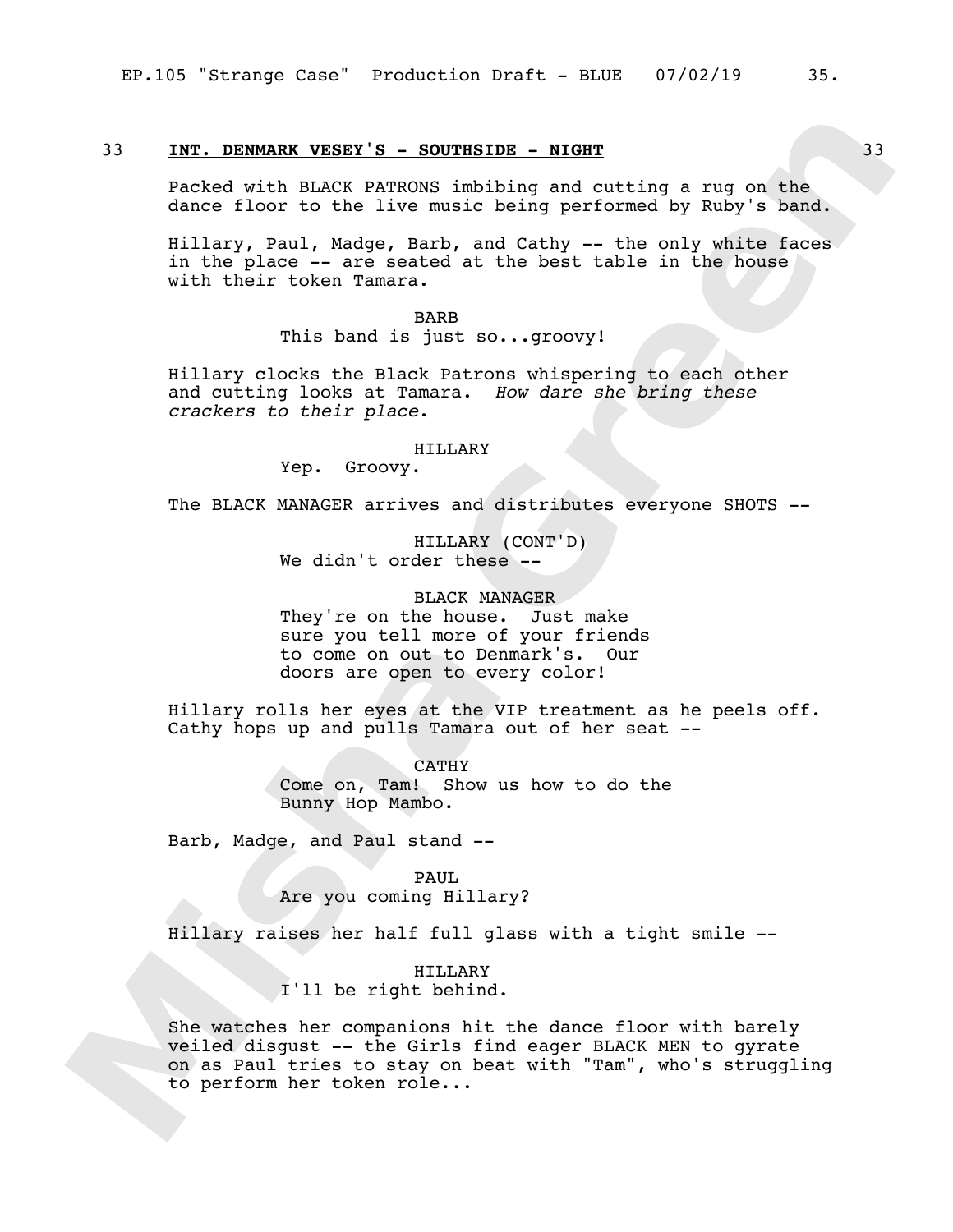## 33 **INT. DENMARK VESEY'S - SOUTHSIDE - NIGHT** 33

Packed with BLACK PATRONS imbibing and cutting a rug on the dance floor to the live music being performed by Ruby's band.

Hillary, Paul, Madge, Barb, and Cathy -- the only white faces in the place -- are seated at the best table in the house with their token Tamara.

BARB

This band is just so...groovy!

Hillary clocks the Black Patrons whispering to each other and cutting looks at Tamara. *How dare she bring these crackers to their place*.

#### HILLARY

Yep. Groovy.

The BLACK MANAGER arrives and distributes everyone SHOTS --

HILLARY (CONT'D) We didn't order these --

BLACK MANAGER They're on the house. Just make sure you tell more of your friends to come on out to Denmark's. Our doors are open to every color!

Hillary rolls her eyes at the VIP treatment as he peels off. Cathy hops up and pulls Tamara out of her seat --

> CATHY Come on, Tam! Show us how to do the Bunny Hop Mambo.

Barb, Madge, and Paul stand --

PAUL Are you coming Hillary?

Hillary raises her half full glass with a tight smile --

HILLARY I'll be right behind.

She watches her companions hit the dance floor with barely veiled disgust -- the Girls find eager BLACK MEN to gyrate on as Paul tries to stay on beat with "Tam", who's struggling to perform her token role...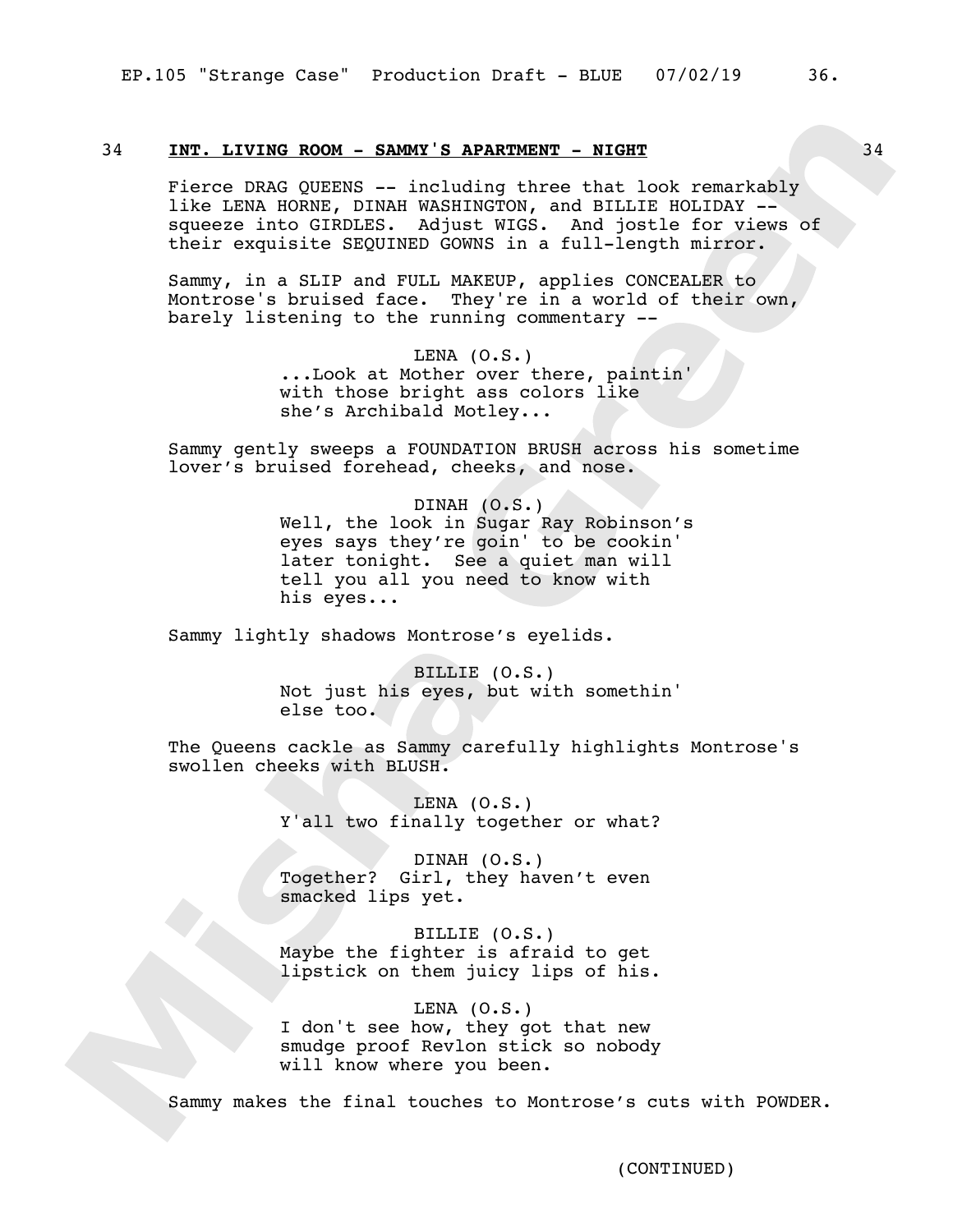## 34 **INT. LIVING ROOM - SAMMY'S APARTMENT - NIGHT** 34

Fierce DRAG QUEENS -- including three that look remarkably like LENA HORNE, DINAH WASHINGTON, and BILLIE HOLIDAY - squeeze into GIRDLES. Adjust WIGS. And jostle for views of their exquisite SEQUINED GOWNS in a full-length mirror.

Sammy, in a SLIP and FULL MAKEUP, applies CONCEALER to Montrose's bruised face. They're in a world of their own, barely listening to the running commentary --

> LENA  $(0.S.)$ ...Look at Mother over there, paintin' with those bright ass colors like she's Archibald Motley...

Sammy gently sweeps a FOUNDATION BRUSH across his sometime lover's bruised forehead, cheeks, and nose.

> DINAH (O.S.) Well, the look in Sugar Ray Robinson's eyes says they're goin' to be cookin' later tonight. See a quiet man will tell you all you need to know with his eyes...

Sammy lightly shadows Montrose's eyelids.

BILLIE (O.S.) Not just his eyes, but with somethin' else too.

The Queens cackle as Sammy carefully highlights Montrose's swollen cheeks with BLUSH.

> LENA  $(0.S.)$ Y'all two finally together or what?

DINAH (O.S.) Together? Girl, they haven't even smacked lips yet.

BILLIE (O.S.) Maybe the fighter is afraid to get lipstick on them juicy lips of his.

LENA  $(0.S.)$ I don't see how, they got that new smudge proof Revlon stick so nobody will know where you been.

Sammy makes the final touches to Montrose's cuts with POWDER.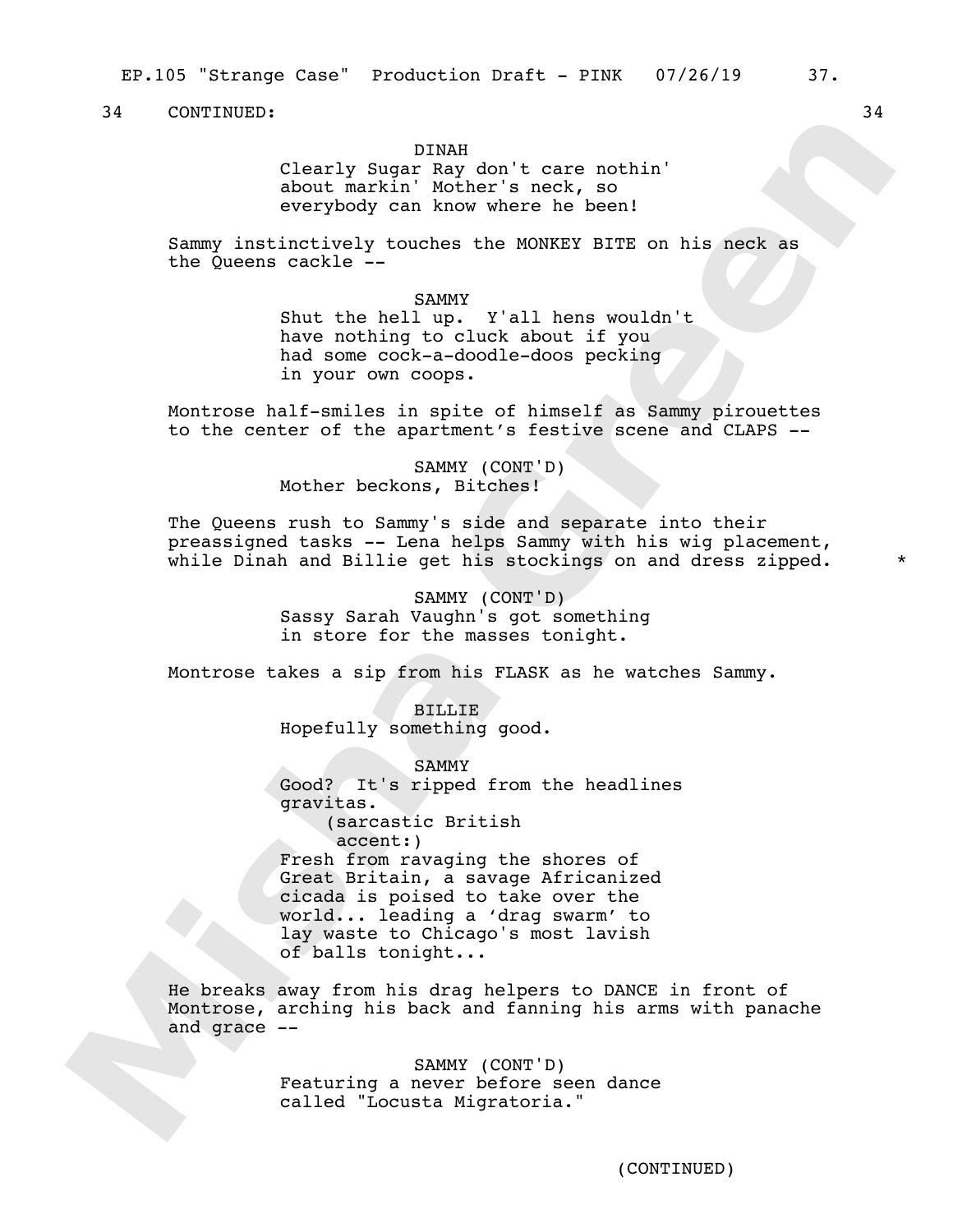## DINAH

Clearly Sugar Ray don't care nothin' about markin' Mother's neck, so everybody can know where he been!

Sammy instinctively touches the MONKEY BITE on his neck as the Queens cackle --

#### SAMMY

Shut the hell up. Y'all hens wouldn't have nothing to cluck about if you had some cock-a-doodle-doos pecking in your own coops.

Montrose half-smiles in spite of himself as Sammy pirouettes to the center of the apartment's festive scene and CLAPS --

> SAMMY (CONT'D) Mother beckons, Bitches!

The Queens rush to Sammy's side and separate into their preassigned tasks -- Lena helps Sammy with his wig placement, while Dinah and Billie get his stockings on and dress zipped.

> SAMMY (CONT'D) Sassy Sarah Vaughn's got something in store for the masses tonight.

Montrose takes a sip from his FLASK as he watches Sammy.

BILLIE Hopefully something good.

SAMMY Good? It's ripped from the headlines gravitas. (sarcastic British accent:) Fresh from ravaging the shores of Great Britain, a savage Africanized cicada is poised to take over the world... leading a 'drag swarm' to lay waste to Chicago's most lavish of balls tonight...

He breaks away from his drag helpers to DANCE in front of Montrose, arching his back and fanning his arms with panache and grace --

> SAMMY (CONT'D) Featuring a never before seen dance called "Locusta Migratoria."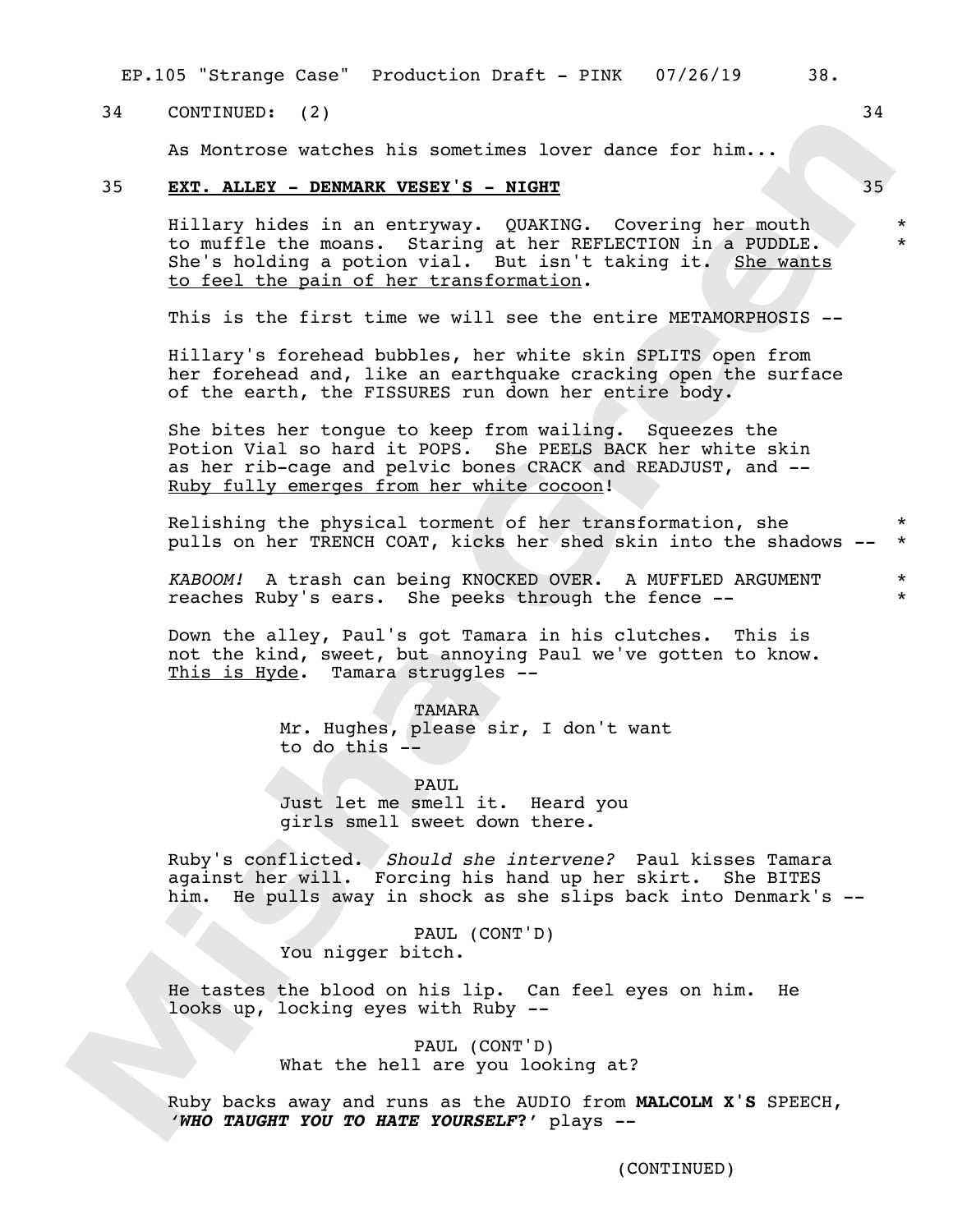EP.105 "Strange Case" Production Draft - PINK 07/26/19 38.

## 34 CONTINUED: (2) 34

As Montrose watches his sometimes lover dance for him...

## 35 **EXT. ALLEY - DENMARK VESEY'S - NIGHT** 35

Hillary hides in an entryway. QUAKING. Covering her mouth to muffle the moans. Staring at her REFLECTION in a PUDDLE. She's holding a potion vial. But isn't taking it. She wants to feel the pain of her transformation.

This is the first time we will see the entire METAMORPHOSIS --

Hillary's forehead bubbles, her white skin SPLITS open from her forehead and, like an earthquake cracking open the surface of the earth, the FISSURES run down her entire body.

She bites her tongue to keep from wailing. Squeezes the Potion Vial so hard it POPS. She PEELS BACK her white skin as her rib-cage and pelvic bones CRACK and READJUST, and -- Ruby fully emerges from her white cocoon!

Relishing the physical torment of her transformation, she pulls on her TRENCH COAT, kicks her shed skin into the shadows -- \* \*

*KABOOM!* A trash can being KNOCKED OVER. A MUFFLED ARGUMENT reaches Ruby's ears. She peeks through the fence --

Down the alley, Paul's got Tamara in his clutches. This is not the kind, sweet, but annoying Paul we've gotten to know. This is Hyde. Tamara struggles --

TAMARA

Mr. Hughes, please sir, I don't want to do this --

PAUL.

Just let me smell it. Heard you girls smell sweet down there.

Ruby's conflicted. *Should she intervene?* Paul kisses Tamara against her will. Forcing his hand up her skirt. She BITES him. He pulls away in shock as she slips back into Denmark's --

> PAUL (CONT'D) You nigger bitch.

He tastes the blood on his lip. Can feel eyes on him. He looks up, locking eyes with Ruby --

> PAUL (CONT'D) What the hell are you looking at?

Ruby backs away and runs as the AUDIO from **MALCOLM X'S** SPEECH, *'WHO TAUGHT YOU TO HATE YOURSELF***?'** plays --

(CONTINUED)

\* \*

\* \*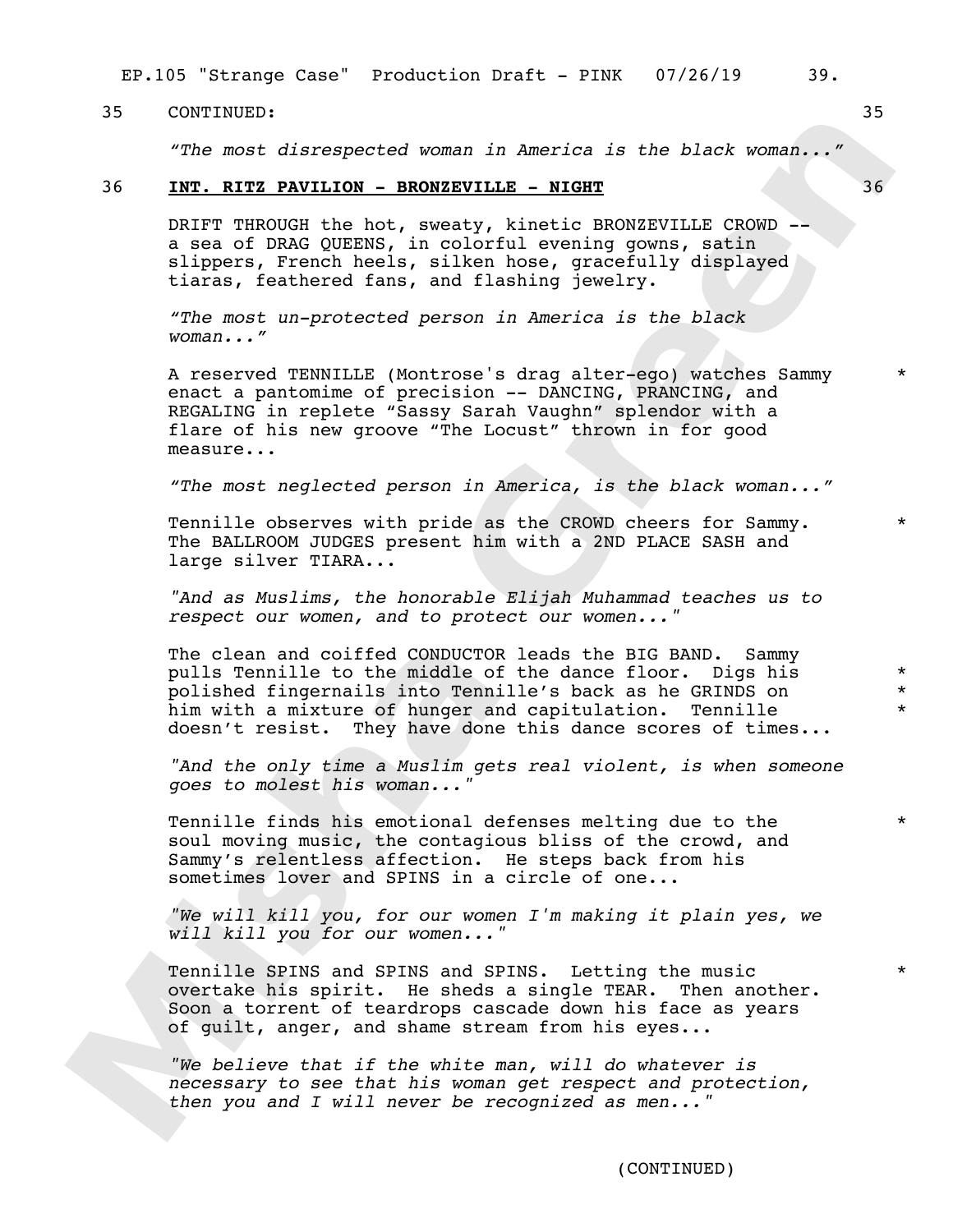EP.105 "Strange Case" Production Draft - PINK 07/26/19 39.

### 35 CONTINUED: 35

*"The most disrespected woman in America is the black woman..."*

## 36 **INT. RITZ PAVILION - BRONZEVILLE - NIGHT** 36

DRIFT THROUGH the hot, sweaty, kinetic BRONZEVILLE CROWD - a sea of DRAG QUEENS, in colorful evening gowns, satin slippers, French heels, silken hose, gracefully displayed tiaras, feathered fans, and flashing jewelry.

*"The most un-protected person in America is the black woman..."*

A reserved TENNILLE (Montrose's drag alter-ego) watches Sammy enact a pantomime of precision -- DANCING, PRANCING, and REGALING in replete "Sassy Sarah Vaughn" splendor with a flare of his new groove "The Locust" thrown in for good measure...

*"The most neglected person in America, is the black woman..."*

Tennille observes with pride as the CROWD cheers for Sammy. The BALLROOM JUDGES present him with a 2ND PLACE SASH and large silver TIARA...

*"And as Muslims, the honorable Elijah Muhammad teaches us to respect our women, and to protect our women..."*

The clean and coiffed CONDUCTOR leads the BIG BAND. Sammy pulls Tennille to the middle of the dance floor. Digs his polished fingernails into Tennille's back as he GRINDS on him with a mixture of hunger and capitulation. Tennille doesn't resist. They have done this dance scores of times...

*"And the only time a Muslim gets real violent, is when someone goes to molest his woman..."*

Tennille finds his emotional defenses melting due to the soul moving music, the contagious bliss of the crowd, and Sammy's relentless affection. He steps back from his sometimes lover and SPINS in a circle of one...

*"We will kill you, for our women I'm making it plain yes, we will kill you for our women..."*

Tennille SPINS and SPINS and SPINS. Letting the music overtake his spirit. He sheds a single TEAR. Then another. Soon a torrent of teardrops cascade down his face as years of guilt, anger, and shame stream from his eyes...

*"We believe that if the white man, will do whatever is necessary to see that his woman get respect and protection, then you and I will never be recognized as men..."*

\*

\*

\* \* \*

\*

\*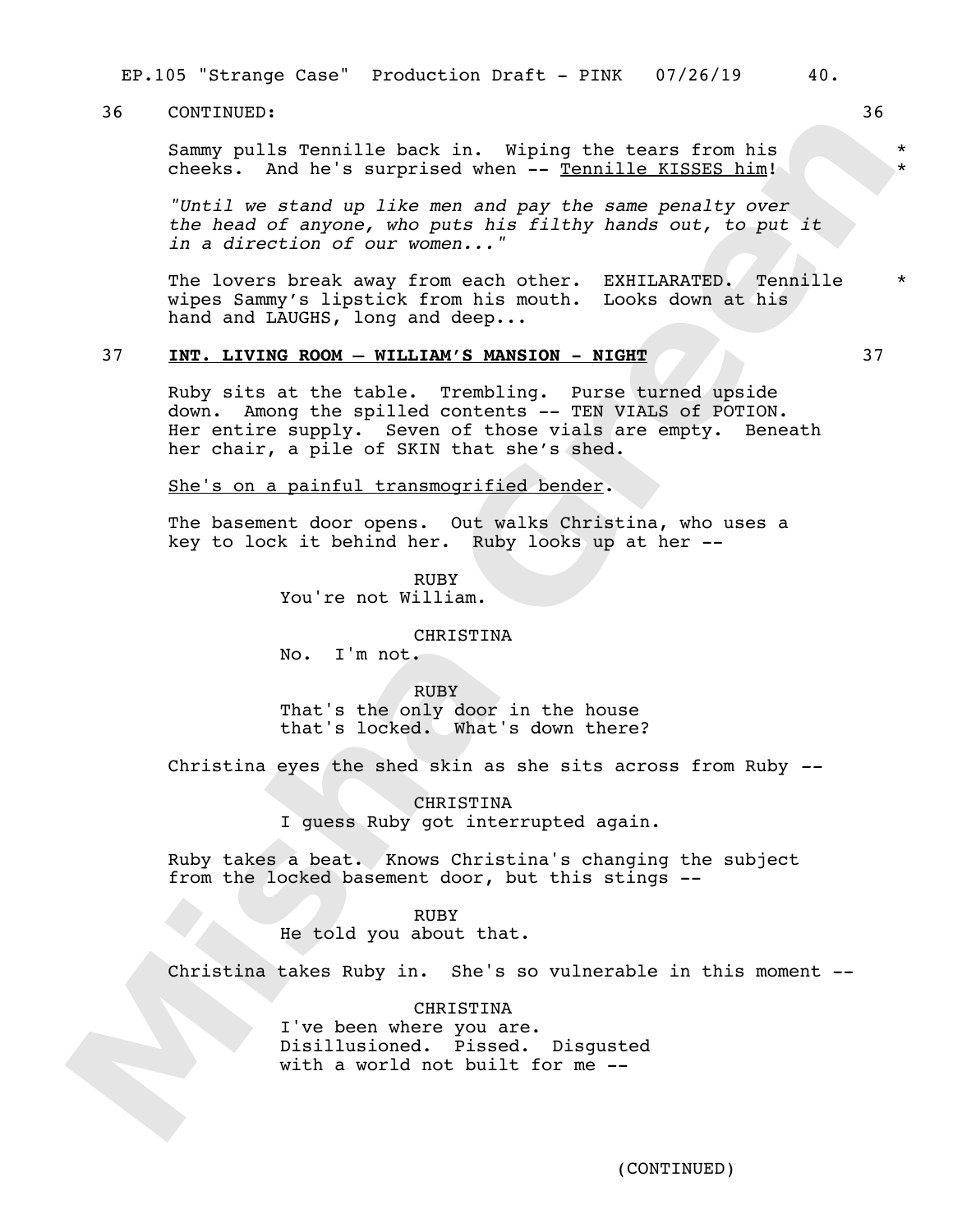EP.105 "Strange Case" Production Draft - PINK 07/26/19 40.

## 36 CONTINUED: 36

Sammy pulls Tennille back in. Wiping the tears from his cheeks. And he's surprised when -- Tennille KISSES him!

*"Until we stand up like men and pay the same penalty over the head of anyone, who puts his filthy hands out, to put it in a direction of our women..."*

The lovers break away from each other. EXHILARATED. Tennille wipes Sammy's lipstick from his mouth. Looks down at his hand and LAUGHS, long and deep...

## 37 **INT. LIVING ROOM – WILLIAM'S MANSION - NIGHT** 37

Ruby sits at the table. Trembling. Purse turned upside down. Among the spilled contents -- TEN VIALS of POTION. Her entire supply. Seven of those vials are empty. Beneath her chair, a pile of SKIN that she's shed.

She's on a painful transmogrified bender.

The basement door opens. Out walks Christina, who uses a key to lock it behind her. Ruby looks up at her --

> RUBY You're not William.

## CHRISTINA

No. I'm not.

**RUBY** 

That's the only door in the house that's locked. What's down there?

Christina eyes the shed skin as she sits across from Ruby *--*

CHRISTINA I guess Ruby got interrupted again.

Ruby takes a beat. Knows Christina's changing the subject from the locked basement door, but this stings --

RUBY

He told you about that.

Christina takes Ruby in. She's so vulnerable in this moment --

CHRISTINA I've been where you are. Disillusioned. Pissed. Disgusted with a world not built for me --

\* \*

\*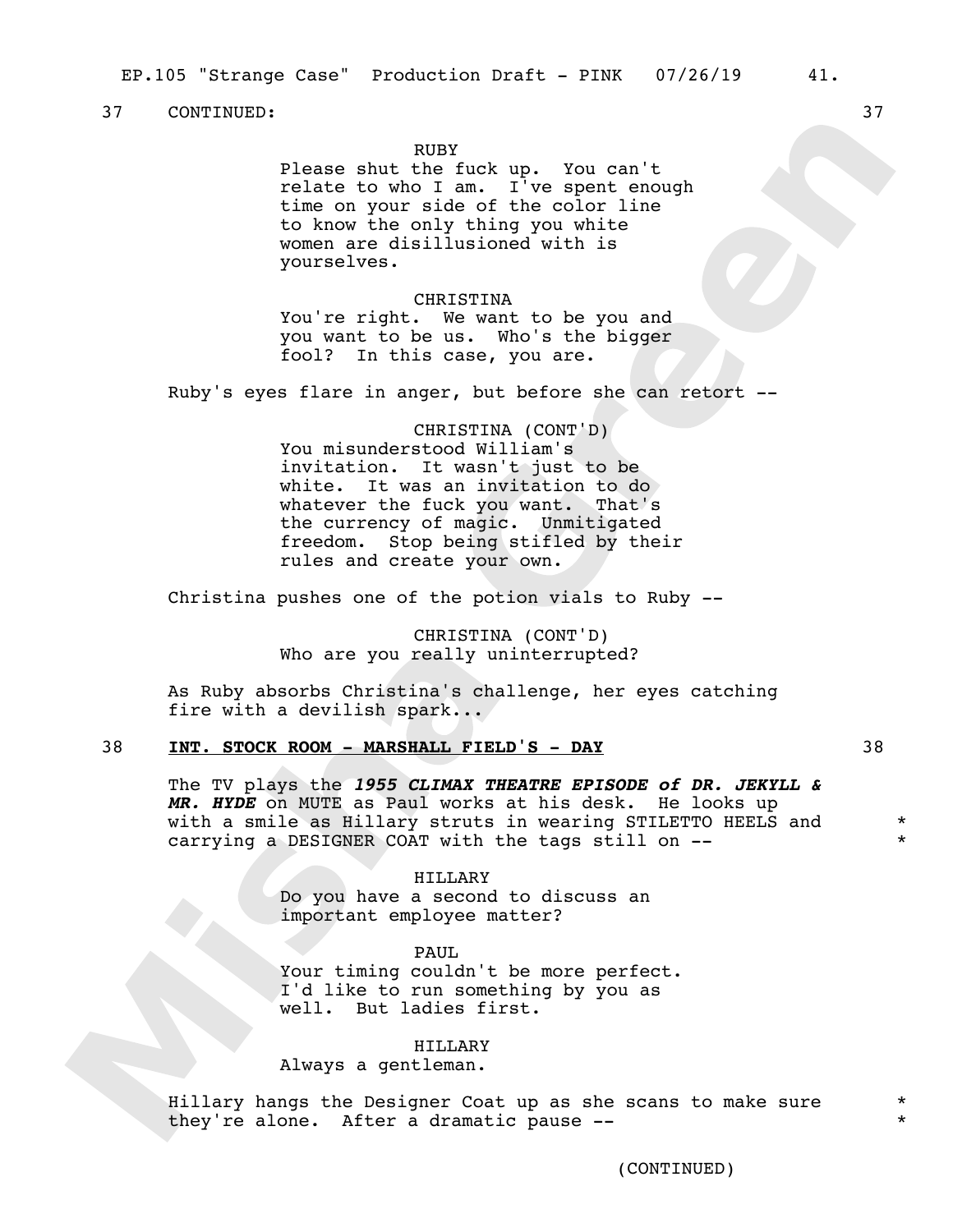## RUBY

Please shut the fuck up. You can't relate to who I am.  $I^{\dagger}$  ve spent enough time on your side of the color line to know the only thing you white women are disillusioned with is yourselves.

#### CHRISTINA

You're right. We want to be you and you want to be us. Who's the bigger fool? In this case, you are.

Ruby's eyes flare in anger, but before she can retort --

### CHRISTINA (CONT'D)

You misunderstood William's invitation. It wasn't just to be white. It was an invitation to do whatever the fuck you want. That's the currency of magic. Unmitigated freedom. Stop being stifled by their rules and create your own.

Christina pushes one of the potion vials to Ruby --

CHRISTINA (CONT'D) Who are you really uninterrupted?

As Ruby absorbs Christina's challenge, her eyes catching fire with a devilish spark...

### 38 **INT. STOCK ROOM - MARSHALL FIELD'S - DAY** 38

The TV plays the *1955 CLIMAX THEATRE EPISODE of DR. JEKYLL & MR. HYDE* on MUTE as Paul works at his desk. He looks up with a smile as Hillary struts in wearing STILETTO HEELS and carrying a DESIGNER COAT with the tags still on --

> HILLARY Do you have a second to discuss an important employee matter?

> > PAUL

Your timing couldn't be more perfect. I'd like to run something by you as well. But ladies first.

## HILLARY

Always a gentleman.

Hillary hangs the Designer Coat up as she scans to make sure they're alone. After a dramatic pause --

\* \*

\* \*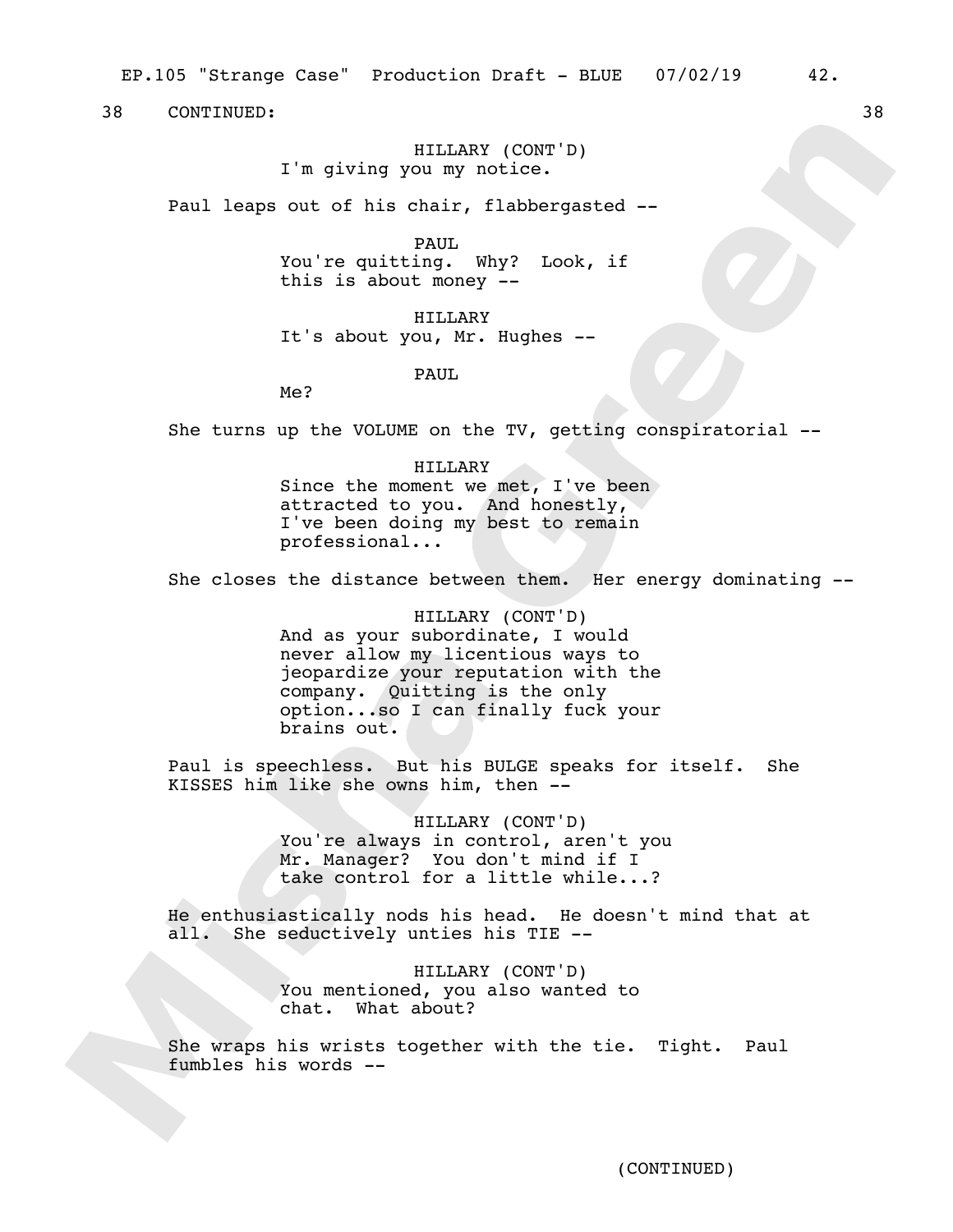EP.105 "Strange Case" Production Draft - BLUE 07/02/19 42.

38 CONTINUED: 38

HILLARY (CONT'D) I'm giving you my notice.

Paul leaps out of his chair, flabbergasted --

PAUL. You're quitting. Why? Look, if

this is about money --

HILLARY It's about you, Mr. Hughes --

PAUL

Me?

She turns up the VOLUME on the TV, getting conspiratorial --

HILLARY Since the moment we met,  $I'$ ve been attracted to you. And honestly, I've been doing my best to remain professional...

She closes the distance between them. Her energy dominating --

HILLARY (CONT'D) And as your subordinate, I would never allow my licentious ways to jeopardize your reputation with the company. Quitting is the only option...so I can finally fuck your brains out.

Paul is speechless. But his BULGE speaks for itself. She KISSES him like she owns him, then --

> HILLARY (CONT'D) You're always in control, aren't you Mr. Manager? You don't mind if I take control for a little while...?

He enthusiastically nods his head. He doesn't mind that at all. She seductively unties his TIE --

> HILLARY (CONT'D) You mentioned, you also wanted to chat. What about?

She wraps his wrists together with the tie. Tight. Paul fumbles his words --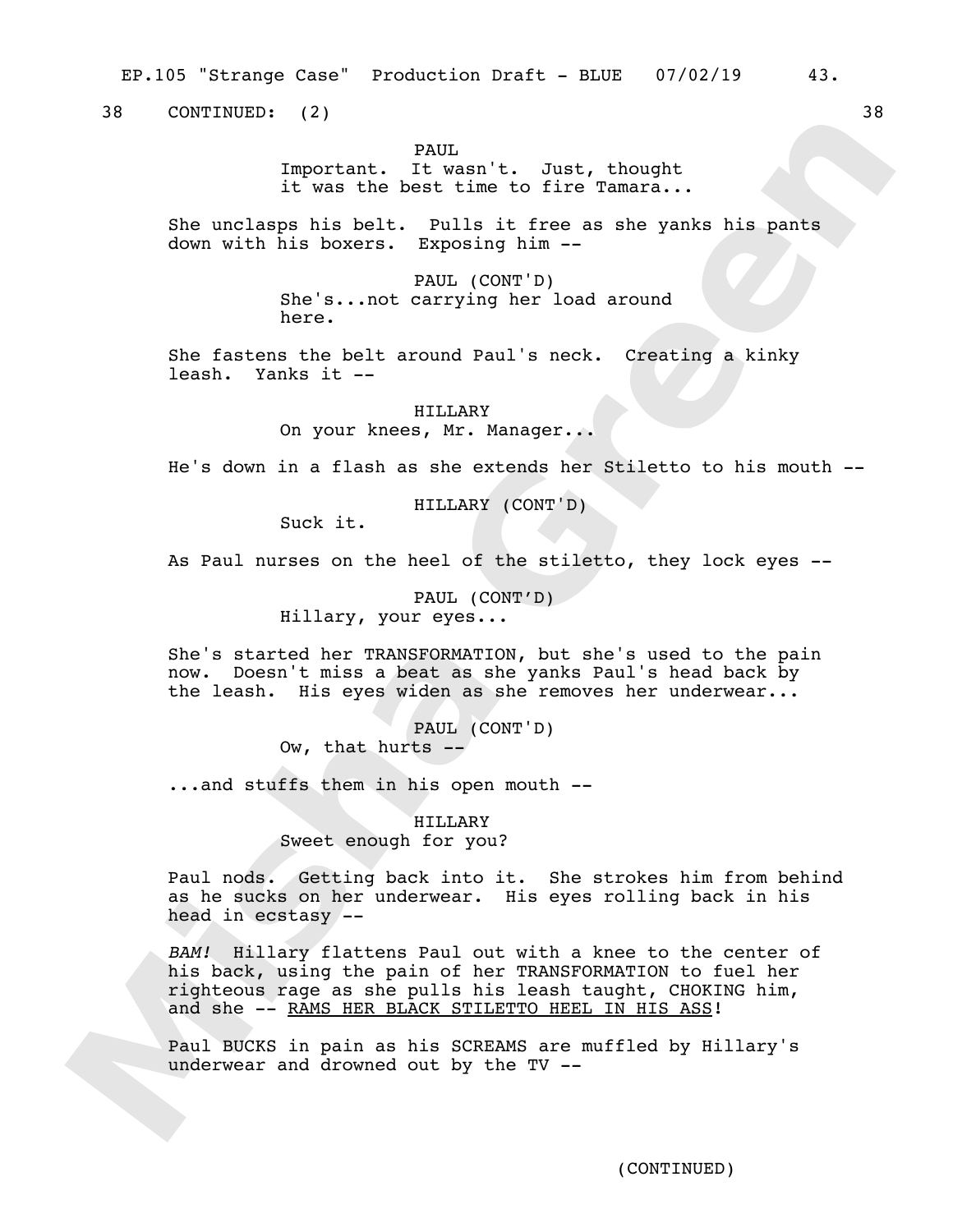EP.105 "Strange Case" Production Draft - BLUE 07/02/19 43.

38 CONTINUED: (2) 38

PAUL.

Important. It wasn't. Just, thought it was the best time to fire Tamara...

She unclasps his belt. Pulls it free as she yanks his pants down with his boxers. Exposing him --

> PAUL (CONT'D) She's...not carrying her load around here.

She fastens the belt around Paul's neck. Creating a kinky leash. Yanks it --

> HILLARY On your knees, Mr. Manager...

He's down in a flash as she extends her Stiletto to his mouth --

HILLARY (CONT'D)

Suck it.

As Paul nurses on the heel of the stiletto, they lock eyes --

PAUL (CONT'D) Hillary, your eyes...

She's started her TRANSFORMATION, but she's used to the pain now. Doesn't miss a beat as she yanks Paul's head back by the leash. His eyes widen as she removes her underwear...

> PAUL (CONT'D) Ow, that hurts --

...and stuffs them in his open mouth --

HILLARY Sweet enough for you?

Paul nods. Getting back into it. She strokes him from behind as he sucks on her underwear. His eyes rolling back in his head in ecstasy --

*BAM!* Hillary flattens Paul out with a knee to the center of his back, using the pain of her TRANSFORMATION to fuel her righteous rage as she pulls his leash taught, CHOKING him, and she -- RAMS HER BLACK STILETTO HEEL IN HIS ASS!

Paul BUCKS in pain as his SCREAMS are muffled by Hillary's underwear and drowned out by the TV --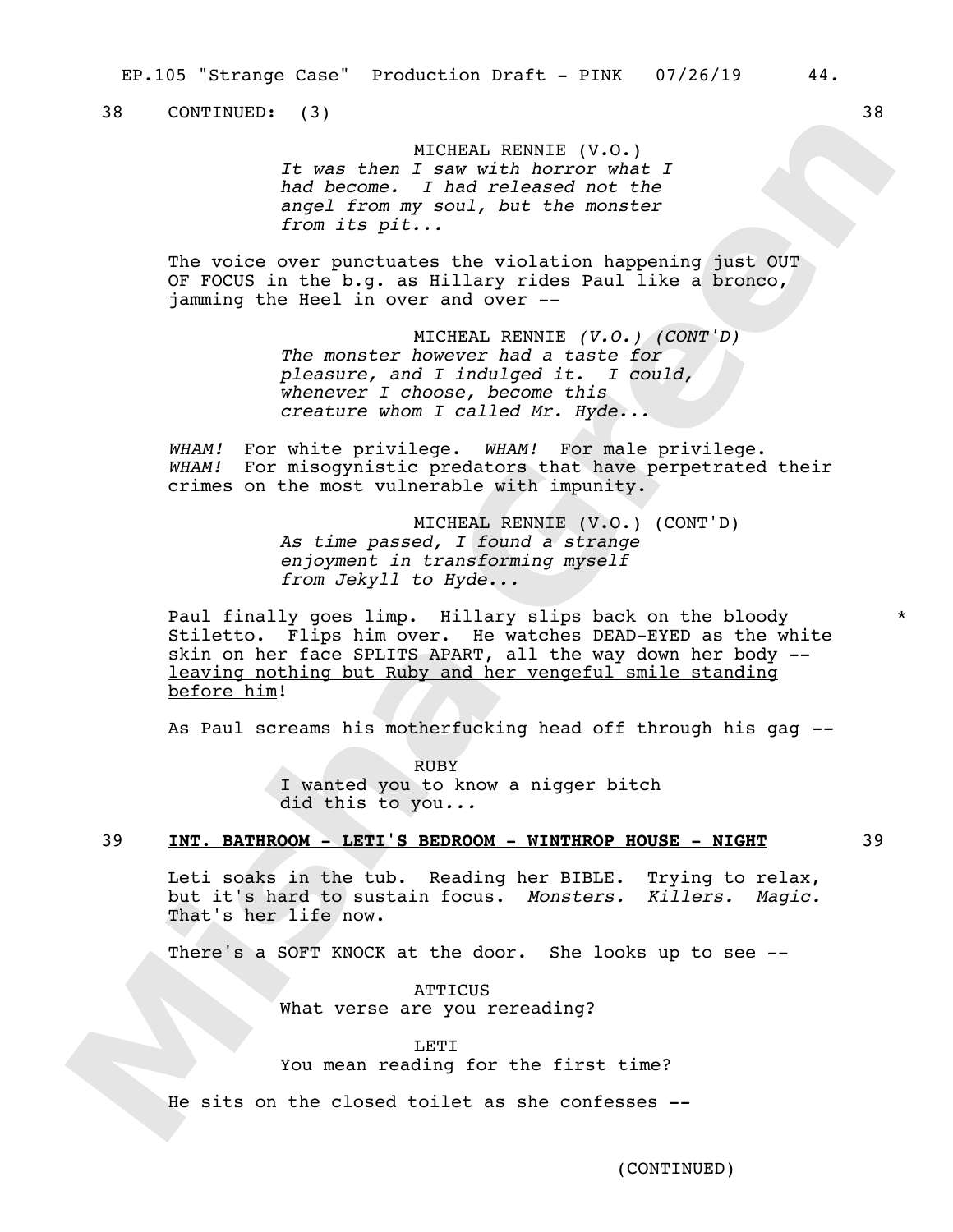38 CONTINUED: (3) 38

MICHEAL RENNIE (V.O.) *It was then I saw with horror what I had become. I had released not the angel from my soul, but the monster from its pit...*

The voice over punctuates the violation happening just OUT OF FOCUS in the b.g. as Hillary rides Paul like a bronco, jamming the Heel in over and over --

> MICHEAL RENNIE *(V.O.) (CONT'D) The monster however had a taste for pleasure, and I indulged it. I could, whenever I choose, become this creature whom I called Mr. Hyde...*

*WHAM!* For white privilege. *WHAM!* For male privilege. *WHAM!* For misogynistic predators that have perpetrated their crimes on the most vulnerable with impunity.

> MICHEAL RENNIE (V.O.) (CONT'D) *As time passed, I found a strange enjoyment in transforming myself from Jekyll to Hyde...*

Paul finally goes limp. Hillary slips back on the bloody Stiletto. Flips him over. He watches DEAD-EYED as the white skin on her face SPLITS APART, all the way down her body - leaving nothing but Ruby and her vengeful smile standing before him!

As Paul screams his motherfucking head off through his gag *--*

RUBY I wanted you to know a nigger bitch did this to you*...*

## 39 **INT. BATHROOM - LETI'S BEDROOM - WINTHROP HOUSE - NIGHT** 39

Leti soaks in the tub. Reading her BIBLE. Trying to relax, but it's hard to sustain focus. *Monsters. Killers. Magic.*  That's her life now.

There's a SOFT KNOCK at the door. She looks up to see --

ATTICUS What verse are you rereading?

LETI You mean reading for the first time?

He sits on the closed toilet as she confesses --

\*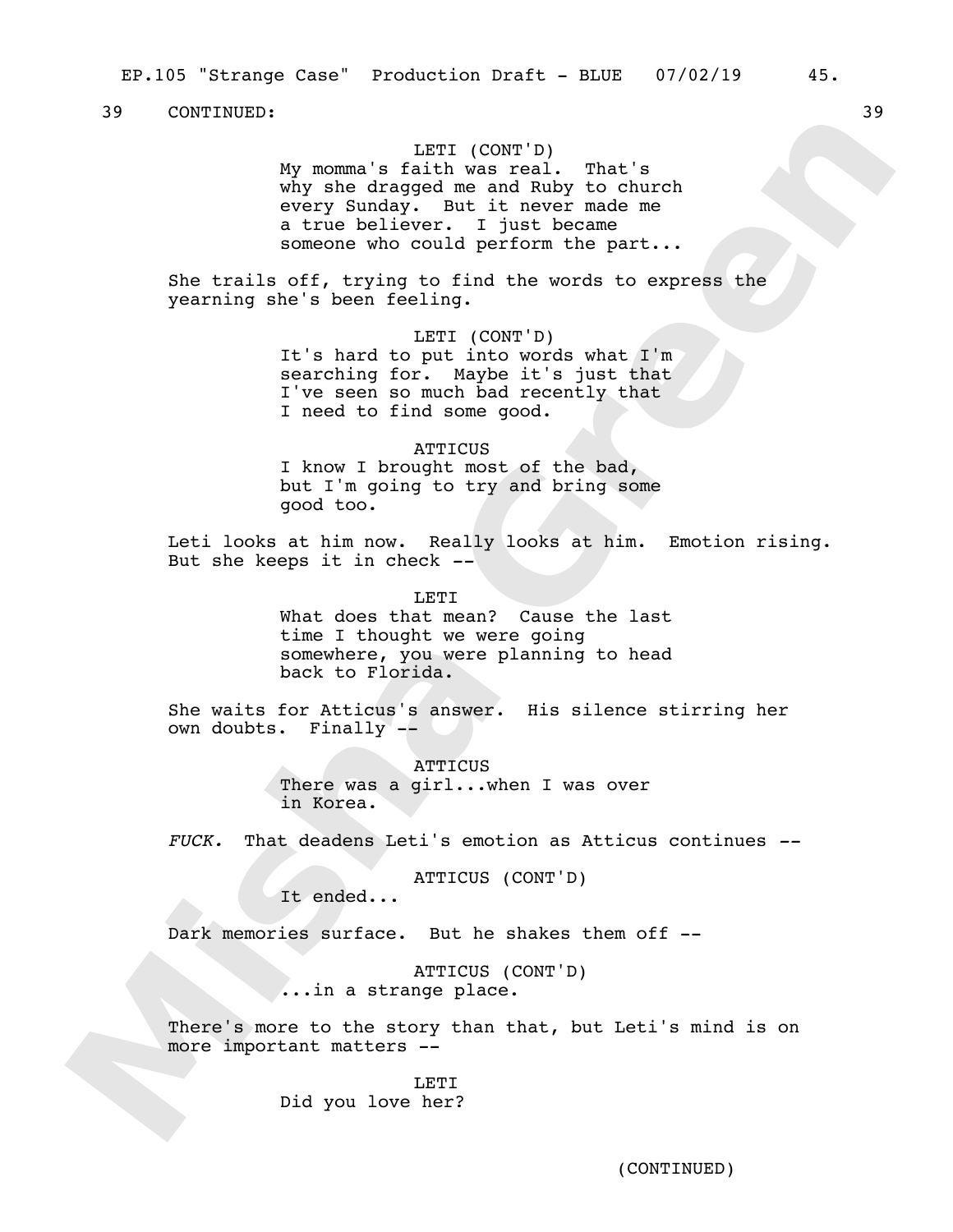## LETI (CONT'D)

My momma's faith was real. That's why she dragged me and Ruby to church every Sunday. But it never made me a true believer. I just became someone who could perform the part...

She trails off, trying to find the words to express the yearning she's been feeling.

## LETI (CONT'D)

It's hard to put into words what I'm searching for. Maybe it's just that I've seen so much bad recently that I need to find some good.

## **ATTICUS**

I know I brought most of the bad, but I'm going to try and bring some good too.

Leti looks at him now. Really looks at him. Emotion rising. But she keeps it in check *--*

> LETT. What does that mean? Cause the last time I thought we were going somewhere, you were planning to head back to Florida.

She waits for Atticus's answer. His silence stirring her own doubts. Finally --

> ATTICUS There was a girl...when I was over in Korea.

*FUCK.* That deadens Leti's emotion as Atticus continues *--*

ATTICUS (CONT'D)

It ended...

Dark memories surface. But he shakes them off --

ATTICUS (CONT'D) ...in a strange place.

There's more to the story than that, but Leti's mind is on more important matters --

> LETI Did you love her?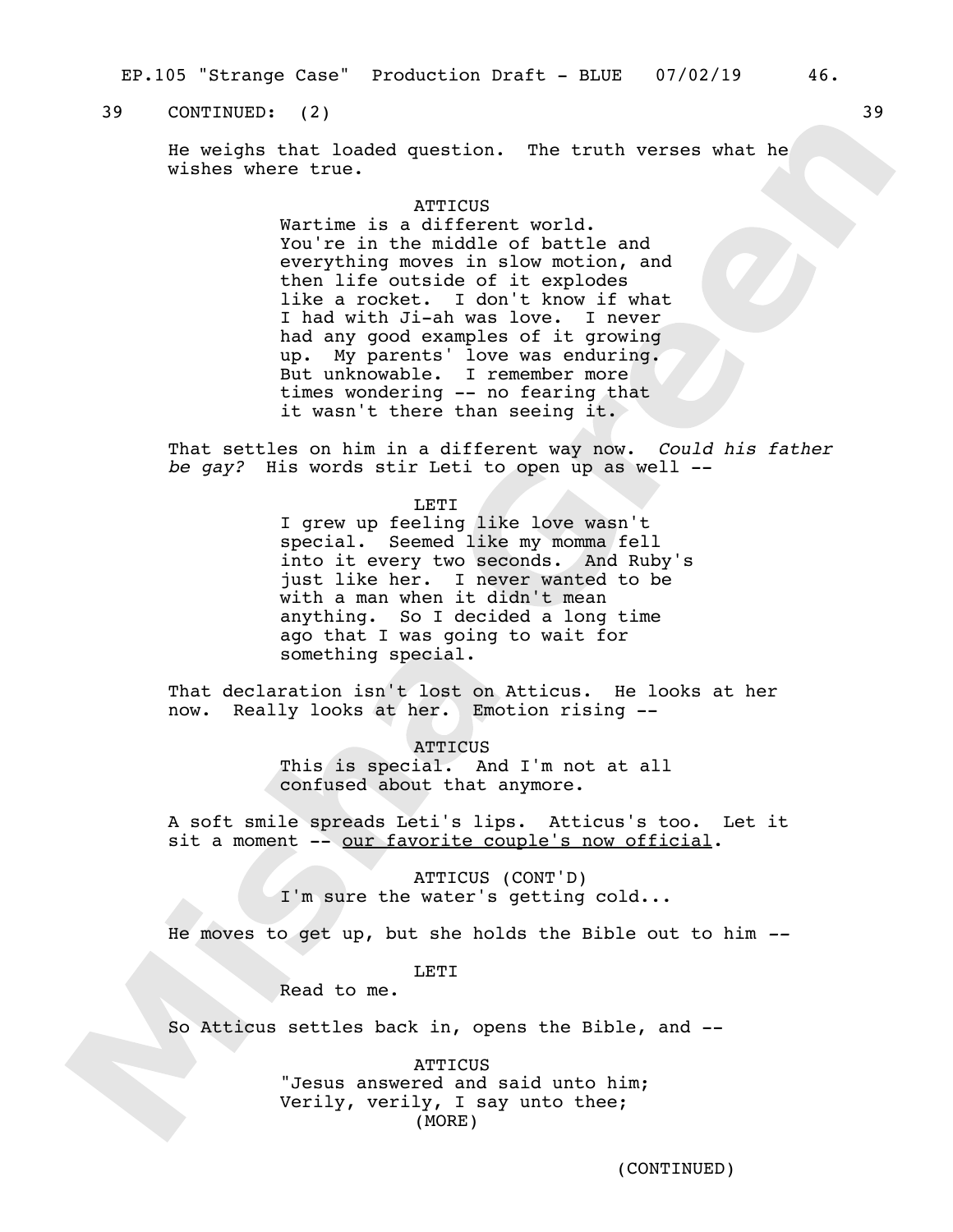EP.105 "Strange Case" Production Draft - BLUE 07/02/19 46.

## 39 CONTINUED: (2) 39

He weighs that loaded question. The truth verses what he wishes where true.

## **ATTICUS**

Wartime is a different world. You're in the middle of battle and everything moves in slow motion, and then life outside of it explodes like a rocket. I don't know if what I had with Ji-ah was love. I never had any good examples of it growing up. My parents' love was enduring. But unknowable. I remember more times wondering -- no fearing that it wasn't there than seeing it.

That settles on him in a different way now. *Could his father be gay?* His words stir Leti to open up as well --

LETI

I grew up feeling like love wasn't special. Seemed like my momma fell into it every two seconds. And Ruby's just like her. I never wanted to be with a man when it didn't mean anything. So I decided a long time ago that I was going to wait for something special.

That declaration isn't lost on Atticus. He looks at her now. Really looks at her. Emotion rising --

> ATTICUS This is special. And I'm not at all confused about that anymore.

A soft smile spreads Leti's lips. Atticus's too. Let it sit a moment -- our favorite couple's now official.

> ATTICUS (CONT'D) I'm sure the water's getting cold...

He moves to get up, but she holds the Bible out to him *--*

**LETT** 

Read to me.

So Atticus settles back in, opens the Bible, and --

**ATTICUS** "Jesus answered and said unto him; Verily, verily, I say unto thee; (MORE)

(CONTINUED)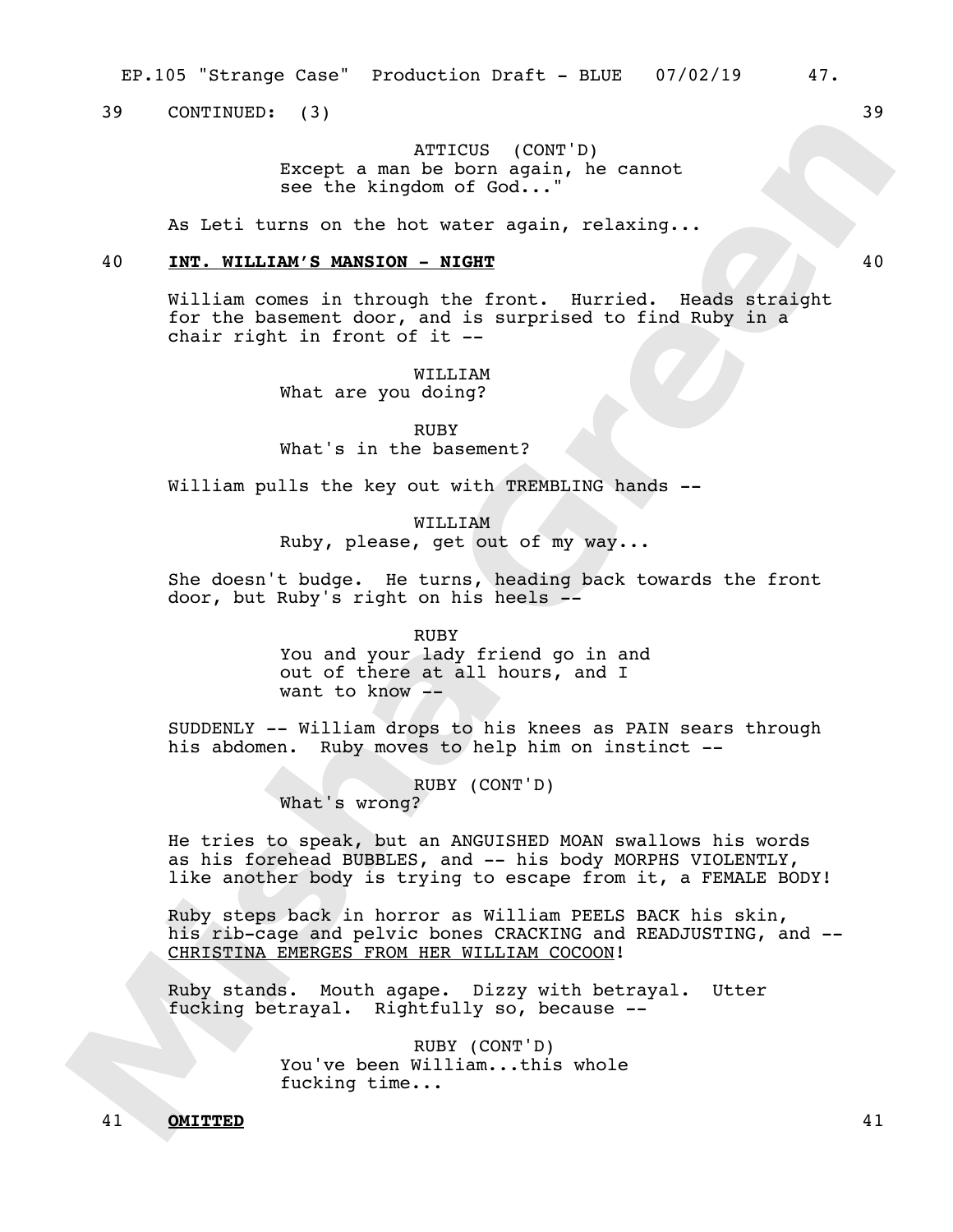39 CONTINUED: (3) 39

ATTICUS (CONT'D) Except a man be born again, he cannot see the kingdom of God..."

As Leti turns on the hot water again, relaxing...

## 40 **INT. WILLIAM'S MANSION - NIGHT** 40

William comes in through the front. Hurried. Heads straight for the basement door, and is surprised to find Ruby in a chair right in front of it --

> WILLIAM What are you doing?

RUBY What's in the basement?

William pulls the key out with TREMBLING hands --

WILLIAM Ruby, please, get out of my way...

She doesn't budge. He turns, heading back towards the front door, but Ruby's right on his heels --

RUBY

You and your lady friend go in and out of there at all hours, and I want to know --

SUDDENLY -- William drops to his knees as PAIN sears through his abdomen. Ruby moves to help him on instinct --

RUBY (CONT'D)

What's wrong?

He tries to speak, but an ANGUISHED MOAN swallows his words as his forehead BUBBLES, and -- his body MORPHS VIOLENTLY, like another body is trying to escape from it, a FEMALE BODY!

Ruby steps back in horror as William PEELS BACK his skin, his rib-cage and pelvic bones CRACKING and READJUSTING, and --CHRISTINA EMERGES FROM HER WILLIAM COCOON!

Ruby stands. Mouth agape. Dizzy with betrayal. Utter fucking betrayal. Rightfully so, because --

> RUBY (CONT'D) You've been William...this whole fucking time...

41 **OMITTED** 41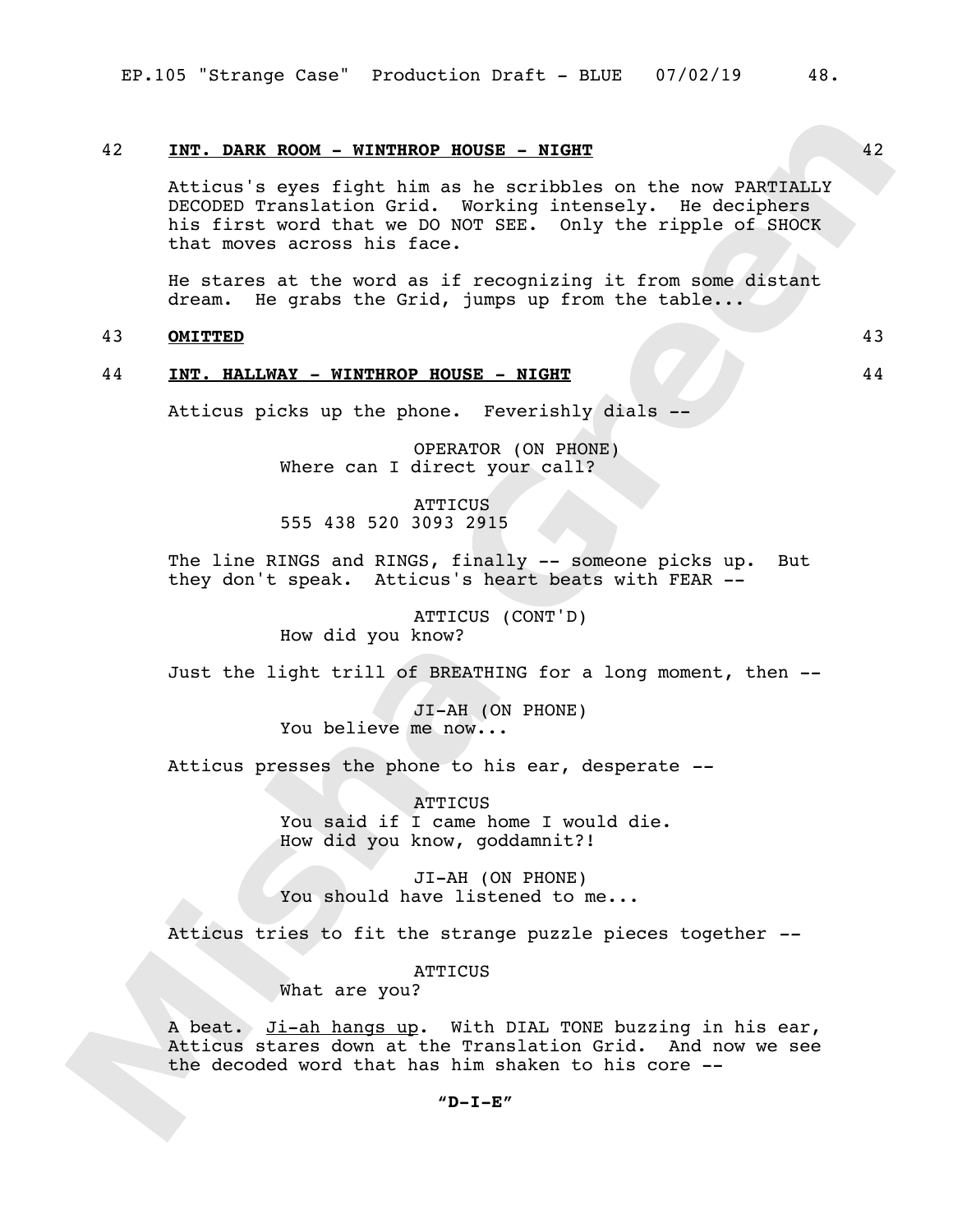## 42 **INT. DARK ROOM - WINTHROP HOUSE - NIGHT** 42

Atticus's eyes fight him as he scribbles on the now PARTIALLY DECODED Translation Grid. Working intensely. He deciphers his first word that we DO NOT SEE. Only the ripple of SHOCK that moves across his face.

He stares at the word as if recognizing it from some distant dream. He grabs the Grid, jumps up from the table...

## 43 **OMITTED** 43

## 44 **INT. HALLWAY - WINTHROP HOUSE - NIGHT** 44

Atticus picks up the phone. Feverishly dials --

OPERATOR (ON PHONE) Where can I direct your call?

**ATTICUS** 555 438 520 3093 2915

The line RINGS and RINGS, finally -- someone picks up. But they don't speak. Atticus's heart beats with FEAR --

> ATTICUS (CONT'D) How did you know?

Just the light trill of BREATHING for a long moment, then --

JI-AH (ON PHONE) You believe me now...

Atticus presses the phone to his ear, desperate *--*

ATTICUS You said if I came home I would die. How did you know, goddamnit?!

JI-AH (ON PHONE) You should have listened to me...

Atticus tries to fit the strange puzzle pieces together *--*

**ATTICUS** 

What are you?

A beat. Ji-ah hangs up. With DIAL TONE buzzing in his ear, Atticus stares down at the Translation Grid. And now we see the decoded word that has him shaken to his core --